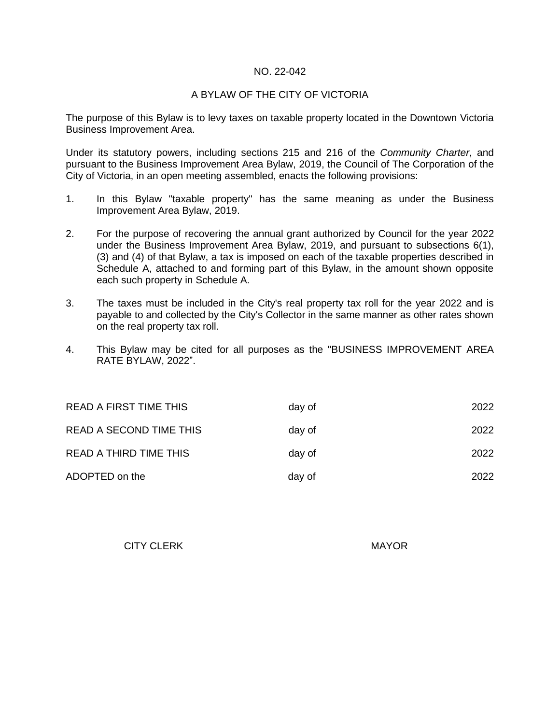### NO. 22-042

### A BYLAW OF THE CITY OF VICTORIA

The purpose of this Bylaw is to levy taxes on taxable property located in the Downtown Victoria Business Improvement Area.

Under its statutory powers, including sections 215 and 216 of the *Community Charter*, and pursuant to the Business Improvement Area Bylaw, 2019, the Council of The Corporation of the City of Victoria, in an open meeting assembled, enacts the following provisions:

- 1. In this Bylaw "taxable property" has the same meaning as under the Business Improvement Area Bylaw, 2019.
- 2. For the purpose of recovering the annual grant authorized by Council for the year 2022 under the Business Improvement Area Bylaw, 2019, and pursuant to subsections 6(1), (3) and (4) of that Bylaw, a tax is imposed on each of the taxable properties described in Schedule A, attached to and forming part of this Bylaw, in the amount shown opposite each such property in Schedule A.
- 3. The taxes must be included in the City's real property tax roll for the year 2022 and is payable to and collected by the City's Collector in the same manner as other rates shown on the real property tax roll.
- 4. This Bylaw may be cited for all purposes as the "BUSINESS IMPROVEMENT AREA RATE BYLAW, 2022".

| READ A FIRST TIME THIS        | day of | 2022 |
|-------------------------------|--------|------|
| READ A SECOND TIME THIS       | day of | 2022 |
| <b>READ A THIRD TIME THIS</b> | day of | 2022 |
| ADOPTED on the                | day of | 2022 |

CITY CLERK MAYOR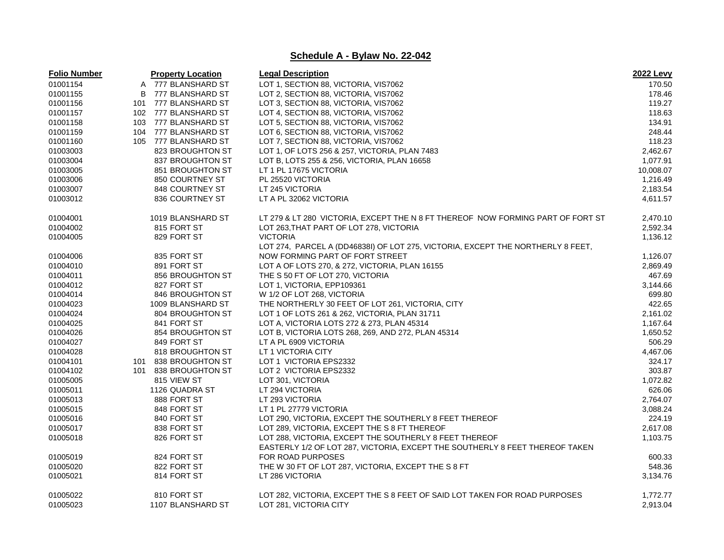| <b>Folio Number</b> |     | <b>Property Location</b> | <b>Legal Description</b>                                                        | <b>2022 Levy</b> |
|---------------------|-----|--------------------------|---------------------------------------------------------------------------------|------------------|
| 01001154            |     | A 777 BLANSHARD ST       | LOT 1, SECTION 88, VICTORIA, VIS7062                                            | 170.50           |
| 01001155            | B   | 777 BLANSHARD ST         | LOT 2, SECTION 88, VICTORIA, VIS7062                                            | 178.46           |
| 01001156            | 101 | 777 BLANSHARD ST         | LOT 3, SECTION 88, VICTORIA, VIS7062                                            | 119.27           |
| 01001157            |     | 102 777 BLANSHARD ST     | LOT 4, SECTION 88, VICTORIA, VIS7062                                            | 118.63           |
| 01001158            |     | 103 777 BLANSHARD ST     | LOT 5, SECTION 88, VICTORIA, VIS7062                                            | 134.91           |
| 01001159            | 104 | 777 BLANSHARD ST         | LOT 6, SECTION 88, VICTORIA, VIS7062                                            | 248.44           |
| 01001160            |     | 105 777 BLANSHARD ST     | LOT 7, SECTION 88, VICTORIA, VIS7062                                            | 118.23           |
| 01003003            |     | 823 BROUGHTON ST         | LOT 1, OF LOTS 256 & 257, VICTORIA, PLAN 7483                                   | 2,462.67         |
| 01003004            |     | 837 BROUGHTON ST         | LOT B, LOTS 255 & 256, VICTORIA, PLAN 16658                                     | 1,077.91         |
| 01003005            |     | 851 BROUGHTON ST         | LT 1 PL 17675 VICTORIA                                                          | 10,008.07        |
| 01003006            |     | 850 COURTNEY ST          | PL 25520 VICTORIA                                                               | 1,216.49         |
| 01003007            |     | 848 COURTNEY ST          | LT 245 VICTORIA                                                                 | 2,183.54         |
| 01003012            |     | 836 COURTNEY ST          | LT A PL 32062 VICTORIA                                                          | 4,611.57         |
| 01004001            |     | 1019 BLANSHARD ST        | LT 279 & LT 280 VICTORIA, EXCEPT THE N 8 FT THEREOF NOW FORMING PART OF FORT ST | 2,470.10         |
| 01004002            |     | 815 FORT ST              | LOT 263, THAT PART OF LOT 278, VICTORIA                                         | 2,592.34         |
| 01004005            |     | 829 FORT ST              | <b>VICTORIA</b>                                                                 | 1,136.12         |
|                     |     |                          | LOT 274, PARCEL A (DD46838I) OF LOT 275, VICTORIA, EXCEPT THE NORTHERLY 8 FEET, |                  |
| 01004006            |     | 835 FORT ST              | NOW FORMING PART OF FORT STREET                                                 | 1,126.07         |
| 01004010            |     | 891 FORT ST              | LOT A OF LOTS 270, & 272, VICTORIA, PLAN 16155                                  | 2,869.49         |
| 01004011            |     | 856 BROUGHTON ST         | THE S 50 FT OF LOT 270, VICTORIA                                                | 467.69           |
| 01004012            |     | 827 FORT ST              | LOT 1, VICTORIA, EPP109361                                                      | 3,144.66         |
| 01004014            |     | 846 BROUGHTON ST         | W 1/2 OF LOT 268, VICTORIA                                                      | 699.80           |
| 01004023            |     | 1009 BLANSHARD ST        | THE NORTHERLY 30 FEET OF LOT 261, VICTORIA, CITY                                | 422.65           |
| 01004024            |     | 804 BROUGHTON ST         | LOT 1 OF LOTS 261 & 262, VICTORIA, PLAN 31711                                   | 2,161.02         |
| 01004025            |     | 841 FORT ST              | LOT A, VICTORIA LOTS 272 & 273, PLAN 45314                                      | 1,167.64         |
| 01004026            |     | 854 BROUGHTON ST         | LOT B, VICTORIA LOTS 268, 269, AND 272, PLAN 45314                              | 1,650.52         |
| 01004027            |     | 849 FORT ST              | LT A PL 6909 VICTORIA                                                           | 506.29           |
| 01004028            |     | 818 BROUGHTON ST         | LT 1 VICTORIA CITY                                                              | 4,467.06         |
| 01004101            | 101 | 838 BROUGHTON ST         | LOT 1 VICTORIA EPS2332                                                          | 324.17           |
| 01004102            |     | 101 838 BROUGHTON ST     | LOT 2 VICTORIA EPS2332                                                          | 303.87           |
| 01005005            |     | 815 VIEW ST              | LOT 301, VICTORIA                                                               | 1,072.82         |
| 01005011            |     | 1126 QUADRA ST           | LT 294 VICTORIA                                                                 | 626.06           |
| 01005013            |     | 888 FORT ST              | LT 293 VICTORIA                                                                 | 2,764.07         |
| 01005015            |     | 848 FORT ST              | LT 1 PL 27779 VICTORIA                                                          | 3,088.24         |
| 01005016            |     | 840 FORT ST              | LOT 290, VICTORIA, EXCEPT THE SOUTHERLY 8 FEET THEREOF                          | 224.19           |
| 01005017            |     | 838 FORT ST              | LOT 289, VICTORIA, EXCEPT THE S 8 FT THEREOF                                    | 2,617.08         |
| 01005018            |     | 826 FORT ST              | LOT 288, VICTORIA, EXCEPT THE SOUTHERLY 8 FEET THEREOF                          | 1,103.75         |
|                     |     |                          | EASTERLY 1/2 OF LOT 287, VICTORIA, EXCEPT THE SOUTHERLY 8 FEET THEREOF TAKEN    |                  |
| 01005019            |     | 824 FORT ST              | FOR ROAD PURPOSES                                                               | 600.33           |
| 01005020            |     | 822 FORT ST              | THE W 30 FT OF LOT 287, VICTORIA, EXCEPT THE S 8 FT                             | 548.36           |
| 01005021            |     | 814 FORT ST              | LT 286 VICTORIA                                                                 | 3,134.76         |
| 01005022            |     | 810 FORT ST              | LOT 282, VICTORIA, EXCEPT THE S 8 FEET OF SAID LOT TAKEN FOR ROAD PURPOSES      | 1,772.77         |
| 01005023            |     | 1107 BLANSHARD ST        | LOT 281, VICTORIA CITY                                                          | 2,913.04         |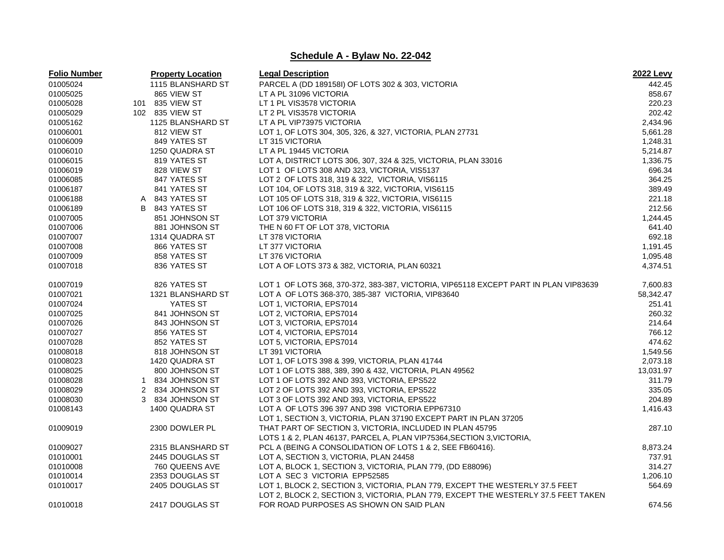| <b>Folio Number</b> |   | <b>Property Location</b> | <b>Legal Description</b>                                                             | <b>2022 Levy</b> |
|---------------------|---|--------------------------|--------------------------------------------------------------------------------------|------------------|
| 01005024            |   | 1115 BLANSHARD ST        | PARCEL A (DD 189158I) OF LOTS 302 & 303, VICTORIA                                    | 442.45           |
| 01005025            |   | 865 VIEW ST              | LT A PL 31096 VICTORIA                                                               | 858.67           |
| 01005028            |   | 101 835 VIEW ST          | LT 1 PL VIS3578 VICTORIA                                                             | 220.23           |
| 01005029            |   | 102 835 VIEW ST          | LT 2 PL VIS3578 VICTORIA                                                             | 202.42           |
| 01005162            |   | 1125 BLANSHARD ST        | LT A PL VIP73975 VICTORIA                                                            | 2,434.96         |
| 01006001            |   | 812 VIEW ST              | LOT 1, OF LOTS 304, 305, 326, & 327, VICTORIA, PLAN 27731                            | 5,661.28         |
| 01006009            |   | 849 YATES ST             | LT 315 VICTORIA                                                                      | 1,248.31         |
| 01006010            |   | 1250 QUADRA ST           | LT A PL 19445 VICTORIA                                                               | 5,214.87         |
| 01006015            |   | 819 YATES ST             | LOT A, DISTRICT LOTS 306, 307, 324 & 325, VICTORIA, PLAN 33016                       | 1,336.75         |
| 01006019            |   | 828 VIEW ST              | LOT 1 OF LOTS 308 AND 323, VICTORIA, VIS5137                                         | 696.34           |
| 01006085            |   | 847 YATES ST             | LOT 2 OF LOTS 318, 319 & 322, VICTORIA, VIS6115                                      | 364.25           |
| 01006187            |   | 841 YATES ST             | LOT 104, OF LOTS 318, 319 & 322, VICTORIA, VIS6115                                   | 389.49           |
| 01006188            | A | 843 YATES ST             | LOT 105 OF LOTS 318, 319 & 322, VICTORIA, VIS6115                                    | 221.18           |
| 01006189            | B | 843 YATES ST             | LOT 106 OF LOTS 318, 319 & 322, VICTORIA, VIS6115                                    | 212.56           |
| 01007005            |   | 851 JOHNSON ST           | LOT 379 VICTORIA                                                                     | 1,244.45         |
| 01007006            |   | 881 JOHNSON ST           | THE N 60 FT OF LOT 378, VICTORIA                                                     | 641.40           |
| 01007007            |   | 1314 QUADRA ST           | LT 378 VICTORIA                                                                      | 692.18           |
| 01007008            |   | 866 YATES ST             | LT 377 VICTORIA                                                                      | 1,191.45         |
| 01007009            |   | 858 YATES ST             | LT 376 VICTORIA                                                                      | 1,095.48         |
| 01007018            |   | 836 YATES ST             | LOT A OF LOTS 373 & 382, VICTORIA, PLAN 60321                                        | 4,374.51         |
| 01007019            |   | 826 YATES ST             | LOT 1 OF LOTS 368, 370-372, 383-387, VICTORIA, VIP65118 EXCEPT PART IN PLAN VIP83639 | 7,600.83         |
| 01007021            |   | 1321 BLANSHARD ST        | LOT A OF LOTS 368-370, 385-387 VICTORIA, VIP83640                                    | 58,342.47        |
| 01007024            |   | YATES ST                 | LOT 1, VICTORIA, EPS7014                                                             | 251.41           |
| 01007025            |   | 841 JOHNSON ST           | LOT 2, VICTORIA, EPS7014                                                             | 260.32           |
| 01007026            |   | 843 JOHNSON ST           | LOT 3, VICTORIA, EPS7014                                                             | 214.64           |
| 01007027            |   | 856 YATES ST             | LOT 4, VICTORIA, EPS7014                                                             | 766.12           |
| 01007028            |   | 852 YATES ST             | LOT 5, VICTORIA, EPS7014                                                             | 474.62           |
| 01008018            |   | 818 JOHNSON ST           | LT 391 VICTORIA                                                                      | 1,549.56         |
| 01008023            |   | 1420 QUADRA ST           | LOT 1, OF LOTS 398 & 399, VICTORIA, PLAN 41744                                       | 2,073.18         |
| 01008025            |   | 800 JOHNSON ST           | LOT 1 OF LOTS 388, 389, 390 & 432, VICTORIA, PLAN 49562                              | 13,031.97        |
| 01008028            | 1 | 834 JOHNSON ST           | LOT 1 OF LOTS 392 AND 393, VICTORIA, EPS522                                          | 311.79           |
| 01008029            |   | 2 834 JOHNSON ST         | LOT 2 OF LOTS 392 AND 393, VICTORIA, EPS522                                          | 335.05           |
| 01008030            |   | 3 834 JOHNSON ST         | LOT 3 OF LOTS 392 AND 393, VICTORIA, EPS522                                          | 204.89           |
| 01008143            |   | 1400 QUADRA ST           | LOT A OF LOTS 396 397 AND 398 VICTORIA EPP67310                                      | 1,416.43         |
|                     |   |                          | LOT 1, SECTION 3, VICTORIA, PLAN 37190 EXCEPT PART IN PLAN 37205                     |                  |
| 01009019            |   | 2300 DOWLER PL           | THAT PART OF SECTION 3, VICTORIA, INCLUDED IN PLAN 45795                             | 287.10           |
|                     |   |                          | LOTS 1 & 2, PLAN 46137, PARCEL A, PLAN VIP75364, SECTION 3, VICTORIA,                |                  |
| 01009027            |   | 2315 BLANSHARD ST        | PCL A (BEING A CONSOLIDATION OF LOTS 1 & 2, SEE FB60416).                            | 8,873.24         |
| 01010001            |   | 2445 DOUGLAS ST          | LOT A, SECTION 3, VICTORIA, PLAN 24458                                               | 737.91           |
| 01010008            |   | 760 QUEENS AVE           | LOT A, BLOCK 1, SECTION 3, VICTORIA, PLAN 779, (DD E88096)                           | 314.27           |
| 01010014            |   | 2353 DOUGLAS ST          | LOT A SEC 3 VICTORIA EPP52585                                                        | 1,206.10         |
| 01010017            |   | 2405 DOUGLAS ST          | LOT 1, BLOCK 2, SECTION 3, VICTORIA, PLAN 779, EXCEPT THE WESTERLY 37.5 FEET         | 564.69           |
|                     |   |                          | LOT 2, BLOCK 2, SECTION 3, VICTORIA, PLAN 779, EXCEPT THE WESTERLY 37.5 FEET TAKEN   |                  |
| 01010018            |   | 2417 DOUGLAS ST          | FOR ROAD PURPOSES AS SHOWN ON SAID PLAN                                              | 674.56           |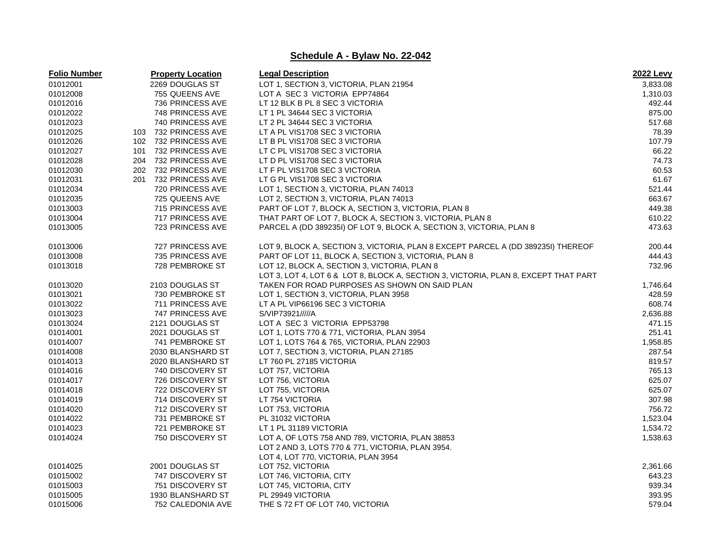| <b>Folio Number</b> |     | <b>Property Location</b> | <b>Legal Description</b>                                                            | 2022 Levy |
|---------------------|-----|--------------------------|-------------------------------------------------------------------------------------|-----------|
| 01012001            |     | 2269 DOUGLAS ST          | LOT 1, SECTION 3, VICTORIA, PLAN 21954                                              | 3,833.08  |
| 01012008            |     | 755 QUEENS AVE           | LOT A SEC 3 VICTORIA EPP74864                                                       | 1,310.03  |
| 01012016            |     | 736 PRINCESS AVE         | LT 12 BLK B PL 8 SEC 3 VICTORIA                                                     | 492.44    |
| 01012022            |     | 748 PRINCESS AVE         | LT 1 PL 34644 SEC 3 VICTORIA                                                        | 875.00    |
| 01012023            |     | 740 PRINCESS AVE         | LT 2 PL 34644 SEC 3 VICTORIA                                                        | 517.68    |
| 01012025            |     | 103 732 PRINCESS AVE     | LT A PL VIS1708 SEC 3 VICTORIA                                                      | 78.39     |
| 01012026            |     | 102 732 PRINCESS AVE     | LT B PL VIS1708 SEC 3 VICTORIA                                                      | 107.79    |
| 01012027            | 101 | 732 PRINCESS AVE         | LT C PL VIS1708 SEC 3 VICTORIA                                                      | 66.22     |
| 01012028            |     | 204 732 PRINCESS AVE     | LT D PL VIS1708 SEC 3 VICTORIA                                                      | 74.73     |
| 01012030            | 202 | 732 PRINCESS AVE         | LT F PL VIS1708 SEC 3 VICTORIA                                                      | 60.53     |
| 01012031            | 201 | 732 PRINCESS AVE         | LT G PL VIS1708 SEC 3 VICTORIA                                                      | 61.67     |
| 01012034            |     | 720 PRINCESS AVE         | LOT 1, SECTION 3, VICTORIA, PLAN 74013                                              | 521.44    |
| 01012035            |     | 725 QUEENS AVE           | LOT 2, SECTION 3, VICTORIA, PLAN 74013                                              | 663.67    |
| 01013003            |     | 715 PRINCESS AVE         | PART OF LOT 7, BLOCK A, SECTION 3, VICTORIA, PLAN 8                                 | 449.38    |
| 01013004            |     | 717 PRINCESS AVE         | THAT PART OF LOT 7, BLOCK A, SECTION 3, VICTORIA, PLAN 8                            | 610.22    |
| 01013005            |     | 723 PRINCESS AVE         | PARCEL A (DD 389235I) OF LOT 9, BLOCK A, SECTION 3, VICTORIA, PLAN 8                | 473.63    |
|                     |     |                          |                                                                                     |           |
| 01013006            |     | 727 PRINCESS AVE         | LOT 9, BLOCK A, SECTION 3, VICTORIA, PLAN 8 EXCEPT PARCEL A (DD 389235I) THEREOF    | 200.44    |
| 01013008            |     | 735 PRINCESS AVE         | PART OF LOT 11, BLOCK A, SECTION 3, VICTORIA, PLAN 8                                | 444.43    |
| 01013018            |     | 728 PEMBROKE ST          | LOT 12, BLOCK A, SECTION 3, VICTORIA, PLAN 8                                        | 732.96    |
|                     |     |                          | LOT 3, LOT 4, LOT 6 & LOT 8, BLOCK A, SECTION 3, VICTORIA, PLAN 8, EXCEPT THAT PART |           |
| 01013020            |     | 2103 DOUGLAS ST          | TAKEN FOR ROAD PURPOSES AS SHOWN ON SAID PLAN                                       | 1,746.64  |
| 01013021            |     | 730 PEMBROKE ST          | LOT 1, SECTION 3, VICTORIA, PLAN 3958                                               | 428.59    |
| 01013022            |     | 711 PRINCESS AVE         | LT A PL VIP66196 SEC 3 VICTORIA                                                     | 608.74    |
| 01013023            |     | 747 PRINCESS AVE         | S/VIP73921/////A                                                                    | 2,636.88  |
| 01013024            |     | 2121 DOUGLAS ST          | LOT A SEC 3 VICTORIA EPP53798                                                       | 471.15    |
| 01014001            |     | 2021 DOUGLAS ST          | LOT 1, LOTS 770 & 771, VICTORIA, PLAN 3954                                          | 251.41    |
| 01014007            |     | 741 PEMBROKE ST          | LOT 1, LOTS 764 & 765, VICTORIA, PLAN 22903                                         | 1,958.85  |
| 01014008            |     | 2030 BLANSHARD ST        | LOT 7, SECTION 3, VICTORIA, PLAN 27185                                              | 287.54    |
| 01014013            |     | 2020 BLANSHARD ST        | LT 760 PL 27185 VICTORIA                                                            | 819.57    |
| 01014016            |     | 740 DISCOVERY ST         | LOT 757, VICTORIA                                                                   | 765.13    |
| 01014017            |     | 726 DISCOVERY ST         | LOT 756, VICTORIA                                                                   | 625.07    |
| 01014018            |     | 722 DISCOVERY ST         | LOT 755, VICTORIA                                                                   | 625.07    |
| 01014019            |     | 714 DISCOVERY ST         | LT 754 VICTORIA                                                                     | 307.98    |
| 01014020            |     | 712 DISCOVERY ST         | LOT 753, VICTORIA                                                                   | 756.72    |
| 01014022            |     | 731 PEMBROKE ST          | PL 31032 VICTORIA                                                                   | 1,523.04  |
| 01014023            |     | 721 PEMBROKE ST          | LT 1 PL 31189 VICTORIA                                                              | 1,534.72  |
| 01014024            |     | 750 DISCOVERY ST         | LOT A, OF LOTS 758 AND 789, VICTORIA, PLAN 38853                                    | 1,538.63  |
|                     |     |                          | LOT 2 AND 3, LOTS 770 & 771, VICTORIA, PLAN 3954.                                   |           |
|                     |     |                          | LOT 4, LOT 770, VICTORIA, PLAN 3954                                                 |           |
| 01014025            |     | 2001 DOUGLAS ST          | LOT 752, VICTORIA                                                                   | 2,361.66  |
| 01015002            |     | 747 DISCOVERY ST         | LOT 746, VICTORIA, CITY                                                             | 643.23    |
| 01015003            |     | 751 DISCOVERY ST         | LOT 745, VICTORIA, CITY                                                             | 939.34    |
| 01015005            |     | 1930 BLANSHARD ST        | PL 29949 VICTORIA                                                                   | 393.95    |
| 01015006            |     | 752 CALEDONIA AVE        | THE S72 FT OF LOT 740, VICTORIA                                                     | 579.04    |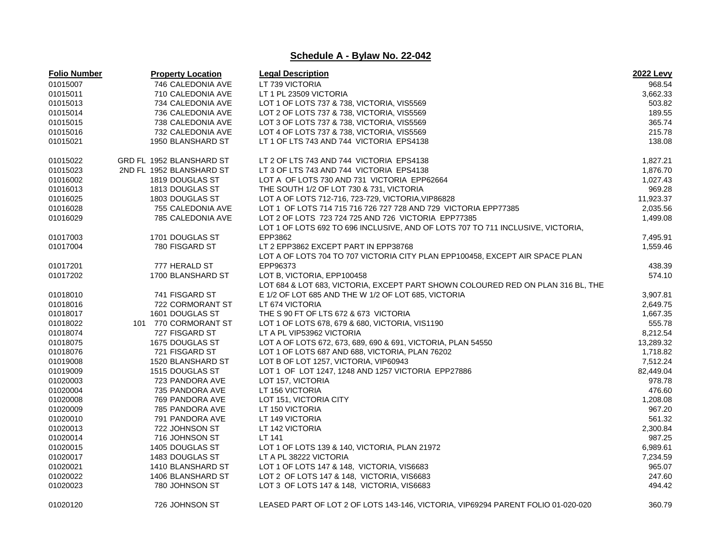| <b>Folio Number</b> | <b>Property Location</b> | <b>Legal Description</b>                                                         | <b>2022 Levy</b>     |
|---------------------|--------------------------|----------------------------------------------------------------------------------|----------------------|
| 01015007            | 746 CALEDONIA AVE        | LT 739 VICTORIA                                                                  | 968.54               |
| 01015011            | 710 CALEDONIA AVE        | LT 1 PL 23509 VICTORIA                                                           | 3,662.33             |
| 01015013            | 734 CALEDONIA AVE        | LOT 1 OF LOTS 737 & 738, VICTORIA, VIS5569                                       | 503.82               |
| 01015014            | 736 CALEDONIA AVE        | LOT 2 OF LOTS 737 & 738, VICTORIA, VIS5569                                       | 189.55               |
| 01015015            | 738 CALEDONIA AVE        | LOT 3 OF LOTS 737 & 738, VICTORIA, VIS5569                                       | 365.74               |
| 01015016            | 732 CALEDONIA AVE        | LOT 4 OF LOTS 737 & 738, VICTORIA, VIS5569                                       | 215.78               |
| 01015021            | 1950 BLANSHARD ST        | LT 1 OF LTS 743 AND 744 VICTORIA EPS4138                                         | 138.08               |
|                     |                          |                                                                                  |                      |
| 01015022            | GRD FL 1952 BLANSHARD ST | LT 2 OF LTS 743 AND 744 VICTORIA EPS4138                                         | 1,827.21             |
| 01015023            | 2ND FL 1952 BLANSHARD ST | LT 3 OF LTS 743 AND 744 VICTORIA EPS4138                                         | 1,876.70             |
| 01016002            | 1819 DOUGLAS ST          | LOT A OF LOTS 730 AND 731 VICTORIA EPP62664                                      | 1,027.43             |
| 01016013            | 1813 DOUGLAS ST          | THE SOUTH 1/2 OF LOT 730 & 731, VICTORIA                                         | 969.28               |
| 01016025            | 1803 DOUGLAS ST          | LOT A OF LOTS 712-716, 723-729, VICTORIA, VIP86828                               | 11,923.37            |
| 01016028            | 755 CALEDONIA AVE        | LOT 1 OF LOTS 714 715 716 726 727 728 AND 729 VICTORIA EPP77385                  | 2,035.56             |
| 01016029            | 785 CALEDONIA AVE        | LOT 2 OF LOTS 723 724 725 AND 726 VICTORIA EPP77385                              | 1,499.08             |
|                     |                          | LOT 1 OF LOTS 692 TO 696 INCLUSIVE, AND OF LOTS 707 TO 711 INCLUSIVE, VICTORIA,  |                      |
| 01017003            | 1701 DOUGLAS ST          | EPP3862                                                                          | 7,495.91             |
| 01017004            | 780 FISGARD ST           | LT 2 EPP3862 EXCEPT PART IN EPP38768                                             | 1,559.46             |
|                     |                          | LOT A OF LOTS 704 TO 707 VICTORIA CITY PLAN EPP100458, EXCEPT AIR SPACE PLAN     |                      |
| 01017201            | 777 HERALD ST            | EPP96373                                                                         | 438.39               |
| 01017202            | 1700 BLANSHARD ST        | LOT B, VICTORIA, EPP100458                                                       | 574.10               |
|                     |                          | LOT 684 & LOT 683, VICTORIA, EXCEPT PART SHOWN COLOURED RED ON PLAN 316 BL, THE  |                      |
| 01018010            | 741 FISGARD ST           | E 1/2 OF LOT 685 AND THE W 1/2 OF LOT 685, VICTORIA                              | 3,907.81             |
| 01018016            | 722 CORMORANT ST         | LT 674 VICTORIA                                                                  | 2,649.75             |
| 01018017            | 1601 DOUGLAS ST          | THE S 90 FT OF LTS 672 & 673 VICTORIA                                            | 1,667.35             |
| 01018022            | 101 770 CORMORANT ST     | LOT 1 OF LOTS 678, 679 & 680, VICTORIA, VIS1190                                  | 555.78               |
| 01018074            | 727 FISGARD ST           | LT A PL VIP53962 VICTORIA                                                        | 8,212.54             |
| 01018075            | 1675 DOUGLAS ST          | LOT A OF LOTS 672, 673, 689, 690 & 691, VICTORIA, PLAN 54550                     | 13,289.32            |
| 01018076            | 721 FISGARD ST           | LOT 1 OF LOTS 687 AND 688, VICTORIA, PLAN 76202                                  | 1,718.82             |
| 01019008            | 1520 BLANSHARD ST        | LOT B OF LOT 1257, VICTORIA, VIP60943                                            | 7,512.24             |
| 01019009            | 1515 DOUGLAS ST          | LOT 1 OF LOT 1247, 1248 AND 1257 VICTORIA EPP27886                               | 82,449.04            |
| 01020003            | 723 PANDORA AVE          | LOT 157, VICTORIA                                                                | 978.78               |
| 01020004            | 735 PANDORA AVE          | LT 156 VICTORIA                                                                  | 476.60               |
| 01020008            | 769 PANDORA AVE          | LOT 151, VICTORIA CITY                                                           | 1,208.08             |
| 01020009            | 785 PANDORA AVE          | LT 150 VICTORIA                                                                  | 967.20               |
| 01020010            | 791 PANDORA AVE          | LT 149 VICTORIA                                                                  | 561.32               |
| 01020013            | 722 JOHNSON ST           | LT 142 VICTORIA                                                                  | 2,300.84             |
| 01020014            | 716 JOHNSON ST           | LT 141                                                                           | 987.25               |
|                     |                          |                                                                                  |                      |
| 01020015            | 1405 DOUGLAS ST          | LOT 1 OF LOTS 139 & 140, VICTORIA, PLAN 21972<br>LT A PL 38222 VICTORIA          | 6,989.61<br>7,234.59 |
| 01020017            | 1483 DOUGLAS ST          | LOT 1 OF LOTS 147 & 148, VICTORIA, VIS6683                                       |                      |
| 01020021            | 1410 BLANSHARD ST        |                                                                                  | 965.07               |
| 01020022            | 1406 BLANSHARD ST        | LOT 2 OF LOTS 147 & 148, VICTORIA, VIS6683                                       | 247.60               |
| 01020023            | 780 JOHNSON ST           | LOT 3 OF LOTS 147 & 148, VICTORIA, VIS6683                                       | 494.42               |
| 01020120            | 726 JOHNSON ST           | LEASED PART OF LOT 2 OF LOTS 143-146, VICTORIA, VIP69294 PARENT FOLIO 01-020-020 | 360.79               |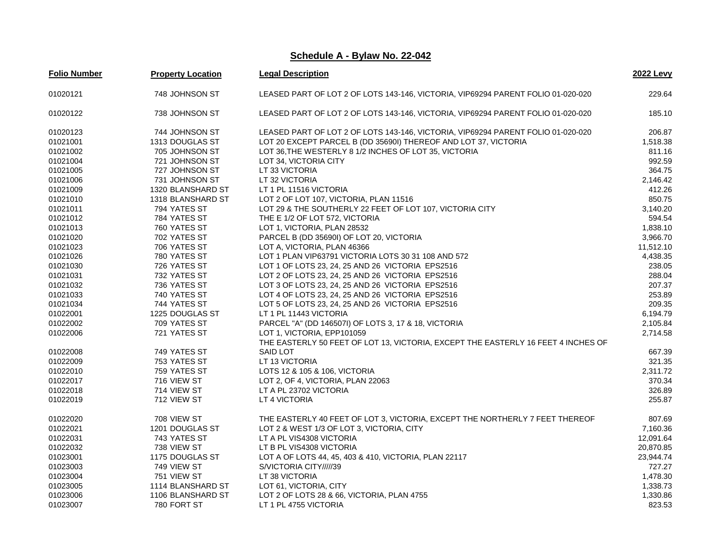| <b>Folio Number</b> | <b>Property Location</b> | <b>Legal Description</b>                                                          | <b>2022 Levy</b> |
|---------------------|--------------------------|-----------------------------------------------------------------------------------|------------------|
| 01020121            | 748 JOHNSON ST           | LEASED PART OF LOT 2 OF LOTS 143-146, VICTORIA, VIP69294 PARENT FOLIO 01-020-020  | 229.64           |
| 01020122            | 738 JOHNSON ST           | LEASED PART OF LOT 2 OF LOTS 143-146, VICTORIA, VIP69294 PARENT FOLIO 01-020-020  | 185.10           |
| 01020123            | 744 JOHNSON ST           | LEASED PART OF LOT 2 OF LOTS 143-146, VICTORIA, VIP69294 PARENT FOLIO 01-020-020  | 206.87           |
| 01021001            | 1313 DOUGLAS ST          | LOT 20 EXCEPT PARCEL B (DD 35690I) THEREOF AND LOT 37, VICTORIA                   | 1,518.38         |
| 01021002            | 705 JOHNSON ST           | LOT 36, THE WESTERLY 8 1/2 INCHES OF LOT 35, VICTORIA                             | 811.16           |
| 01021004            | 721 JOHNSON ST           | LOT 34, VICTORIA CITY                                                             | 992.59           |
| 01021005            | 727 JOHNSON ST           | LT 33 VICTORIA                                                                    | 364.75           |
| 01021006            | 731 JOHNSON ST           | LT 32 VICTORIA                                                                    | 2.146.42         |
| 01021009            | 1320 BLANSHARD ST        | LT 1 PL 11516 VICTORIA                                                            | 412.26           |
| 01021010            | 1318 BLANSHARD ST        | LOT 2 OF LOT 107, VICTORIA, PLAN 11516                                            | 850.75           |
| 01021011            | 794 YATES ST             | LOT 29 & THE SOUTHERLY 22 FEET OF LOT 107, VICTORIA CITY                          | 3,140.20         |
| 01021012            | 784 YATES ST             | THE E 1/2 OF LOT 572, VICTORIA                                                    | 594.54           |
| 01021013            | 760 YATES ST             | LOT 1, VICTORIA, PLAN 28532                                                       | 1,838.10         |
| 01021020            | 702 YATES ST             | PARCEL B (DD 35690I) OF LOT 20, VICTORIA                                          | 3,966.70         |
| 01021023            | 706 YATES ST             | LOT A, VICTORIA, PLAN 46366                                                       | 11,512.10        |
| 01021026            | 780 YATES ST             | LOT 1 PLAN VIP63791 VICTORIA LOTS 30 31 108 AND 572                               | 4,438.35         |
| 01021030            | 726 YATES ST             | LOT 1 OF LOTS 23, 24, 25 AND 26 VICTORIA EPS2516                                  | 238.05           |
| 01021031            | 732 YATES ST             | LOT 2 OF LOTS 23, 24, 25 AND 26 VICTORIA EPS2516                                  | 288.04           |
| 01021032            | 736 YATES ST             | LOT 3 OF LOTS 23, 24, 25 AND 26 VICTORIA EPS2516                                  | 207.37           |
| 01021033            | 740 YATES ST             | LOT 4 OF LOTS 23, 24, 25 AND 26 VICTORIA EPS2516                                  | 253.89           |
| 01021034            | 744 YATES ST             | LOT 5 OF LOTS 23, 24, 25 AND 26 VICTORIA EPS2516                                  | 209.35           |
| 01022001            | 1225 DOUGLAS ST          | LT 1 PL 11443 VICTORIA                                                            | 6,194.79         |
| 01022002            | 709 YATES ST             | PARCEL "A" (DD 146507I) OF LOTS 3, 17 & 18, VICTORIA                              | 2,105.84         |
| 01022006            | 721 YATES ST             | LOT 1, VICTORIA, EPP101059                                                        | 2,714.58         |
|                     |                          | THE EASTERLY 50 FEET OF LOT 13, VICTORIA, EXCEPT THE EASTERLY 16 FEET 4 INCHES OF |                  |
| 01022008            | 749 YATES ST             | SAID LOT                                                                          | 667.39           |
| 01022009            | 753 YATES ST             | LT 13 VICTORIA                                                                    | 321.35           |
| 01022010            | 759 YATES ST             | LOTS 12 & 105 & 106, VICTORIA                                                     | 2,311.72         |
| 01022017            | 716 VIEW ST              | LOT 2, OF 4, VICTORIA, PLAN 22063                                                 | 370.34           |
| 01022018            | 714 VIEW ST              | LT A PL 23702 VICTORIA                                                            | 326.89           |
| 01022019            | 712 VIEW ST              | LT 4 VICTORIA                                                                     | 255.87           |
| 01022020            | 708 VIEW ST              | THE EASTERLY 40 FEET OF LOT 3, VICTORIA, EXCEPT THE NORTHERLY 7 FEET THEREOF      | 807.69           |
| 01022021            | 1201 DOUGLAS ST          | LOT 2 & WEST 1/3 OF LOT 3, VICTORIA, CITY                                         | 7,160.36         |
| 01022031            | 743 YATES ST             | LT A PL VIS4308 VICTORIA                                                          | 12,091.64        |
| 01022032            | 738 VIEW ST              | LT B PL VIS4308 VICTORIA                                                          | 20,870.85        |
| 01023001            | 1175 DOUGLAS ST          | LOT A OF LOTS 44, 45, 403 & 410, VICTORIA, PLAN 22117                             | 23,944.74        |
| 01023003            | 749 VIEW ST              | S/VICTORIA CITY/////39                                                            | 727.27           |
| 01023004            | 751 VIEW ST              | LT 38 VICTORIA                                                                    | 1,478.30         |
| 01023005            | 1114 BLANSHARD ST        | LOT 61, VICTORIA, CITY                                                            | 1,338.73         |
| 01023006            | 1106 BLANSHARD ST        | LOT 2 OF LOTS 28 & 66, VICTORIA, PLAN 4755                                        | 1,330.86         |
| 01023007            | 780 FORT ST              | LT 1 PL 4755 VICTORIA                                                             | 823.53           |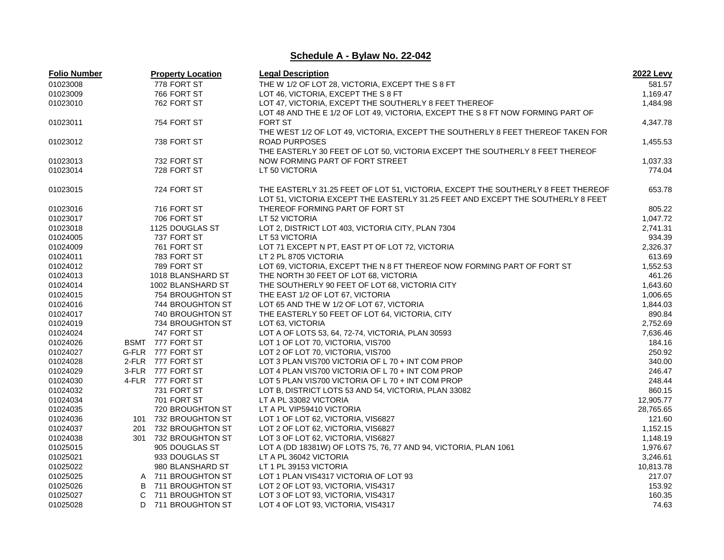| <b>Folio Number</b> |    | <b>Property Location</b> | <b>Legal Description</b>                                                         | <b>2022 Levy</b> |
|---------------------|----|--------------------------|----------------------------------------------------------------------------------|------------------|
| 01023008            |    | 778 FORT ST              | THE W 1/2 OF LOT 28, VICTORIA, EXCEPT THE S 8 FT                                 | 581.57           |
| 01023009            |    | 766 FORT ST              | LOT 46, VICTORIA, EXCEPT THE S 8 FT                                              | 1,169.47         |
| 01023010            |    | 762 FORT ST              | LOT 47, VICTORIA, EXCEPT THE SOUTHERLY 8 FEET THEREOF                            | 1,484.98         |
|                     |    |                          | LOT 48 AND THE E 1/2 OF LOT 49, VICTORIA, EXCEPT THE S 8 FT NOW FORMING PART OF  |                  |
| 01023011            |    | 754 FORT ST              | <b>FORT ST</b>                                                                   | 4,347.78         |
|                     |    |                          | THE WEST 1/2 OF LOT 49, VICTORIA, EXCEPT THE SOUTHERLY 8 FEET THEREOF TAKEN FOR  |                  |
| 01023012            |    | 738 FORT ST              | <b>ROAD PURPOSES</b>                                                             | 1,455.53         |
|                     |    |                          | THE EASTERLY 30 FEET OF LOT 50, VICTORIA EXCEPT THE SOUTHERLY 8 FEET THEREOF     |                  |
| 01023013            |    | 732 FORT ST              | NOW FORMING PART OF FORT STREET                                                  | 1,037.33         |
| 01023014            |    | 728 FORT ST              | LT 50 VICTORIA                                                                   | 774.04           |
|                     |    |                          |                                                                                  |                  |
| 01023015            |    | 724 FORT ST              | THE EASTERLY 31.25 FEET OF LOT 51, VICTORIA, EXCEPT THE SOUTHERLY 8 FEET THEREOF | 653.78           |
|                     |    |                          | LOT 51, VICTORIA EXCEPT THE EASTERLY 31.25 FEET AND EXCEPT THE SOUTHERLY 8 FEET  |                  |
| 01023016            |    | 716 FORT ST              | THEREOF FORMING PART OF FORT ST                                                  | 805.22           |
| 01023017            |    | 706 FORT ST              | LT 52 VICTORIA                                                                   | 1,047.72         |
| 01023018            |    | 1125 DOUGLAS ST          | LOT 2, DISTRICT LOT 403, VICTORIA CITY, PLAN 7304                                | 2,741.31         |
| 01024005            |    | 737 FORT ST              | LT 53 VICTORIA                                                                   | 934.39           |
| 01024009            |    | 761 FORT ST              | LOT 71 EXCEPT N PT, EAST PT OF LOT 72, VICTORIA                                  | 2,326.37         |
| 01024011            |    | 783 FORT ST              | LT 2 PL 8705 VICTORIA                                                            | 613.69           |
| 01024012            |    | 789 FORT ST              | LOT 69, VICTORIA, EXCEPT THE N 8 FT THEREOF NOW FORMING PART OF FORT ST          | 1,552.53         |
| 01024013            |    | 1018 BLANSHARD ST        | THE NORTH 30 FEET OF LOT 68, VICTORIA                                            | 461.26           |
| 01024014            |    | 1002 BLANSHARD ST        | THE SOUTHERLY 90 FEET OF LOT 68, VICTORIA CITY                                   | 1,643.60         |
| 01024015            |    | 754 BROUGHTON ST         | THE EAST 1/2 OF LOT 67, VICTORIA                                                 | 1,006.65         |
| 01024016            |    | 744 BROUGHTON ST         | LOT 65 AND THE W 1/2 OF LOT 67, VICTORIA                                         | 1,844.03         |
| 01024017            |    | 740 BROUGHTON ST         | THE EASTERLY 50 FEET OF LOT 64, VICTORIA, CITY                                   | 890.84           |
| 01024019            |    | 734 BROUGHTON ST         | LOT 63, VICTORIA                                                                 | 2,752.69         |
| 01024024            |    | 747 FORT ST              | LOT A OF LOTS 53, 64, 72-74, VICTORIA, PLAN 30593                                | 7,636.46         |
| 01024026            |    | BSMT 777 FORT ST         | LOT 1 OF LOT 70, VICTORIA, VIS700                                                | 184.16           |
| 01024027            |    | G-FLR 777 FORT ST        | LOT 2 OF LOT 70, VICTORIA, VIS700                                                | 250.92           |
| 01024028            |    | 2-FLR 777 FORT ST        | LOT 3 PLAN VIS700 VICTORIA OF L 70 + INT COM PROP                                | 340.00           |
| 01024029            |    | 3-FLR 777 FORT ST        | LOT 4 PLAN VIS700 VICTORIA OF L 70 + INT COM PROP                                | 246.47           |
| 01024030            |    | 4-FLR 777 FORT ST        | LOT 5 PLAN VIS700 VICTORIA OF L 70 + INT COM PROP                                | 248.44           |
| 01024032            |    | 731 FORT ST              | LOT B, DISTRICT LOTS 53 AND 54, VICTORIA, PLAN 33082                             | 860.15           |
| 01024034            |    | 701 FORT ST              | LT A PL 33082 VICTORIA                                                           | 12,905.77        |
| 01024035            |    | 720 BROUGHTON ST         |                                                                                  | 28,765.65        |
| 01024036            |    | 101 732 BROUGHTON ST     | LT A PL VIP59410 VICTORIA<br>LOT 1 OF LOT 62, VICTORIA, VIS6827                  |                  |
|                     |    |                          |                                                                                  | 121.60           |
| 01024037            |    | 201 732 BROUGHTON ST     | LOT 2 OF LOT 62, VICTORIA, VIS6827                                               | 1,152.15         |
| 01024038            |    | 301 732 BROUGHTON ST     | LOT 3 OF LOT 62, VICTORIA, VIS6827                                               | 1,148.19         |
| 01025015            |    | 905 DOUGLAS ST           | LOT A (DD 18381W) OF LOTS 75, 76, 77 AND 94, VICTORIA, PLAN 1061                 | 1,976.67         |
| 01025021            |    | 933 DOUGLAS ST           | LT A PL 36042 VICTORIA                                                           | 3,246.61         |
| 01025022            |    | 980 BLANSHARD ST         | LT 1 PL 39153 VICTORIA                                                           | 10,813.78        |
| 01025025            |    | A 711 BROUGHTON ST       | LOT 1 PLAN VIS4317 VICTORIA OF LOT 93                                            | 217.07           |
| 01025026            | В  | 711 BROUGHTON ST         | LOT 2 OF LOT 93, VICTORIA, VIS4317                                               | 153.92           |
| 01025027            | C. | 711 BROUGHTON ST         | LOT 3 OF LOT 93, VICTORIA, VIS4317                                               | 160.35           |
| 01025028            |    | D 711 BROUGHTON ST       | LOT 4 OF LOT 93, VICTORIA, VIS4317                                               | 74.63            |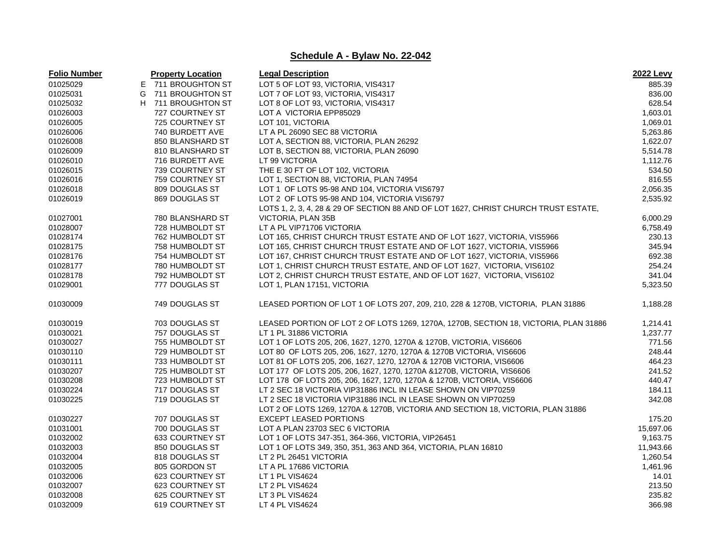| <b>Folio Number</b> |    | <b>Property Location</b> | <b>Legal Description</b>                                                             | 2022 Levy |
|---------------------|----|--------------------------|--------------------------------------------------------------------------------------|-----------|
| 01025029            |    | E 711 BROUGHTON ST       | LOT 5 OF LOT 93, VICTORIA, VIS4317                                                   | 885.39    |
| 01025031            | G  | 711 BROUGHTON ST         | LOT 7 OF LOT 93, VICTORIA, VIS4317                                                   | 836.00    |
| 01025032            | H. | 711 BROUGHTON ST         | LOT 8 OF LOT 93, VICTORIA, VIS4317                                                   | 628.54    |
| 01026003            |    | 727 COURTNEY ST          | LOT A VICTORIA EPP85029                                                              | 1,603.01  |
| 01026005            |    | 725 COURTNEY ST          | LOT 101, VICTORIA                                                                    | 1,069.01  |
| 01026006            |    | 740 BURDETT AVE          | LT A PL 26090 SEC 88 VICTORIA                                                        | 5,263.86  |
| 01026008            |    | 850 BLANSHARD ST         | LOT A, SECTION 88, VICTORIA, PLAN 26292                                              | 1,622.07  |
| 01026009            |    | 810 BLANSHARD ST         | LOT B, SECTION 88, VICTORIA, PLAN 26090                                              | 5,514.78  |
| 01026010            |    | 716 BURDETT AVE          | LT 99 VICTORIA                                                                       | 1,112.76  |
| 01026015            |    | 739 COURTNEY ST          | THE E 30 FT OF LOT 102, VICTORIA                                                     | 534.50    |
| 01026016            |    | 759 COURTNEY ST          | LOT 1, SECTION 88, VICTORIA, PLAN 74954                                              | 816.55    |
| 01026018            |    | 809 DOUGLAS ST           | LOT 1 OF LOTS 95-98 AND 104, VICTORIA VIS6797                                        | 2,056.35  |
| 01026019            |    | 869 DOUGLAS ST           | LOT 2 OF LOTS 95-98 AND 104, VICTORIA VIS6797                                        | 2,535.92  |
|                     |    |                          | LOTS 1, 2, 3, 4, 28 & 29 OF SECTION 88 AND OF LOT 1627, CHRIST CHURCH TRUST ESTATE,  |           |
| 01027001            |    | 780 BLANSHARD ST         | VICTORIA, PLAN 35B                                                                   | 6,000.29  |
| 01028007            |    | 728 HUMBOLDT ST          | LT A PL VIP71706 VICTORIA                                                            | 6,758.49  |
| 01028174            |    | 762 HUMBOLDT ST          | LOT 165, CHRIST CHURCH TRUST ESTATE AND OF LOT 1627, VICTORIA, VIS5966               | 230.13    |
| 01028175            |    | 758 HUMBOLDT ST          | LOT 165, CHRIST CHURCH TRUST ESTATE AND OF LOT 1627, VICTORIA, VIS5966               | 345.94    |
| 01028176            |    | 754 HUMBOLDT ST          | LOT 167, CHRIST CHURCH TRUST ESTATE AND OF LOT 1627, VICTORIA, VIS5966               | 692.38    |
| 01028177            |    | 780 HUMBOLDT ST          | LOT 1, CHRIST CHURCH TRUST ESTATE, AND OF LOT 1627, VICTORIA, VIS6102                | 254.24    |
| 01028178            |    | 792 HUMBOLDT ST          | LOT 2, CHRIST CHURCH TRUST ESTATE, AND OF LOT 1627, VICTORIA, VIS6102                | 341.04    |
| 01029001            |    | 777 DOUGLAS ST           | LOT 1, PLAN 17151, VICTORIA                                                          | 5,323.50  |
| 01030009            |    | 749 DOUGLAS ST           | LEASED PORTION OF LOT 1 OF LOTS 207, 209, 210, 228 & 1270B, VICTORIA, PLAN 31886     | 1,188.28  |
| 01030019            |    | 703 DOUGLAS ST           | LEASED PORTION OF LOT 2 OF LOTS 1269, 1270A, 1270B, SECTION 18, VICTORIA, PLAN 31886 | 1,214.41  |
| 01030021            |    | 757 DOUGLAS ST           | LT 1 PL 31886 VICTORIA                                                               | 1,237.77  |
| 01030027            |    | 755 HUMBOLDT ST          | LOT 1 OF LOTS 205, 206, 1627, 1270, 1270A & 1270B, VICTORIA, VIS6606                 | 771.56    |
| 01030110            |    | 729 HUMBOLDT ST          | LOT 80 OF LOTS 205, 206, 1627, 1270, 1270A & 1270B VICTORIA, VIS6606                 | 248.44    |
| 01030111            |    | 733 HUMBOLDT ST          | LOT 81 OF LOTS 205, 206, 1627, 1270, 1270A & 1270B VICTORIA, VIS6606                 | 464.23    |
| 01030207            |    | 725 HUMBOLDT ST          | LOT 177 OF LOTS 205, 206, 1627, 1270, 1270A & 1270B, VICTORIA, VIS6606               | 241.52    |
| 01030208            |    | 723 HUMBOLDT ST          | LOT 178 OF LOTS 205, 206, 1627, 1270, 1270A & 1270B, VICTORIA, VIS6606               | 440.47    |
| 01030224            |    | 717 DOUGLAS ST           | LT 2 SEC 18 VICTORIA VIP31886 INCL IN LEASE SHOWN ON VIP70259                        | 184.11    |
| 01030225            |    | 719 DOUGLAS ST           | LT 2 SEC 18 VICTORIA VIP31886 INCL IN LEASE SHOWN ON VIP70259                        | 342.08    |
|                     |    |                          | LOT 2 OF LOTS 1269, 1270A & 1270B, VICTORIA AND SECTION 18, VICTORIA, PLAN 31886     |           |
| 01030227            |    | 707 DOUGLAS ST           | <b>EXCEPT LEASED PORTIONS</b>                                                        | 175.20    |
| 01031001            |    | 700 DOUGLAS ST           | LOT A PLAN 23703 SEC 6 VICTORIA                                                      | 15,697.06 |
| 01032002            |    | 633 COURTNEY ST          | LOT 1 OF LOTS 347-351, 364-366, VICTORIA, VIP26451                                   | 9,163.75  |
| 01032003            |    | 850 DOUGLAS ST           | LOT 1 OF LOTS 349, 350, 351, 363 AND 364, VICTORIA, PLAN 16810                       | 11,943.66 |
| 01032004            |    | 818 DOUGLAS ST           | LT 2 PL 26451 VICTORIA                                                               | 1,260.54  |
| 01032005            |    | 805 GORDON ST            | LT A PL 17686 VICTORIA                                                               | 1,461.96  |
| 01032006            |    | 623 COURTNEY ST          | LT 1 PL VIS4624                                                                      | 14.01     |
| 01032007            |    | 623 COURTNEY ST          | LT 2 PL VIS4624                                                                      | 213.50    |
| 01032008            |    | 625 COURTNEY ST          | LT 3 PL VIS4624                                                                      | 235.82    |
| 01032009            |    | <b>619 COURTNEY ST</b>   | LT 4 PL VIS4624                                                                      | 366.98    |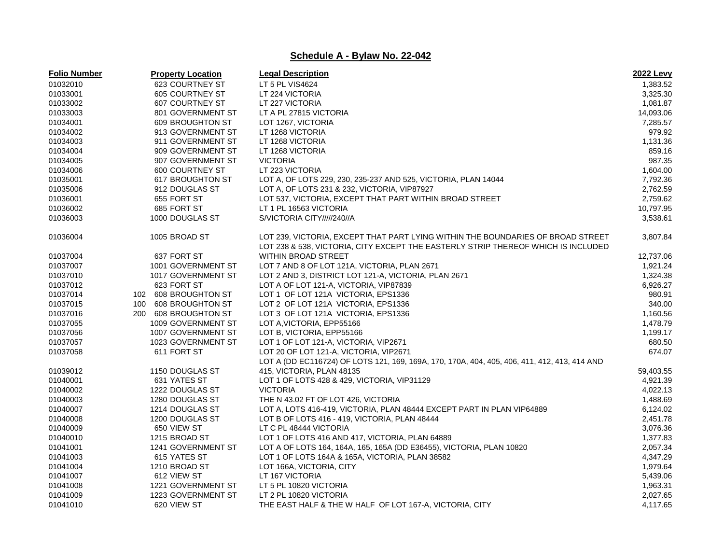| <b>Folio Number</b> | <b>Property Location</b> | <b>Legal Description</b>                                                                                                                                             | <b>2022 Levy</b> |
|---------------------|--------------------------|----------------------------------------------------------------------------------------------------------------------------------------------------------------------|------------------|
| 01032010            | <b>623 COURTNEY ST</b>   | LT 5 PL VIS4624                                                                                                                                                      | 1,383.52         |
| 01033001            | <b>605 COURTNEY ST</b>   | LT 224 VICTORIA                                                                                                                                                      | 3,325.30         |
| 01033002            | 607 COURTNEY ST          | LT 227 VICTORIA                                                                                                                                                      | 1,081.87         |
| 01033003            | 801 GOVERNMENT ST        | LT A PL 27815 VICTORIA                                                                                                                                               | 14,093.06        |
| 01034001            | 609 BROUGHTON ST         | LOT 1267, VICTORIA                                                                                                                                                   | 7,285.57         |
| 01034002            | 913 GOVERNMENT ST        | LT 1268 VICTORIA                                                                                                                                                     | 979.92           |
| 01034003            | 911 GOVERNMENT ST        | LT 1268 VICTORIA                                                                                                                                                     | 1,131.36         |
| 01034004            | 909 GOVERNMENT ST        | LT 1268 VICTORIA                                                                                                                                                     | 859.16           |
| 01034005            | 907 GOVERNMENT ST        | <b>VICTORIA</b>                                                                                                                                                      | 987.35           |
| 01034006            | 600 COURTNEY ST          | LT 223 VICTORIA                                                                                                                                                      | 1,604.00         |
| 01035001            | 617 BROUGHTON ST         | LOT A, OF LOTS 229, 230, 235-237 AND 525, VICTORIA, PLAN 14044                                                                                                       | 7,792.36         |
| 01035006            | 912 DOUGLAS ST           | LOT A, OF LOTS 231 & 232, VICTORIA, VIP87927                                                                                                                         | 2,762.59         |
| 01036001            | 655 FORT ST              | LOT 537, VICTORIA, EXCEPT THAT PART WITHIN BROAD STREET                                                                                                              | 2,759.62         |
| 01036002            | 685 FORT ST              | LT 1 PL 16563 VICTORIA                                                                                                                                               | 10,797.95        |
| 01036003            | 1000 DOUGLAS ST          | S/VICTORIA CITY/////240//A                                                                                                                                           | 3,538.61         |
| 01036004            | 1005 BROAD ST            | LOT 239, VICTORIA, EXCEPT THAT PART LYING WITHIN THE BOUNDARIES OF BROAD STREET<br>LOT 238 & 538, VICTORIA, CITY EXCEPT THE EASTERLY STRIP THEREOF WHICH IS INCLUDED | 3,807.84         |
| 01037004            | 637 FORT ST              | <b>WITHIN BROAD STREET</b>                                                                                                                                           | 12,737.06        |
| 01037007            | 1001 GOVERNMENT ST       | LOT 7 AND 8 OF LOT 121A, VICTORIA, PLAN 2671                                                                                                                         | 1,921.24         |
| 01037010            | 1017 GOVERNMENT ST       | LOT 2 AND 3, DISTRICT LOT 121-A, VICTORIA, PLAN 2671                                                                                                                 | 1,324.38         |
| 01037012            | 623 FORT ST              | LOT A OF LOT 121-A, VICTORIA, VIP87839                                                                                                                               | 6,926.27         |
| 01037014            | 102 608 BROUGHTON ST     | LOT 1 OF LOT 121A VICTORIA, EPS1336                                                                                                                                  | 980.91           |
| 01037015            | 608 BROUGHTON ST<br>100  | LOT 2 OF LOT 121A VICTORIA, EPS1336                                                                                                                                  | 340.00           |
| 01037016            | 200 608 BROUGHTON ST     | LOT 3 OF LOT 121A VICTORIA, EPS1336                                                                                                                                  | 1,160.56         |
| 01037055            | 1009 GOVERNMENT ST       | LOT A, VICTORIA, EPP55166                                                                                                                                            | 1,478.79         |
| 01037056            | 1007 GOVERNMENT ST       | LOT B, VICTORIA, EPP55166                                                                                                                                            | 1,199.17         |
| 01037057            | 1023 GOVERNMENT ST       | LOT 1 OF LOT 121-A, VICTORIA, VIP2671                                                                                                                                | 680.50           |
| 01037058            | 611 FORT ST              | LOT 20 OF LOT 121-A, VICTORIA, VIP2671                                                                                                                               | 674.07           |
|                     |                          | LOT A (DD EC116724) OF LOTS 121, 169, 169A, 170, 170A, 404, 405, 406, 411, 412, 413, 414 AND                                                                         |                  |
| 01039012            | 1150 DOUGLAS ST          | 415, VICTORIA, PLAN 48135                                                                                                                                            | 59,403.55        |
| 01040001            | 631 YATES ST             | LOT 1 OF LOTS 428 & 429, VICTORIA, VIP31129                                                                                                                          | 4,921.39         |
| 01040002            | 1222 DOUGLAS ST          | <b>VICTORIA</b>                                                                                                                                                      | 4,022.13         |
| 01040003            | 1280 DOUGLAS ST          | THE N 43.02 FT OF LOT 426, VICTORIA                                                                                                                                  | 1,488.69         |
| 01040007            | 1214 DOUGLAS ST          | LOT A, LOTS 416-419, VICTORIA, PLAN 48444 EXCEPT PART IN PLAN VIP64889                                                                                               | 6,124.02         |
| 01040008            | 1200 DOUGLAS ST          | LOT B OF LOTS 416 - 419, VICTORIA, PLAN 48444                                                                                                                        | 2,451.78         |
| 01040009            | 650 VIEW ST              | LT C PL 48444 VICTORIA                                                                                                                                               | 3,076.36         |
| 01040010            | 1215 BROAD ST            | LOT 1 OF LOTS 416 AND 417, VICTORIA, PLAN 64889                                                                                                                      | 1,377.83         |
| 01041001            | 1241 GOVERNMENT ST       | LOT A OF LOTS 164, 164A, 165, 165A (DD E36455), VICTORIA, PLAN 10820                                                                                                 | 2,057.34         |
| 01041003            | 615 YATES ST             | LOT 1 OF LOTS 164A & 165A, VICTORIA, PLAN 38582                                                                                                                      | 4,347.29         |
| 01041004            | 1210 BROAD ST            | LOT 166A, VICTORIA, CITY                                                                                                                                             | 1,979.64         |
| 01041007            | 612 VIEW ST              | LT 167 VICTORIA                                                                                                                                                      | 5,439.06         |
| 01041008            | 1221 GOVERNMENT ST       | LT 5 PL 10820 VICTORIA                                                                                                                                               | 1,963.31         |
| 01041009            | 1223 GOVERNMENT ST       | LT 2 PL 10820 VICTORIA                                                                                                                                               | 2,027.65         |
| 01041010            | 620 VIEW ST              | THE EAST HALF & THE W HALF OF LOT 167-A, VICTORIA, CITY                                                                                                              | 4,117.65         |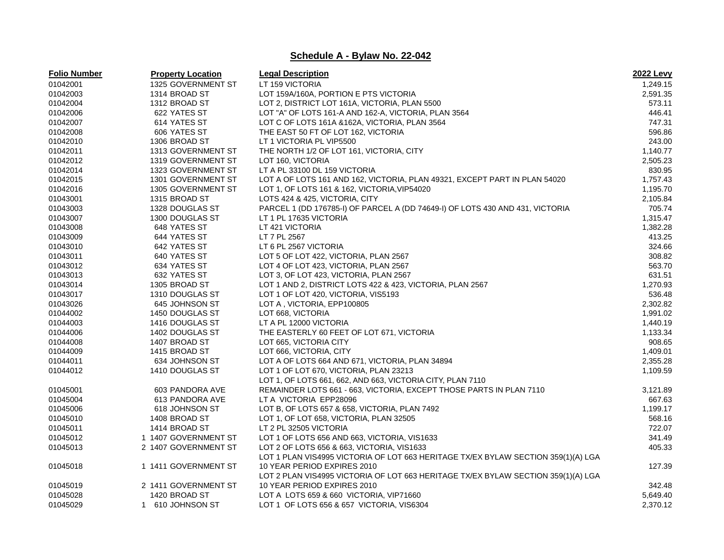| <b>Folio Number</b> | <b>Property Location</b> | <b>Legal Description</b>                                                          | <b>2022 Levy</b> |
|---------------------|--------------------------|-----------------------------------------------------------------------------------|------------------|
| 01042001            | 1325 GOVERNMENT ST       | LT 159 VICTORIA                                                                   | 1,249.15         |
| 01042003            | 1314 BROAD ST            | LOT 159A/160A, PORTION E PTS VICTORIA                                             | 2,591.35         |
| 01042004            | 1312 BROAD ST            | LOT 2, DISTRICT LOT 161A, VICTORIA, PLAN 5500                                     | 573.11           |
| 01042006            | 622 YATES ST             | LOT "A" OF LOTS 161-A AND 162-A, VICTORIA, PLAN 3564                              | 446.41           |
| 01042007            | 614 YATES ST             | LOT C OF LOTS 161A & 162A, VICTORIA, PLAN 3564                                    | 747.31           |
| 01042008            | 606 YATES ST             | THE EAST 50 FT OF LOT 162, VICTORIA                                               | 596.86           |
| 01042010            | 1306 BROAD ST            | LT 1 VICTORIA PL VIP5500                                                          | 243.00           |
| 01042011            | 1313 GOVERNMENT ST       | THE NORTH 1/2 OF LOT 161, VICTORIA, CITY                                          | 1,140.77         |
| 01042012            | 1319 GOVERNMENT ST       | LOT 160, VICTORIA                                                                 | 2,505.23         |
| 01042014            | 1323 GOVERNMENT ST       | LT A PL 33100 DL 159 VICTORIA                                                     | 830.95           |
| 01042015            | 1301 GOVERNMENT ST       | LOT A OF LOTS 161 AND 162, VICTORIA, PLAN 49321, EXCEPT PART IN PLAN 54020        | 1,757.43         |
| 01042016            | 1305 GOVERNMENT ST       | LOT 1, OF LOTS 161 & 162, VICTORIA, VIP54020                                      | 1,195.70         |
| 01043001            | 1315 BROAD ST            | LOTS 424 & 425, VICTORIA, CITY                                                    | 2,105.84         |
| 01043003            | 1328 DOUGLAS ST          | PARCEL 1 (DD 176785-I) OF PARCEL A (DD 74649-I) OF LOTS 430 AND 431, VICTORIA     | 705.74           |
| 01043007            | 1300 DOUGLAS ST          | LT 1 PL 17635 VICTORIA                                                            | 1,315.47         |
| 01043008            | 648 YATES ST             | LT 421 VICTORIA                                                                   | 1,382.28         |
| 01043009            | 644 YATES ST             | LT 7 PL 2567                                                                      | 413.25           |
| 01043010            | 642 YATES ST             | LT 6 PL 2567 VICTORIA                                                             | 324.66           |
| 01043011            | 640 YATES ST             | LOT 5 OF LOT 422, VICTORIA, PLAN 2567                                             | 308.82           |
| 01043012            | 634 YATES ST             | LOT 4 OF LOT 423, VICTORIA, PLAN 2567                                             | 563.70           |
| 01043013            | 632 YATES ST             | LOT 3, OF LOT 423, VICTORIA, PLAN 2567                                            | 631.51           |
| 01043014            | 1305 BROAD ST            | LOT 1 AND 2, DISTRICT LOTS 422 & 423, VICTORIA, PLAN 2567                         | 1,270.93         |
| 01043017            | 1310 DOUGLAS ST          | LOT 1 OF LOT 420, VICTORIA, VIS5193                                               | 536.48           |
| 01043026            | 645 JOHNSON ST           | LOT A, VICTORIA, EPP100805                                                        | 2,302.82         |
| 01044002            | 1450 DOUGLAS ST          | LOT 668, VICTORIA                                                                 | 1,991.02         |
| 01044003            | 1416 DOUGLAS ST          | LT A PL 12000 VICTORIA                                                            | 1,440.19         |
| 01044006            | 1402 DOUGLAS ST          | THE EASTERLY 60 FEET OF LOT 671, VICTORIA                                         | 1,133.34         |
| 01044008            | 1407 BROAD ST            | LOT 665, VICTORIA CITY                                                            | 908.65           |
| 01044009            | 1415 BROAD ST            | LOT 666, VICTORIA, CITY                                                           | 1,409.01         |
| 01044011            | 634 JOHNSON ST           | LOT A OF LOTS 664 AND 671, VICTORIA, PLAN 34894                                   | 2,355.28         |
| 01044012            | 1410 DOUGLAS ST          | LOT 1 OF LOT 670, VICTORIA, PLAN 23213                                            | 1,109.59         |
|                     |                          | LOT 1, OF LOTS 661, 662, AND 663, VICTORIA CITY, PLAN 7110                        |                  |
| 01045001            | 603 PANDORA AVE          | REMAINDER LOTS 661 - 663, VICTORIA, EXCEPT THOSE PARTS IN PLAN 7110               | 3,121.89         |
| 01045004            | 613 PANDORA AVE          | LT A VICTORIA EPP28096                                                            | 667.63           |
| 01045006            | 618 JOHNSON ST           | LOT B, OF LOTS 657 & 658, VICTORIA, PLAN 7492                                     | 1,199.17         |
| 01045010            | 1408 BROAD ST            | LOT 1, OF LOT 658, VICTORIA, PLAN 32505                                           | 568.16           |
| 01045011            | 1414 BROAD ST            | LT 2 PL 32505 VICTORIA                                                            | 722.07           |
| 01045012            | 1 1407 GOVERNMENT ST     | LOT 1 OF LOTS 656 AND 663, VICTORIA, VIS1633                                      | 341.49           |
| 01045013            | 2 1407 GOVERNMENT ST     | LOT 2 OF LOTS 656 & 663, VICTORIA, VIS1633                                        | 405.33           |
|                     |                          | LOT 1 PLAN VIS4995 VICTORIA OF LOT 663 HERITAGE TX/EX BYLAW SECTION 359(1)(A) LGA |                  |
| 01045018            | 1 1411 GOVERNMENT ST     | 10 YEAR PERIOD EXPIRES 2010                                                       | 127.39           |
|                     |                          | LOT 2 PLAN VIS4995 VICTORIA OF LOT 663 HERITAGE TX/EX BYLAW SECTION 359(1)(A) LGA |                  |
| 01045019            | 2 1411 GOVERNMENT ST     | 10 YEAR PERIOD EXPIRES 2010                                                       | 342.48           |
| 01045028            | 1420 BROAD ST            | LOT A LOTS 659 & 660 VICTORIA, VIP71660                                           | 5,649.40         |
| 01045029            | 1 610 JOHNSON ST         | LOT 1 OF LOTS 656 & 657 VICTORIA, VIS6304                                         | 2,370.12         |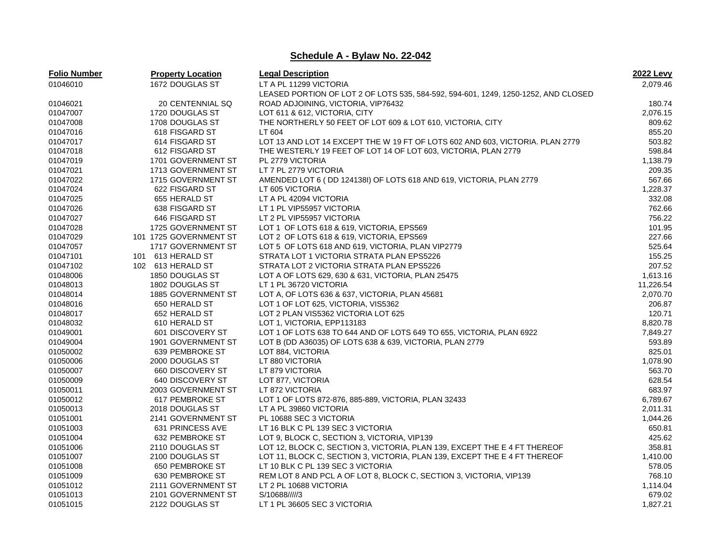| <b>Folio Number</b> | <b>Property Location</b> | <b>Legal Description</b>                                                           | <b>2022 Levy</b> |
|---------------------|--------------------------|------------------------------------------------------------------------------------|------------------|
| 01046010            | 1672 DOUGLAS ST          | LT A PL 11299 VICTORIA                                                             | 2,079.46         |
|                     |                          | LEASED PORTION OF LOT 2 OF LOTS 535, 584-592, 594-601, 1249, 1250-1252, AND CLOSED |                  |
| 01046021            | 20 CENTENNIAL SQ         | ROAD ADJOINING, VICTORIA, VIP76432                                                 | 180.74           |
| 01047007            | 1720 DOUGLAS ST          | LOT 611 & 612, VICTORIA, CITY                                                      | 2,076.15         |
| 01047008            | 1708 DOUGLAS ST          | THE NORTHERLY 50 FEET OF LOT 609 & LOT 610, VICTORIA, CITY                         | 809.62           |
| 01047016            | 618 FISGARD ST           | LT 604                                                                             | 855.20           |
| 01047017            | 614 FISGARD ST           | LOT 13 AND LOT 14 EXCEPT THE W 19 FT OF LOTS 602 AND 603, VICTORIA. PLAN 2779      | 503.82           |
| 01047018            | 612 FISGARD ST           | THE WESTERLY 19 FEET OF LOT 14 OF LOT 603, VICTORIA, PLAN 2779                     | 598.84           |
| 01047019            | 1701 GOVERNMENT ST       | PL 2779 VICTORIA                                                                   | 1,138.79         |
| 01047021            | 1713 GOVERNMENT ST       | LT 7 PL 2779 VICTORIA                                                              | 209.35           |
| 01047022            | 1715 GOVERNMENT ST       | AMENDED LOT 6 (DD 124138I) OF LOTS 618 AND 619, VICTORIA, PLAN 2779                | 567.66           |
| 01047024            | 622 FISGARD ST           | LT 605 VICTORIA                                                                    | 1,228.37         |
| 01047025            | 655 HERALD ST            | LT A PL 42094 VICTORIA                                                             | 332.08           |
| 01047026            | 638 FISGARD ST           | LT 1 PL VIP55957 VICTORIA                                                          | 762.66           |
| 01047027            | 646 FISGARD ST           | LT 2 PL VIP55957 VICTORIA                                                          | 756.22           |
| 01047028            | 1725 GOVERNMENT ST       | LOT 1 OF LOTS 618 & 619, VICTORIA, EPS569                                          | 101.95           |
| 01047029            | 101 1725 GOVERNMENT ST   | LOT 2 OF LOTS 618 & 619, VICTORIA, EPS569                                          | 227.66           |
| 01047057            | 1717 GOVERNMENT ST       | LOT 5 OF LOTS 618 AND 619, VICTORIA, PLAN VIP2779                                  | 525.64           |
| 01047101            | 101 613 HERALD ST        | STRATA LOT 1 VICTORIA STRATA PLAN EPS5226                                          | 155.25           |
| 01047102            | 102 613 HERALD ST        | STRATA LOT 2 VICTORIA STRATA PLAN EPS5226                                          | 207.52           |
| 01048006            | 1850 DOUGLAS ST          | LOT A OF LOTS 629, 630 & 631, VICTORIA, PLAN 25475                                 | 1,613.16         |
| 01048013            | 1802 DOUGLAS ST          | LT 1 PL 36720 VICTORIA                                                             | 11,226.54        |
| 01048014            | 1885 GOVERNMENT ST       | LOT A, OF LOTS 636 & 637, VICTORIA, PLAN 45681                                     | 2,070.70         |
| 01048016            | 650 HERALD ST            | LOT 1 OF LOT 625, VICTORIA, VIS5362                                                | 206.87           |
| 01048017            | 652 HERALD ST            | LOT 2 PLAN VIS5362 VICTORIA LOT 625                                                | 120.71           |
| 01048032            | 610 HERALD ST            | LOT 1, VICTORIA, EPP113183                                                         | 8,820.78         |
| 01049001            | 601 DISCOVERY ST         | LOT 1 OF LOTS 638 TO 644 AND OF LOTS 649 TO 655, VICTORIA, PLAN 6922               | 7,849.27         |
| 01049004            | 1901 GOVERNMENT ST       | LOT B (DD A36035) OF LOTS 638 & 639, VICTORIA, PLAN 2779                           | 593.89           |
| 01050002            | 639 PEMBROKE ST          | LOT 884, VICTORIA                                                                  | 825.01           |
| 01050006            | 2000 DOUGLAS ST          | LT 880 VICTORIA                                                                    | 1,078.90         |
| 01050007            | 660 DISCOVERY ST         | LT 879 VICTORIA                                                                    | 563.70           |
| 01050009            | 640 DISCOVERY ST         | LOT 877, VICTORIA                                                                  | 628.54           |
| 01050011            | 2003 GOVERNMENT ST       | LT 872 VICTORIA                                                                    | 683.97           |
| 01050012            | 617 PEMBROKE ST          | LOT 1 OF LOTS 872-876, 885-889, VICTORIA, PLAN 32433                               | 6,789.67         |
| 01050013            | 2018 DOUGLAS ST          | LT A PL 39860 VICTORIA                                                             | 2,011.31         |
| 01051001            | 2141 GOVERNMENT ST       | PL 10688 SEC 3 VICTORIA                                                            | 1,044.26         |
| 01051003            | 631 PRINCESS AVE         | LT 16 BLK C PL 139 SEC 3 VICTORIA                                                  | 650.81           |
| 01051004            | 632 PEMBROKE ST          | LOT 9, BLOCK C, SECTION 3, VICTORIA, VIP139                                        | 425.62           |
| 01051006            | 2110 DOUGLAS ST          | LOT 12, BLOCK C, SECTION 3, VICTORIA, PLAN 139, EXCEPT THE E 4 FT THEREOF          | 358.81           |
| 01051007            | 2100 DOUGLAS ST          | LOT 11, BLOCK C, SECTION 3, VICTORIA, PLAN 139, EXCEPT THE E 4 FT THEREOF          | 1,410.00         |
| 01051008            | 650 PEMBROKE ST          | LT 10 BLK C PL 139 SEC 3 VICTORIA                                                  | 578.05           |
| 01051009            | 630 PEMBROKE ST          | REM LOT 8 AND PCL A OF LOT 8, BLOCK C, SECTION 3, VICTORIA, VIP139                 | 768.10           |
| 01051012            | 2111 GOVERNMENT ST       | LT 2 PL 10688 VICTORIA                                                             | 1,114.04         |
| 01051013            | 2101 GOVERNMENT ST       | S/10688/////3                                                                      | 679.02           |
| 01051015            | 2122 DOUGLAS ST          | LT 1 PL 36605 SEC 3 VICTORIA                                                       | 1,827.21         |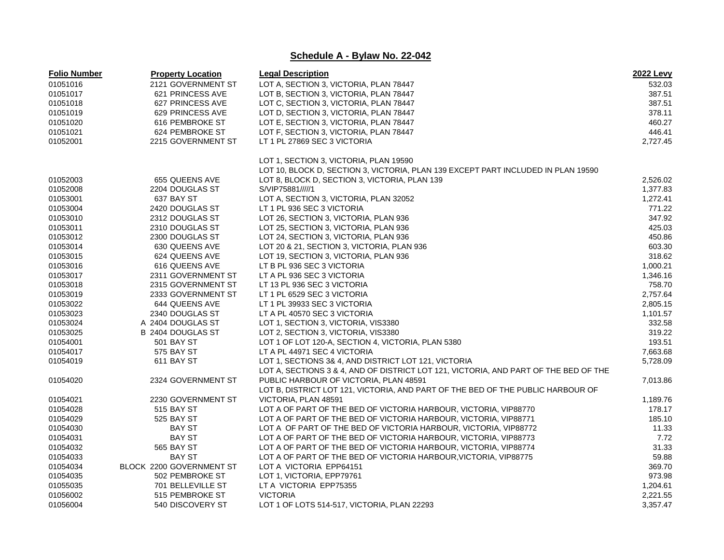| <b>Folio Number</b> | <b>Property Location</b> | <b>Legal Description</b>                                                             | <b>2022 Levy</b> |
|---------------------|--------------------------|--------------------------------------------------------------------------------------|------------------|
| 01051016            | 2121 GOVERNMENT ST       | LOT A, SECTION 3, VICTORIA, PLAN 78447                                               | 532.03           |
| 01051017            | 621 PRINCESS AVE         | LOT B, SECTION 3, VICTORIA, PLAN 78447                                               | 387.51           |
| 01051018            | 627 PRINCESS AVE         | LOT C, SECTION 3, VICTORIA, PLAN 78447                                               | 387.51           |
| 01051019            | 629 PRINCESS AVE         | LOT D, SECTION 3, VICTORIA, PLAN 78447                                               | 378.11           |
| 01051020            | 616 PEMBROKE ST          | LOT E, SECTION 3, VICTORIA, PLAN 78447                                               | 460.27           |
| 01051021            | 624 PEMBROKE ST          | LOT F, SECTION 3, VICTORIA, PLAN 78447                                               | 446.41           |
| 01052001            | 2215 GOVERNMENT ST       | LT 1 PL 27869 SEC 3 VICTORIA                                                         | 2,727.45         |
|                     |                          | LOT 1, SECTION 3, VICTORIA, PLAN 19590                                               |                  |
|                     |                          | LOT 10, BLOCK D, SECTION 3, VICTORIA, PLAN 139 EXCEPT PART INCLUDED IN PLAN 19590    |                  |
| 01052003            | 655 QUEENS AVE           | LOT 8, BLOCK D, SECTION 3, VICTORIA, PLAN 139                                        | 2,526.02         |
| 01052008            | 2204 DOUGLAS ST          | S/VIP75881/////1                                                                     | 1,377.83         |
| 01053001            | 637 BAY ST               | LOT A, SECTION 3, VICTORIA, PLAN 32052                                               | 1,272.41         |
| 01053004            | 2420 DOUGLAS ST          | LT 1 PL 936 SEC 3 VICTORIA                                                           | 771.22           |
| 01053010            | 2312 DOUGLAS ST          | LOT 26, SECTION 3, VICTORIA, PLAN 936                                                | 347.92           |
| 01053011            | 2310 DOUGLAS ST          | LOT 25, SECTION 3, VICTORIA, PLAN 936                                                | 425.03           |
| 01053012            | 2300 DOUGLAS ST          | LOT 24, SECTION 3, VICTORIA, PLAN 936                                                | 450.86           |
| 01053014            | 630 QUEENS AVE           | LOT 20 & 21, SECTION 3, VICTORIA, PLAN 936                                           | 603.30           |
| 01053015            | 624 QUEENS AVE           | LOT 19, SECTION 3, VICTORIA, PLAN 936                                                | 318.62           |
| 01053016            | 616 QUEENS AVE           | LT B PL 936 SEC 3 VICTORIA                                                           | 1,000.21         |
| 01053017            | 2311 GOVERNMENT ST       | LT A PL 936 SEC 3 VICTORIA                                                           | 1,346.16         |
| 01053018            | 2315 GOVERNMENT ST       |                                                                                      | 758.70           |
|                     |                          | LT 13 PL 936 SEC 3 VICTORIA                                                          | 2.757.64         |
| 01053019            | 2333 GOVERNMENT ST       | LT 1 PL 6529 SEC 3 VICTORIA                                                          |                  |
| 01053022            | 644 QUEENS AVE           | LT 1 PL 39933 SEC 3 VICTORIA                                                         | 2,805.15         |
| 01053023            | 2340 DOUGLAS ST          | LT A PL 40570 SEC 3 VICTORIA                                                         | 1,101.57         |
| 01053024            | A 2404 DOUGLAS ST        | LOT 1, SECTION 3, VICTORIA, VIS3380                                                  | 332.58           |
| 01053025            | B 2404 DOUGLAS ST        | LOT 2, SECTION 3, VICTORIA, VIS3380                                                  | 319.22           |
| 01054001            | <b>501 BAY ST</b>        | LOT 1 OF LOT 120-A, SECTION 4, VICTORIA, PLAN 5380                                   | 193.51           |
| 01054017            | 575 BAY ST               | LT A PL 44971 SEC 4 VICTORIA                                                         | 7,663.68         |
| 01054019            | 611 BAY ST               | LOT 1, SECTIONS 3& 4, AND DISTRICT LOT 121, VICTORIA                                 | 5,728.09         |
|                     |                          | LOT A, SECTIONS 3 & 4, AND OF DISTRICT LOT 121, VICTORIA, AND PART OF THE BED OF THE |                  |
| 01054020            | 2324 GOVERNMENT ST       | PUBLIC HARBOUR OF VICTORIA, PLAN 48591                                               | 7,013.86         |
|                     |                          | LOT B, DISTRICT LOT 121, VICTORIA, AND PART OF THE BED OF THE PUBLIC HARBOUR OF      |                  |
| 01054021            | 2230 GOVERNMENT ST       | VICTORIA, PLAN 48591                                                                 | 1,189.76         |
| 01054028            | 515 BAY ST               | LOT A OF PART OF THE BED OF VICTORIA HARBOUR, VICTORIA, VIP88770                     | 178.17           |
| 01054029            | 525 BAY ST               | LOT A OF PART OF THE BED OF VICTORIA HARBOUR, VICTORIA, VIP88771                     | 185.10           |
| 01054030            | BAY ST                   | LOT A OF PART OF THE BED OF VICTORIA HARBOUR, VICTORIA, VIP88772                     | 11.33            |
| 01054031            | <b>BAY ST</b>            | LOT A OF PART OF THE BED OF VICTORIA HARBOUR, VICTORIA, VIP88773                     | 7.72             |
| 01054032            | 565 BAY ST               | LOT A OF PART OF THE BED OF VICTORIA HARBOUR, VICTORIA, VIP88774                     | 31.33            |
| 01054033            | <b>BAY ST</b>            | LOT A OF PART OF THE BED OF VICTORIA HARBOUR, VICTORIA, VIP88775                     | 59.88            |
| 01054034            | BLOCK 2200 GOVERNMENT ST | LOT A VICTORIA EPP64151                                                              | 369.70           |
| 01054035            | 502 PEMBROKE ST          | LOT 1, VICTORIA, EPP79761                                                            | 973.98           |
| 01055035            | 701 BELLEVILLE ST        | LT A VICTORIA EPP75355                                                               | 1,204.61         |
| 01056002            | 515 PEMBROKE ST          | <b>VICTORIA</b>                                                                      | 2,221.55         |
| 01056004            | 540 DISCOVERY ST         | LOT 1 OF LOTS 514-517, VICTORIA, PLAN 22293                                          | 3,357.47         |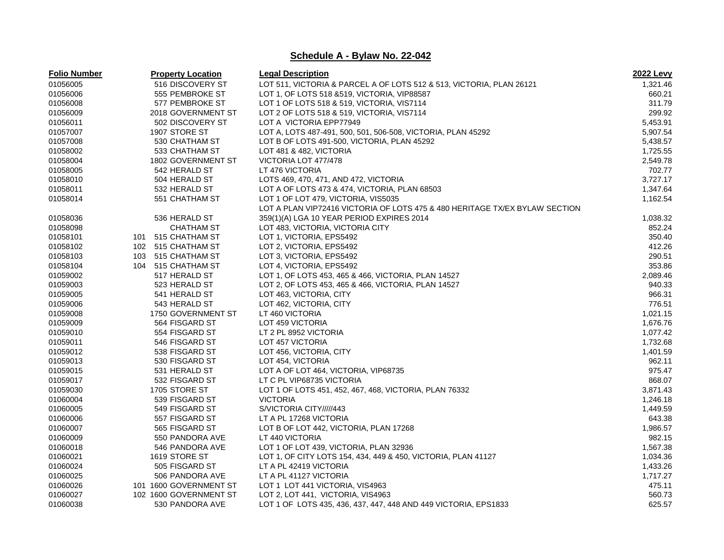| <b>Folio Number</b> | <b>Property Location</b> | <b>Legal Description</b>                                                    | 2022 Levy |
|---------------------|--------------------------|-----------------------------------------------------------------------------|-----------|
| 01056005            | 516 DISCOVERY ST         | LOT 511, VICTORIA & PARCEL A OF LOTS 512 & 513, VICTORIA, PLAN 26121        | 1,321.46  |
| 01056006            | 555 PEMBROKE ST          | LOT 1, OF LOTS 518 & 519, VICTORIA, VIP88587                                | 660.21    |
| 01056008            | 577 PEMBROKE ST          | LOT 1 OF LOTS 518 & 519, VICTORIA, VIS7114                                  | 311.79    |
| 01056009            | 2018 GOVERNMENT ST       | LOT 2 OF LOTS 518 & 519, VICTORIA, VIS7114                                  | 299.92    |
| 01056011            | 502 DISCOVERY ST         | LOT A VICTORIA EPP77949                                                     | 5,453.91  |
| 01057007            | 1907 STORE ST            | LOT A, LOTS 487-491, 500, 501, 506-508, VICTORIA, PLAN 45292                | 5,907.54  |
| 01057008            | 530 CHATHAM ST           | LOT B OF LOTS 491-500, VICTORIA, PLAN 45292                                 | 5,438.57  |
| 01058002            | 533 CHATHAM ST           | LOT 481 & 482, VICTORIA                                                     | 1,725.55  |
| 01058004            | 1802 GOVERNMENT ST       | VICTORIA LOT 477/478                                                        | 2,549.78  |
| 01058005            | 542 HERALD ST            | LT 476 VICTORIA                                                             | 702.77    |
| 01058010            | 504 HERALD ST            | LOTS 469, 470, 471, AND 472, VICTORIA                                       | 3,727.17  |
| 01058011            | 532 HERALD ST            | LOT A OF LOTS 473 & 474, VICTORIA, PLAN 68503                               | 1,347.64  |
| 01058014            | 551 CHATHAM ST           | LOT 1 OF LOT 479, VICTORIA, VIS5035                                         | 1,162.54  |
|                     |                          | LOT A PLAN VIP72416 VICTORIA OF LOTS 475 & 480 HERITAGE TX/EX BYLAW SECTION |           |
| 01058036            | 536 HERALD ST            | 359(1)(A) LGA 10 YEAR PERIOD EXPIRES 2014                                   | 1,038.32  |
| 01058098            | <b>CHATHAM ST</b>        | LOT 483, VICTORIA, VICTORIA CITY                                            | 852.24    |
| 01058101            | 515 CHATHAM ST<br>101    | LOT 1, VICTORIA, EPS5492                                                    | 350.40    |
| 01058102            | 102 515 CHATHAM ST       | LOT 2, VICTORIA, EPS5492                                                    | 412.26    |
| 01058103            | 103 515 CHATHAM ST       | LOT 3, VICTORIA, EPS5492                                                    | 290.51    |
| 01058104            | 104 515 CHATHAM ST       | LOT 4, VICTORIA, EPS5492                                                    | 353.86    |
| 01059002            | 517 HERALD ST            | LOT 1, OF LOTS 453, 465 & 466, VICTORIA, PLAN 14527                         | 2,089.46  |
| 01059003            | 523 HERALD ST            | LOT 2, OF LOTS 453, 465 & 466, VICTORIA, PLAN 14527                         | 940.33    |
| 01059005            | 541 HERALD ST            | LOT 463, VICTORIA, CITY                                                     | 966.31    |
| 01059006            | 543 HERALD ST            | LOT 462, VICTORIA, CITY                                                     | 776.51    |
| 01059008            | 1750 GOVERNMENT ST       | LT 460 VICTORIA                                                             | 1,021.15  |
| 01059009            | 564 FISGARD ST           | LOT 459 VICTORIA                                                            | 1,676.76  |
| 01059010            | 554 FISGARD ST           | LT 2 PL 8952 VICTORIA                                                       | 1,077.42  |
| 01059011            | 546 FISGARD ST           | <b>LOT 457 VICTORIA</b>                                                     | 1,732.68  |
| 01059012            | 538 FISGARD ST           | LOT 456, VICTORIA, CITY                                                     | 1,401.59  |
| 01059013            | 530 FISGARD ST           | LOT 454, VICTORIA                                                           | 962.11    |
| 01059015            | 531 HERALD ST            | LOT A OF LOT 464, VICTORIA, VIP68735                                        | 975.47    |
| 01059017            | 532 FISGARD ST           | LT C PL VIP68735 VICTORIA                                                   | 868.07    |
| 01059030            | 1705 STORE ST            | LOT 1 OF LOTS 451, 452, 467, 468, VICTORIA, PLAN 76332                      | 3,871.43  |
| 01060004            | 539 FISGARD ST           | <b>VICTORIA</b>                                                             | 1,246.18  |
| 01060005            | 549 FISGARD ST           | S/VICTORIA CITY/////443                                                     | 1,449.59  |
| 01060006            | 557 FISGARD ST           | LT A PL 17268 VICTORIA                                                      | 643.38    |
| 01060007            | 565 FISGARD ST           | LOT B OF LOT 442, VICTORIA, PLAN 17268                                      | 1,986.57  |
| 01060009            | 550 PANDORA AVE          | LT 440 VICTORIA                                                             | 982.15    |
| 01060018            | 546 PANDORA AVE          | LOT 1 OF LOT 439, VICTORIA, PLAN 32936                                      | 1,567.38  |
| 01060021            | 1619 STORE ST            | LOT 1, OF CITY LOTS 154, 434, 449 & 450, VICTORIA, PLAN 41127               | 1,034.36  |
| 01060024            | 505 FISGARD ST           | LT A PL 42419 VICTORIA                                                      | 1,433.26  |
| 01060025            | 506 PANDORA AVE          | LT A PL 41127 VICTORIA                                                      | 1,717.27  |
| 01060026            | 101 1600 GOVERNMENT ST   | LOT 1 LOT 441 VICTORIA, VIS4963                                             | 475.11    |
| 01060027            | 102 1600 GOVERNMENT ST   | LOT 2, LOT 441, VICTORIA, VIS4963                                           | 560.73    |
| 01060038            | 530 PANDORA AVE          | LOT 1 OF LOTS 435, 436, 437, 447, 448 AND 449 VICTORIA, EPS1833             | 625.57    |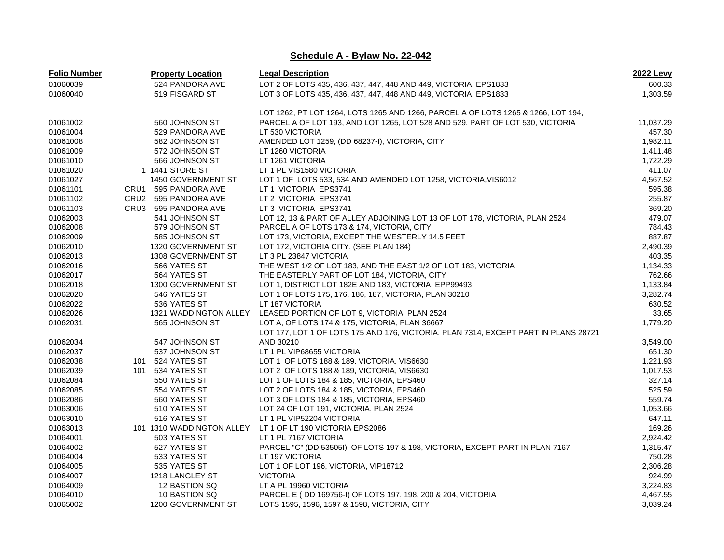| <b>Folio Number</b> | <b>Property Location</b> | <b>Legal Description</b>                                                            | <b>2022 Levy</b> |
|---------------------|--------------------------|-------------------------------------------------------------------------------------|------------------|
| 01060039            | 524 PANDORA AVE          | LOT 2 OF LOTS 435, 436, 437, 447, 448 AND 449, VICTORIA, EPS1833                    | 600.33           |
| 01060040            | 519 FISGARD ST           | LOT 3 OF LOTS 435, 436, 437, 447, 448 AND 449, VICTORIA, EPS1833                    | 1,303.59         |
|                     |                          | LOT 1262, PT LOT 1264, LOTS 1265 AND 1266, PARCEL A OF LOTS 1265 & 1266, LOT 194,   |                  |
| 01061002            | 560 JOHNSON ST           | PARCEL A OF LOT 193, AND LOT 1265, LOT 528 AND 529, PART OF LOT 530, VICTORIA       | 11,037.29        |
| 01061004            | 529 PANDORA AVE          | LT 530 VICTORIA                                                                     | 457.30           |
| 01061008            | 582 JOHNSON ST           | AMENDED LOT 1259, (DD 68237-I), VICTORIA, CITY                                      | 1,982.11         |
| 01061009            | 572 JOHNSON ST           | LT 1260 VICTORIA                                                                    | 1,411.48         |
| 01061010            | 566 JOHNSON ST           | LT 1261 VICTORIA                                                                    | 1,722.29         |
| 01061020            | 1 1441 STORE ST          | LT 1 PL VIS1580 VICTORIA                                                            | 411.07           |
| 01061027            | 1450 GOVERNMENT ST       | LOT 1 OF LOTS 533, 534 AND AMENDED LOT 1258, VICTORIA, VIS6012                      | 4,567.52         |
| 01061101            | CRU1 595 PANDORA AVE     | LT 1 VICTORIA EPS3741                                                               | 595.38           |
| 01061102            | CRU2 595 PANDORA AVE     | LT 2 VICTORIA EPS3741                                                               | 255.87           |
| 01061103            | CRU3 595 PANDORA AVE     | LT 3 VICTORIA EPS3741                                                               | 369.20           |
| 01062003            | 541 JOHNSON ST           | LOT 12, 13 & PART OF ALLEY ADJOINING LOT 13 OF LOT 178, VICTORIA, PLAN 2524         | 479.07           |
| 01062008            | 579 JOHNSON ST           | PARCEL A OF LOTS 173 & 174, VICTORIA, CITY                                          | 784.43           |
| 01062009            | 585 JOHNSON ST           | LOT 173, VICTORIA, EXCEPT THE WESTERLY 14.5 FEET                                    | 887.87           |
| 01062010            | 1320 GOVERNMENT ST       | LOT 172, VICTORIA CITY, (SEE PLAN 184)                                              | 2,490.39         |
| 01062013            | 1308 GOVERNMENT ST       | LT 3 PL 23847 VICTORIA                                                              | 403.35           |
| 01062016            | 566 YATES ST             | THE WEST 1/2 OF LOT 183, AND THE EAST 1/2 OF LOT 183, VICTORIA                      | 1,134.33         |
| 01062017            | 564 YATES ST             | THE EASTERLY PART OF LOT 184, VICTORIA, CITY                                        | 762.66           |
| 01062018            | 1300 GOVERNMENT ST       | LOT 1, DISTRICT LOT 182E AND 183, VICTORIA, EPP99493                                | 1,133.84         |
| 01062020            | 546 YATES ST             | LOT 1 OF LOTS 175, 176, 186, 187, VICTORIA, PLAN 30210                              | 3,282.74         |
| 01062022            | 536 YATES ST             | LT 187 VICTORIA                                                                     | 630.52           |
| 01062026            | 1321 WADDINGTON ALLEY    | LEASED PORTION OF LOT 9, VICTORIA, PLAN 2524                                        | 33.65            |
| 01062031            | 565 JOHNSON ST           | LOT A, OF LOTS 174 & 175, VICTORIA, PLAN 36667                                      | 1,779.20         |
|                     |                          | LOT 177, LOT 1 OF LOTS 175 AND 176, VICTORIA, PLAN 7314, EXCEPT PART IN PLANS 28721 |                  |
| 01062034            | 547 JOHNSON ST           | AND 30210                                                                           | 3,549.00         |
| 01062037            | 537 JOHNSON ST           | LT 1 PL VIP68655 VICTORIA                                                           | 651.30           |
| 01062038            | 101 524 YATES ST         | LOT 1 OF LOTS 188 & 189, VICTORIA, VIS6630                                          | 1,221.93         |
| 01062039            | 101 534 YATES ST         | LOT 2 OF LOTS 188 & 189, VICTORIA, VIS6630                                          | 1,017.53         |
| 01062084            | 550 YATES ST             | LOT 1 OF LOTS 184 & 185, VICTORIA, EPS460                                           | 327.14           |
| 01062085            | 554 YATES ST             | LOT 2 OF LOTS 184 & 185, VICTORIA, EPS460                                           | 525.59           |
| 01062086            | 560 YATES ST             | LOT 3 OF LOTS 184 & 185, VICTORIA, EPS460                                           | 559.74           |
| 01063006            | 510 YATES ST             | LOT 24 OF LOT 191, VICTORIA, PLAN 2524                                              | 1,053.66         |
| 01063010            | 516 YATES ST             | LT 1 PL VIP52204 VICTORIA                                                           | 647.11           |
| 01063013            |                          | 101 1310 WADDINGTON ALLEY LT 1 OF LT 190 VICTORIA EPS2086                           | 169.26           |
| 01064001            | 503 YATES ST             | LT 1 PL 7167 VICTORIA                                                               | 2,924.42         |
| 01064002            | 527 YATES ST             | PARCEL "C" (DD 53505I), OF LOTS 197 & 198, VICTORIA, EXCEPT PART IN PLAN 7167       | 1,315.47         |
| 01064004            | 533 YATES ST             | LT 197 VICTORIA                                                                     | 750.28           |
| 01064005            | 535 YATES ST             | LOT 1 OF LOT 196, VICTORIA, VIP18712                                                | 2,306.28         |
| 01064007            | 1218 LANGLEY ST          | <b>VICTORIA</b>                                                                     | 924.99           |
| 01064009            | 12 BASTION SQ            | LT A PL 19960 VICTORIA                                                              | 3,224.83         |
| 01064010            | 10 BASTION SQ            | PARCEL E (DD 169756-I) OF LOTS 197, 198, 200 & 204, VICTORIA                        | 4,467.55         |
| 01065002            | 1200 GOVERNMENT ST       | LOTS 1595, 1596, 1597 & 1598, VICTORIA, CITY                                        | 3,039.24         |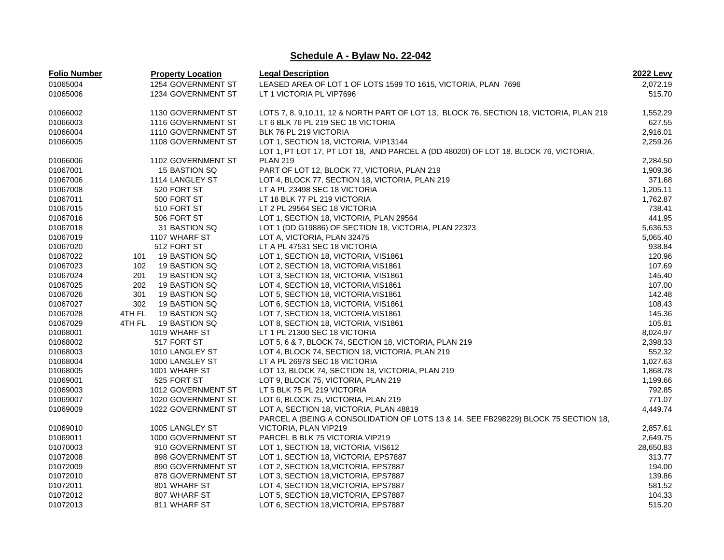| <b>Folio Number</b> |        | <b>Property Location</b> | <b>Legal Description</b>                                                                | <b>2022 Levy</b> |
|---------------------|--------|--------------------------|-----------------------------------------------------------------------------------------|------------------|
| 01065004            |        | 1254 GOVERNMENT ST       | LEASED AREA OF LOT 1 OF LOTS 1599 TO 1615, VICTORIA, PLAN 7696                          | 2,072.19         |
| 01065006            |        | 1234 GOVERNMENT ST       | LT 1 VICTORIA PL VIP7696                                                                | 515.70           |
| 01066002            |        | 1130 GOVERNMENT ST       | LOTS 7, 8, 9,10,11, 12 & NORTH PART OF LOT 13, BLOCK 76, SECTION 18, VICTORIA, PLAN 219 | 1,552.29         |
| 01066003            |        | 1116 GOVERNMENT ST       | LT 6 BLK 76 PL 219 SEC 18 VICTORIA                                                      | 627.55           |
| 01066004            |        | 1110 GOVERNMENT ST       | BLK 76 PL 219 VICTORIA                                                                  | 2,916.01         |
| 01066005            |        | 1108 GOVERNMENT ST       | LOT 1, SECTION 18, VICTORIA, VIP13144                                                   | 2,259.26         |
|                     |        |                          | LOT 1, PT LOT 17, PT LOT 18, AND PARCEL A (DD 48020I) OF LOT 18, BLOCK 76, VICTORIA,    |                  |
| 01066006            |        | 1102 GOVERNMENT ST       | <b>PLAN 219</b>                                                                         | 2,284.50         |
| 01067001            |        | 15 BASTION SQ            | PART OF LOT 12, BLOCK 77, VICTORIA, PLAN 219                                            | 1,909.36         |
| 01067006            |        | 1114 LANGLEY ST          | LOT 4, BLOCK 77, SECTION 18, VICTORIA, PLAN 219                                         | 371.68           |
| 01067008            |        | 520 FORT ST              | LT A PL 23498 SEC 18 VICTORIA                                                           | 1,205.11         |
| 01067011            |        | 500 FORT ST              | LT 18 BLK 77 PL 219 VICTORIA                                                            | 1,762.87         |
| 01067015            |        | 510 FORT ST              | LT 2 PL 29564 SEC 18 VICTORIA                                                           | 738.41           |
| 01067016            |        | 506 FORT ST              | LOT 1, SECTION 18, VICTORIA, PLAN 29564                                                 | 441.95           |
| 01067018            |        | 31 BASTION SQ            | LOT 1 (DD G19886) OF SECTION 18, VICTORIA, PLAN 22323                                   | 5,636.53         |
| 01067019            |        | 1107 WHARF ST            | LOT A, VICTORIA, PLAN 32475                                                             | 5,065.40         |
| 01067020            |        | 512 FORT ST              | LT A PL 47531 SEC 18 VICTORIA                                                           | 938.84           |
| 01067022            | 101    | 19 BASTION SQ            | LOT 1, SECTION 18, VICTORIA, VIS1861                                                    | 120.96           |
| 01067023            | 102    | 19 BASTION SQ            | LOT 2, SECTION 18, VICTORIA, VIS1861                                                    | 107.69           |
| 01067024            | 201    | 19 BASTION SQ            | LOT 3, SECTION 18, VICTORIA, VIS1861                                                    | 145.40           |
| 01067025            | 202    | 19 BASTION SQ            | LOT 4, SECTION 18, VICTORIA, VIS1861                                                    | 107.00           |
| 01067026            | 301    | 19 BASTION SQ            | LOT 5, SECTION 18, VICTORIA, VIS1861                                                    | 142.48           |
| 01067027            | 302    | 19 BASTION SQ            | LOT 6, SECTION 18, VICTORIA, VIS1861                                                    | 108.43           |
| 01067028            | 4TH FL | 19 BASTION SQ            | LOT 7, SECTION 18, VICTORIA, VIS1861                                                    | 145.36           |
| 01067029            | 4TH FL | 19 BASTION SQ            | LOT 8, SECTION 18, VICTORIA, VIS1861                                                    | 105.81           |
| 01068001            |        | 1019 WHARF ST            | LT 1 PL 21300 SEC 18 VICTORIA                                                           | 8,024.97         |
| 01068002            |        | 517 FORT ST              | LOT 5, 6 & 7, BLOCK 74, SECTION 18, VICTORIA, PLAN 219                                  | 2,398.33         |
| 01068003            |        | 1010 LANGLEY ST          | LOT 4, BLOCK 74, SECTION 18, VICTORIA, PLAN 219                                         | 552.32           |
| 01068004            |        | 1000 LANGLEY ST          | LT A PL 26978 SEC 18 VICTORIA                                                           | 1,027.63         |
| 01068005            |        | 1001 WHARF ST            | LOT 13, BLOCK 74, SECTION 18, VICTORIA, PLAN 219                                        | 1,868.78         |
| 01069001            |        | 525 FORT ST              | LOT 9, BLOCK 75, VICTORIA, PLAN 219                                                     | 1,199.66         |
| 01069003            |        | 1012 GOVERNMENT ST       | LT 5 BLK 75 PL 219 VICTORIA                                                             | 792.85           |
| 01069007            |        | 1020 GOVERNMENT ST       | LOT 6, BLOCK 75, VICTORIA, PLAN 219                                                     | 771.07           |
| 01069009            |        | 1022 GOVERNMENT ST       | LOT A, SECTION 18, VICTORIA, PLAN 48819                                                 | 4,449.74         |
|                     |        |                          | PARCEL A (BEING A CONSOLIDATION OF LOTS 13 & 14, SEE FB298229) BLOCK 75 SECTION 18,     |                  |
| 01069010            |        | 1005 LANGLEY ST          | VICTORIA, PLAN VIP219                                                                   | 2,857.61         |
| 01069011            |        | 1000 GOVERNMENT ST       | PARCEL B BLK 75 VICTORIA VIP219                                                         | 2,649.75         |
| 01070003            |        | 910 GOVERNMENT ST        | LOT 1, SECTION 18, VICTORIA, VIS612                                                     | 28,650.83        |
| 01072008            |        | 898 GOVERNMENT ST        | LOT 1, SECTION 18, VICTORIA, EPS7887                                                    | 313.77           |
| 01072009            |        | 890 GOVERNMENT ST        | LOT 2, SECTION 18, VICTORIA, EPS7887                                                    | 194.00           |
| 01072010            |        | 878 GOVERNMENT ST        | LOT 3, SECTION 18, VICTORIA, EPS7887                                                    | 139.86           |
| 01072011            |        | 801 WHARF ST             | LOT 4, SECTION 18, VICTORIA, EPS7887                                                    | 581.52           |
| 01072012            |        | 807 WHARF ST             | LOT 5, SECTION 18, VICTORIA, EPS7887                                                    | 104.33           |
| 01072013            |        | 811 WHARF ST             | LOT 6, SECTION 18, VICTORIA, EPS7887                                                    | 515.20           |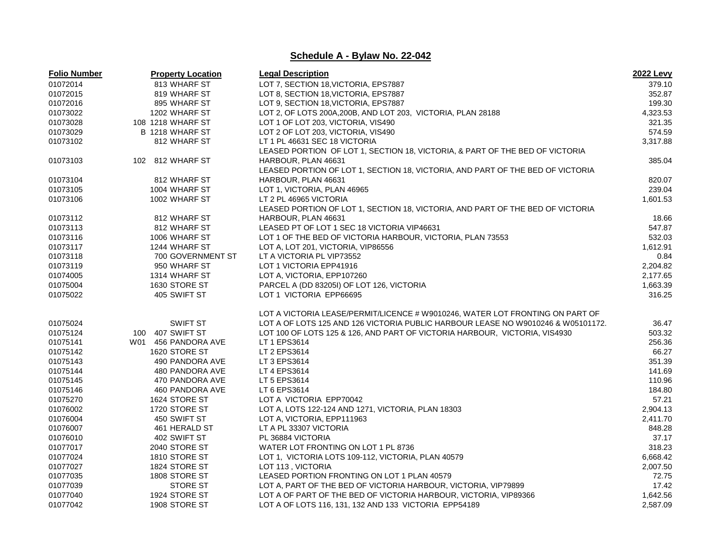| <b>Folio Number</b> | <b>Property Location</b> | <b>Legal Description</b>                                                         | 2022 Levy |
|---------------------|--------------------------|----------------------------------------------------------------------------------|-----------|
| 01072014            | 813 WHARF ST             | LOT 7, SECTION 18, VICTORIA, EPS7887                                             | 379.10    |
| 01072015            | 819 WHARF ST             | LOT 8, SECTION 18, VICTORIA, EPS7887                                             | 352.87    |
| 01072016            | 895 WHARF ST             | LOT 9, SECTION 18, VICTORIA, EPS7887                                             | 199.30    |
| 01073022            | 1202 WHARF ST            | LOT 2, OF LOTS 200A, 200B, AND LOT 203, VICTORIA, PLAN 28188                     | 4,323.53  |
| 01073028            | 108 1218 WHARF ST        | LOT 1 OF LOT 203, VICTORIA, VIS490                                               | 321.35    |
| 01073029            | B 1218 WHARF ST          | LOT 2 OF LOT 203, VICTORIA, VIS490                                               | 574.59    |
| 01073102            | 812 WHARF ST             | LT 1 PL 46631 SEC 18 VICTORIA                                                    | 3.317.88  |
|                     |                          | LEASED PORTION OF LOT 1, SECTION 18, VICTORIA, & PART OF THE BED OF VICTORIA     |           |
| 01073103            | 102 812 WHARF ST         | HARBOUR, PLAN 46631                                                              | 385.04    |
|                     |                          | LEASED PORTION OF LOT 1, SECTION 18, VICTORIA, AND PART OF THE BED OF VICTORIA   |           |
| 01073104            | 812 WHARF ST             | HARBOUR, PLAN 46631                                                              | 820.07    |
| 01073105            | 1004 WHARF ST            | LOT 1, VICTORIA, PLAN 46965                                                      | 239.04    |
| 01073106            | 1002 WHARF ST            | LT 2 PL 46965 VICTORIA                                                           | 1,601.53  |
|                     |                          | LEASED PORTION OF LOT 1, SECTION 18, VICTORIA, AND PART OF THE BED OF VICTORIA   |           |
| 01073112            | 812 WHARF ST             | HARBOUR, PLAN 46631                                                              | 18.66     |
| 01073113            | 812 WHARF ST             | LEASED PT OF LOT 1 SEC 18 VICTORIA VIP46631                                      | 547.87    |
| 01073116            | 1006 WHARF ST            | LOT 1 OF THE BED OF VICTORIA HARBOUR, VICTORIA, PLAN 73553                       | 532.03    |
| 01073117            | 1244 WHARF ST            | LOT A, LOT 201, VICTORIA, VIP86556                                               | 1,612.91  |
| 01073118            | 700 GOVERNMENT ST        | LT A VICTORIA PL VIP73552                                                        | 0.84      |
| 01073119            | 950 WHARF ST             | LOT 1 VICTORIA EPP41916                                                          | 2,204.82  |
| 01074005            | 1314 WHARF ST            | LOT A, VICTORIA, EPP107260                                                       | 2,177.65  |
| 01075004            | 1630 STORE ST            | PARCEL A (DD 83205I) OF LOT 126, VICTORIA                                        | 1,663.39  |
| 01075022            | 405 SWIFT ST             | LOT 1 VICTORIA EPP66695                                                          | 316.25    |
|                     |                          |                                                                                  |           |
|                     |                          | LOT A VICTORIA LEASE/PERMIT/LICENCE # W9010246, WATER LOT FRONTING ON PART OF    |           |
| 01075024            | <b>SWIFT ST</b>          | LOT A OF LOTS 125 AND 126 VICTORIA PUBLIC HARBOUR LEASE NO W9010246 & W05101172. | 36.47     |
| 01075124            | 100 407 SWIFT ST         | LOT 100 OF LOTS 125 & 126, AND PART OF VICTORIA HARBOUR, VICTORIA, VIS4930       | 503.32    |
| 01075141            | W01 456 PANDORA AVE      | LT 1 EPS3614                                                                     | 256.36    |
| 01075142            | 1620 STORE ST            | LT 2 EPS3614                                                                     | 66.27     |
| 01075143            | 490 PANDORA AVE          | LT 3 EPS3614                                                                     | 351.39    |
| 01075144            | 480 PANDORA AVE          | LT 4 EPS3614                                                                     | 141.69    |
| 01075145            | 470 PANDORA AVE          | LT 5 EPS3614                                                                     | 110.96    |
| 01075146            | 460 PANDORA AVE          | LT 6 EPS3614                                                                     | 184.80    |
| 01075270            | 1624 STORE ST            | LOT A VICTORIA EPP70042                                                          | 57.21     |
| 01076002            | 1720 STORE ST            | LOT A, LOTS 122-124 AND 1271, VICTORIA, PLAN 18303                               | 2,904.13  |
| 01076004            | 450 SWIFT ST             | LOT A, VICTORIA, EPP111963                                                       | 2,411.70  |
| 01076007            | 461 HERALD ST            | LT A PL 33307 VICTORIA                                                           | 848.28    |
| 01076010            | 402 SWIFT ST             | PL 36884 VICTORIA                                                                | 37.17     |
| 01077017            | 2040 STORE ST            | WATER LOT FRONTING ON LOT 1 PL 8736                                              | 318.23    |
| 01077024            | 1810 STORE ST            | LOT 1, VICTORIA LOTS 109-112, VICTORIA, PLAN 40579                               | 6,668.42  |
| 01077027            | 1824 STORE ST            | LOT 113, VICTORIA                                                                | 2,007.50  |
| 01077035            | 1808 STORE ST            | LEASED PORTION FRONTING ON LOT 1 PLAN 40579                                      | 72.75     |
| 01077039            | <b>STORE ST</b>          | LOT A, PART OF THE BED OF VICTORIA HARBOUR, VICTORIA, VIP79899                   | 17.42     |
| 01077040            | 1924 STORE ST            | LOT A OF PART OF THE BED OF VICTORIA HARBOUR, VICTORIA, VIP89366                 | 1,642.56  |
| 01077042            | 1908 STORE ST            | LOT A OF LOTS 116, 131, 132 AND 133 VICTORIA EPP54189                            | 2,587.09  |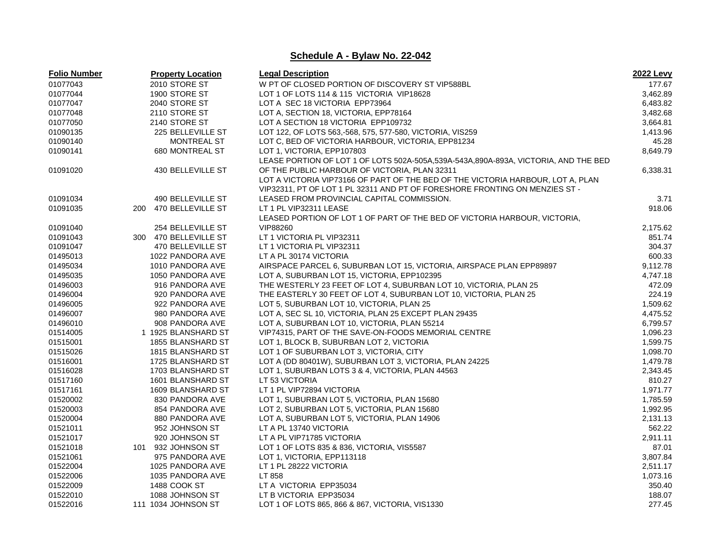| <b>Folio Number</b> | <b>Property Location</b> | <b>Legal Description</b>                                                            | <b>2022 Levy</b> |
|---------------------|--------------------------|-------------------------------------------------------------------------------------|------------------|
| 01077043            | 2010 STORE ST            | W PT OF CLOSED PORTION OF DISCOVERY ST VIP588BL                                     | 177.67           |
| 01077044            | 1900 STORE ST            | LOT 1 OF LOTS 114 & 115 VICTORIA VIP18628                                           | 3,462.89         |
| 01077047            | 2040 STORE ST            | LOT A SEC 18 VICTORIA EPP73964                                                      | 6,483.82         |
| 01077048            | 2110 STORE ST            | LOT A, SECTION 18, VICTORIA, EPP78164                                               | 3,482.68         |
| 01077050            | 2140 STORE ST            | LOT A SECTION 18 VICTORIA EPP109732                                                 | 3,664.81         |
| 01090135            | 225 BELLEVILLE ST        | LOT 122, OF LOTS 563,-568, 575, 577-580, VICTORIA, VIS259                           | 1,413.96         |
| 01090140            | <b>MONTREAL ST</b>       | LOT C, BED OF VICTORIA HARBOUR, VICTORIA, EPP81234                                  | 45.28            |
| 01090141            | 680 MONTREAL ST          | LOT 1, VICTORIA, EPP107803                                                          | 8,649.79         |
|                     |                          | LEASE PORTION OF LOT 1 OF LOTS 502A-505A,539A-543A,890A-893A, VICTORIA, AND THE BED |                  |
| 01091020            | 430 BELLEVILLE ST        | OF THE PUBLIC HARBOUR OF VICTORIA, PLAN 32311                                       | 6,338.31         |
|                     |                          | LOT A VICTORIA VIP73166 OF PART OF THE BED OF THE VICTORIA HARBOUR, LOT A, PLAN     |                  |
|                     |                          | VIP32311, PT OF LOT 1 PL 32311 AND PT OF FORESHORE FRONTING ON MENZIES ST -         |                  |
| 01091034            | 490 BELLEVILLE ST        | LEASED FROM PROVINCIAL CAPITAL COMMISSION.                                          | 3.71             |
| 01091035            | 200 470 BELLEVILLE ST    | LT 1 PL VIP32311 LEASE                                                              | 918.06           |
|                     |                          | LEASED PORTION OF LOT 1 OF PART OF THE BED OF VICTORIA HARBOUR, VICTORIA,           |                  |
| 01091040            | 254 BELLEVILLE ST        | VIP88260                                                                            | 2,175.62         |
| 01091043            | 300 470 BELLEVILLE ST    | LT 1 VICTORIA PL VIP32311                                                           | 851.74           |
| 01091047            | 470 BELLEVILLE ST        | LT 1 VICTORIA PL VIP32311                                                           | 304.37           |
| 01495013            | 1022 PANDORA AVE         | LT A PL 30174 VICTORIA                                                              | 600.33           |
| 01495034            | 1010 PANDORA AVE         | AIRSPACE PARCEL 6, SUBURBAN LOT 15, VICTORIA, AIRSPACE PLAN EPP89897                | 9,112.78         |
| 01495035            | 1050 PANDORA AVE         | LOT A, SUBURBAN LOT 15, VICTORIA, EPP102395                                         | 4,747.18         |
| 01496003            | 916 PANDORA AVE          | THE WESTERLY 23 FEET OF LOT 4, SUBURBAN LOT 10, VICTORIA, PLAN 25                   | 472.09           |
| 01496004            | 920 PANDORA AVE          | THE EASTERLY 30 FEET OF LOT 4, SUBURBAN LOT 10, VICTORIA, PLAN 25                   | 224.19           |
| 01496005            | 922 PANDORA AVE          | LOT 5, SUBURBAN LOT 10, VICTORIA, PLAN 25                                           | 1,509.62         |
| 01496007            | 980 PANDORA AVE          | LOT A, SEC SL 10, VICTORIA, PLAN 25 EXCEPT PLAN 29435                               | 4,475.52         |
| 01496010            | 908 PANDORA AVE          | LOT A, SUBURBAN LOT 10, VICTORIA, PLAN 55214                                        | 6,799.57         |
| 01514005            | 1 1925 BLANSHARD ST      | VIP74315, PART OF THE SAVE-ON-FOODS MEMORIAL CENTRE                                 | 1,096.23         |
| 01515001            | 1855 BLANSHARD ST        | LOT 1, BLOCK B, SUBURBAN LOT 2, VICTORIA                                            | 1,599.75         |
| 01515026            | 1815 BLANSHARD ST        | LOT 1 OF SUBURBAN LOT 3, VICTORIA, CITY                                             | 1,098.70         |
| 01516001            | 1725 BLANSHARD ST        | LOT A (DD 80401W), SUBURBAN LOT 3, VICTORIA, PLAN 24225                             | 1,479.78         |
| 01516028            | 1703 BLANSHARD ST        | LOT 1, SUBURBAN LOTS 3 & 4, VICTORIA, PLAN 44563                                    | 2,343.45         |
| 01517160            | 1601 BLANSHARD ST        | LT 53 VICTORIA                                                                      | 810.27           |
| 01517161            | 1609 BLANSHARD ST        | LT 1 PL VIP72894 VICTORIA                                                           | 1,971.77         |
| 01520002            | 830 PANDORA AVE          | LOT 1, SUBURBAN LOT 5, VICTORIA, PLAN 15680                                         | 1,785.59         |
| 01520003            | 854 PANDORA AVE          | LOT 2, SUBURBAN LOT 5, VICTORIA, PLAN 15680                                         | 1,992.95         |
| 01520004            | 880 PANDORA AVE          | LOT A, SUBURBAN LOT 5, VICTORIA, PLAN 14906                                         | 2,131.13         |
| 01521011            | 952 JOHNSON ST           | LT A PL 13740 VICTORIA                                                              | 562.22           |
| 01521017            | 920 JOHNSON ST           | LT A PL VIP71785 VICTORIA                                                           | 2,911.11         |
| 01521018            | 101 932 JOHNSON ST       | LOT 1 OF LOTS 835 & 836, VICTORIA, VIS5587                                          | 87.01            |
| 01521061            | 975 PANDORA AVE          | LOT 1, VICTORIA, EPP113118                                                          | 3,807.84         |
| 01522004            | 1025 PANDORA AVE         | LT 1 PL 28222 VICTORIA                                                              | 2,511.17         |
| 01522006            | 1035 PANDORA AVE         | LT 858                                                                              | 1,073.16         |
| 01522009            | 1488 COOK ST             | LT A VICTORIA EPP35034                                                              | 350.40           |
| 01522010            | 1088 JOHNSON ST          | LT B VICTORIA EPP35034                                                              | 188.07           |
| 01522016            | 111 1034 JOHNSON ST      | LOT 1 OF LOTS 865, 866 & 867, VICTORIA, VIS1330                                     | 277.45           |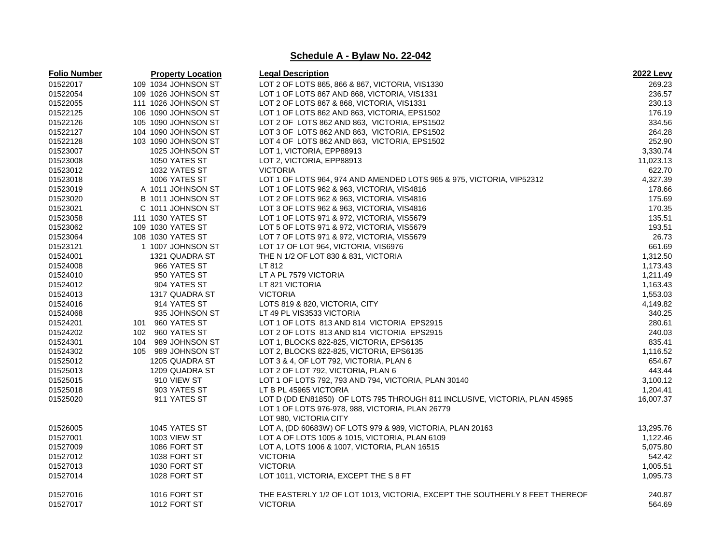| <b>Folio Number</b> | <b>Property Location</b> | <b>Legal Description</b>                                                    | <b>2022 Levy</b> |
|---------------------|--------------------------|-----------------------------------------------------------------------------|------------------|
| 01522017            | 109 1034 JOHNSON ST      | LOT 2 OF LOTS 865, 866 & 867, VICTORIA, VIS1330                             | 269.23           |
| 01522054            | 109 1026 JOHNSON ST      | LOT 1 OF LOTS 867 AND 868, VICTORIA, VIS1331                                | 236.57           |
| 01522055            | 111 1026 JOHNSON ST      | LOT 2 OF LOTS 867 & 868, VICTORIA, VIS1331                                  | 230.13           |
| 01522125            | 106 1090 JOHNSON ST      | LOT 1 OF LOTS 862 AND 863, VICTORIA, EPS1502                                | 176.19           |
| 01522126            | 105 1090 JOHNSON ST      | LOT 2 OF LOTS 862 AND 863, VICTORIA, EPS1502                                | 334.56           |
| 01522127            | 104 1090 JOHNSON ST      | LOT 3 OF LOTS 862 AND 863, VICTORIA, EPS1502                                | 264.28           |
| 01522128            | 103 1090 JOHNSON ST      | LOT 4 OF LOTS 862 AND 863, VICTORIA, EPS1502                                | 252.90           |
| 01523007            | 1025 JOHNSON ST          | LOT 1, VICTORIA, EPP88913                                                   | 3,330.74         |
| 01523008            | 1050 YATES ST            | LOT 2, VICTORIA, EPP88913                                                   | 11,023.13        |
| 01523012            | 1032 YATES ST            | <b>VICTORIA</b>                                                             | 622.70           |
| 01523018            | 1006 YATES ST            | LOT 1 OF LOTS 964, 974 AND AMENDED LOTS 965 & 975, VICTORIA, VIP52312       | 4,327.39         |
| 01523019            | A 1011 JOHNSON ST        | LOT 1 OF LOTS 962 & 963, VICTORIA, VIS4816                                  | 178.66           |
| 01523020            | B 1011 JOHNSON ST        | LOT 2 OF LOTS 962 & 963, VICTORIA. VIS4816                                  | 175.69           |
| 01523021            | C 1011 JOHNSON ST        | LOT 3 OF LOTS 962 & 963, VICTORIA, VIS4816                                  | 170.35           |
| 01523058            | 111 1030 YATES ST        | LOT 1 OF LOTS 971 & 972, VICTORIA, VIS5679                                  | 135.51           |
| 01523062            | 109 1030 YATES ST        | LOT 5 OF LOTS 971 & 972, VICTORIA, VIS5679                                  | 193.51           |
| 01523064            | 108 1030 YATES ST        | LOT 7 OF LOTS 971 & 972, VICTORIA, VIS5679                                  | 26.73            |
| 01523121            | 1 1007 JOHNSON ST        | LOT 17 OF LOT 964, VICTORIA, VIS6976                                        | 661.69           |
| 01524001            | 1321 QUADRA ST           | THE N 1/2 OF LOT 830 & 831, VICTORIA                                        | 1,312.50         |
| 01524008            | 966 YATES ST             | LT 812                                                                      | 1,173.43         |
| 01524010            | 950 YATES ST             | LT A PL 7579 VICTORIA                                                       | 1,211.49         |
| 01524012            | 904 YATES ST             | LT 821 VICTORIA                                                             | 1,163.43         |
| 01524013            | 1317 QUADRA ST           | <b>VICTORIA</b>                                                             | 1,553.03         |
| 01524016            | 914 YATES ST             | LOTS 819 & 820, VICTORIA, CITY                                              | 4,149.82         |
| 01524068            | 935 JOHNSON ST           | LT 49 PL VIS3533 VICTORIA                                                   | 340.25           |
| 01524201            | 101 960 YATES ST         | LOT 1 OF LOTS 813 AND 814 VICTORIA EPS2915                                  | 280.61           |
| 01524202            | 102 960 YATES ST         | LOT 2 OF LOTS 813 AND 814 VICTORIA EPS2915                                  | 240.03           |
| 01524301            | 104 989 JOHNSON ST       | LOT 1, BLOCKS 822-825, VICTORIA, EPS6135                                    | 835.41           |
| 01524302            | 105 989 JOHNSON ST       | LOT 2, BLOCKS 822-825, VICTORIA, EPS6135                                    | 1,116.52         |
| 01525012            | 1205 QUADRA ST           | LOT 3 & 4, OF LOT 792, VICTORIA, PLAN 6                                     | 654.67           |
| 01525013            | 1209 QUADRA ST           | LOT 2 OF LOT 792, VICTORIA, PLAN 6                                          | 443.44           |
| 01525015            | 910 VIEW ST              | LOT 1 OF LOTS 792, 793 AND 794, VICTORIA, PLAN 30140                        | 3,100.12         |
| 01525018            | 903 YATES ST             | LT B PL 45965 VICTORIA                                                      | 1,204.41         |
| 01525020            | 911 YATES ST             | LOT D (DD EN81850) OF LOTS 795 THROUGH 811 INCLUSIVE, VICTORIA, PLAN 45965  | 16.007.37        |
|                     |                          | LOT 1 OF LOTS 976-978, 988, VICTORIA, PLAN 26779                            |                  |
|                     |                          | LOT 980, VICTORIA CITY                                                      |                  |
| 01526005            | 1045 YATES ST            | LOT A, (DD 60683W) OF LOTS 979 & 989, VICTORIA, PLAN 20163                  | 13,295.76        |
| 01527001            | <b>1003 VIEW ST</b>      | LOT A OF LOTS 1005 & 1015, VICTORIA, PLAN 6109                              | 1,122.46         |
| 01527009            | 1086 FORT ST             | LOT A, LOTS 1006 & 1007, VICTORIA, PLAN 16515                               | 5,075.80         |
| 01527012            | 1038 FORT ST             | <b>VICTORIA</b>                                                             | 542.42           |
| 01527013            | <b>1030 FORT ST</b>      | <b>VICTORIA</b>                                                             | 1,005.51         |
| 01527014            | 1028 FORT ST             | LOT 1011, VICTORIA, EXCEPT THE S 8 FT                                       | 1,095.73         |
|                     |                          |                                                                             |                  |
| 01527016            | 1016 FORT ST             | THE EASTERLY 1/2 OF LOT 1013, VICTORIA, EXCEPT THE SOUTHERLY 8 FEET THEREOF | 240.87           |
| 01527017            | 1012 FORT ST             | <b>VICTORIA</b>                                                             | 564.69           |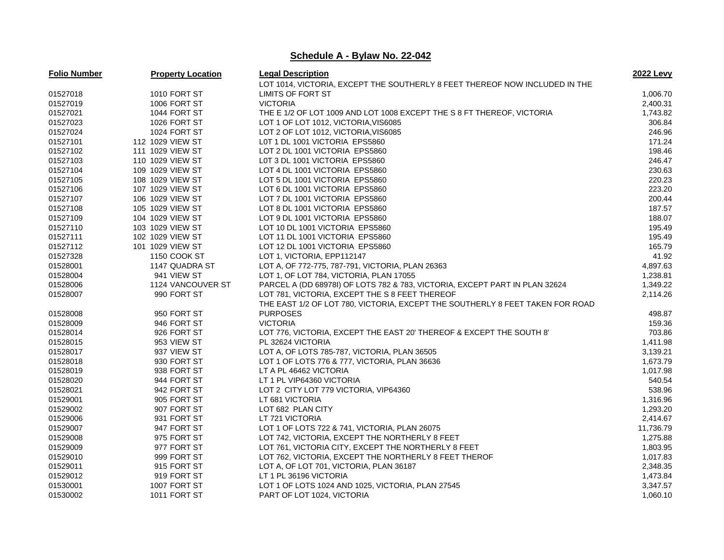| <b>Folio Number</b> | <b>Property Location</b> | <b>Legal Description</b>                                                      | <b>2022 Levy</b> |
|---------------------|--------------------------|-------------------------------------------------------------------------------|------------------|
|                     |                          | LOT 1014, VICTORIA, EXCEPT THE SOUTHERLY 8 FEET THEREOF NOW INCLUDED IN THE   |                  |
| 01527018            | 1010 FORT ST             | LIMITS OF FORT ST                                                             | 1,006.70         |
| 01527019            | 1006 FORT ST             | <b>VICTORIA</b>                                                               | 2,400.31         |
| 01527021            | 1044 FORT ST             | THE E 1/2 OF LOT 1009 AND LOT 1008 EXCEPT THE S 8 FT THEREOF, VICTORIA        | 1,743.82         |
| 01527023            | 1026 FORT ST             | LOT 1 OF LOT 1012, VICTORIA, VIS6085                                          | 306.84           |
| 01527024            | 1024 FORT ST             | LOT 2 OF LOT 1012, VICTORIA, VIS6085                                          | 246.96           |
| 01527101            | 112 1029 VIEW ST         | L0T 1 DL 1001 VICTORIA EPS5860                                                | 171.24           |
| 01527102            | 111 1029 VIEW ST         | LOT 2 DL 1001 VICTORIA EPS5860                                                | 198.46           |
| 01527103            | 110 1029 VIEW ST         | LOT 3 DL 1001 VICTORIA EPS5860                                                | 246.47           |
| 01527104            | 109 1029 VIEW ST         | LOT 4 DL 1001 VICTORIA EPS5860                                                | 230.63           |
| 01527105            | 108 1029 VIEW ST         | LOT 5 DL 1001 VICTORIA EPS5860                                                | 220.23           |
| 01527106            | 107 1029 VIEW ST         | LOT 6 DL 1001 VICTORIA EPS5860                                                | 223.20           |
| 01527107            | 106 1029 VIEW ST         | LOT 7 DL 1001 VICTORIA EPS5860                                                | 200.44           |
| 01527108            | 105 1029 VIEW ST         | LOT 8 DL 1001 VICTORIA EPS5860                                                | 187.57           |
| 01527109            | 104 1029 VIEW ST         | LOT 9 DL 1001 VICTORIA EPS5860                                                | 188.07           |
| 01527110            | 103 1029 VIEW ST         | LOT 10 DL 1001 VICTORIA EPS5860                                               | 195.49           |
| 01527111            | 102 1029 VIEW ST         | LOT 11 DL 1001 VICTORIA EPS5860                                               | 195.49           |
| 01527112            | 101 1029 VIEW ST         | LOT 12 DL 1001 VICTORIA EPS5860                                               | 165.79           |
| 01527328            | 1150 COOK ST             | LOT 1, VICTORIA, EPP112147                                                    | 41.92            |
| 01528001            | 1147 QUADRA ST           | LOT A, OF 772-775, 787-791, VICTORIA, PLAN 26363                              | 4,897.63         |
| 01528004            | 941 VIEW ST              | LOT 1, OF LOT 784, VICTORIA, PLAN 17055                                       | 1,238.81         |
| 01528006            | 1124 VANCOUVER ST        | PARCEL A (DD 68978I) OF LOTS 782 & 783, VICTORIA, EXCEPT PART IN PLAN 32624   | 1,349.22         |
| 01528007            | 990 FORT ST              | LOT 781, VICTORIA, EXCEPT THE S 8 FEET THEREOF                                | 2,114.26         |
|                     |                          | THE EAST 1/2 OF LOT 780, VICTORIA, EXCEPT THE SOUTHERLY 8 FEET TAKEN FOR ROAD |                  |
| 01528008            | 950 FORT ST              | <b>PURPOSES</b>                                                               | 498.87           |
| 01528009            | 946 FORT ST              | <b>VICTORIA</b>                                                               | 159.36           |
| 01528014            | 926 FORT ST              | LOT 776, VICTORIA, EXCEPT THE EAST 20' THEREOF & EXCEPT THE SOUTH 8'          | 703.86           |
| 01528015            | 953 VIEW ST              | PL 32624 VICTORIA                                                             | 1,411.98         |
| 01528017            | 937 VIEW ST              | LOT A, OF LOTS 785-787, VICTORIA, PLAN 36505                                  | 3,139.21         |
| 01528018            | 930 FORT ST              | LOT 1 OF LOTS 776 & 777, VICTORIA, PLAN 36636                                 | 1,673.79         |
| 01528019            | 938 FORT ST              | LT A PL 46462 VICTORIA                                                        | 1,017.98         |
| 01528020            | 944 FORT ST              | LT 1 PL VIP64360 VICTORIA                                                     | 540.54           |
| 01528021            | 942 FORT ST              | LOT 2 CITY LOT 779 VICTORIA, VIP64360                                         | 538.96           |
| 01529001            | 905 FORT ST              | LT 681 VICTORIA                                                               | 1,316.96         |
| 01529002            | 907 FORT ST              | LOT 682 PLAN CITY                                                             | 1,293.20         |
| 01529006            | 931 FORT ST              | LT 721 VICTORIA                                                               | 2,414.67         |
| 01529007            | 947 FORT ST              | LOT 1 OF LOTS 722 & 741, VICTORIA, PLAN 26075                                 | 11,736.79        |
| 01529008            | 975 FORT ST              | LOT 742, VICTORIA, EXCEPT THE NORTHERLY 8 FEET                                | 1,275.88         |
| 01529009            | 977 FORT ST              | LOT 761, VICTORIA CITY, EXCEPT THE NORTHERLY 8 FEET                           | 1,803.95         |
| 01529010            | 999 FORT ST              | LOT 762, VICTORIA, EXCEPT THE NORTHERLY 8 FEET THEROF                         | 1,017.83         |
| 01529011            | 915 FORT ST              | LOT A, OF LOT 701, VICTORIA, PLAN 36187                                       | 2,348.35         |
| 01529012            | 919 FORT ST              | LT 1 PL 36196 VICTORIA                                                        | 1,473.84         |
| 01530001            | 1007 FORT ST             | LOT 1 OF LOTS 1024 AND 1025, VICTORIA, PLAN 27545                             | 3,347.57         |
| 01530002            | 1011 FORT ST             | PART OF LOT 1024, VICTORIA                                                    | 1,060.10         |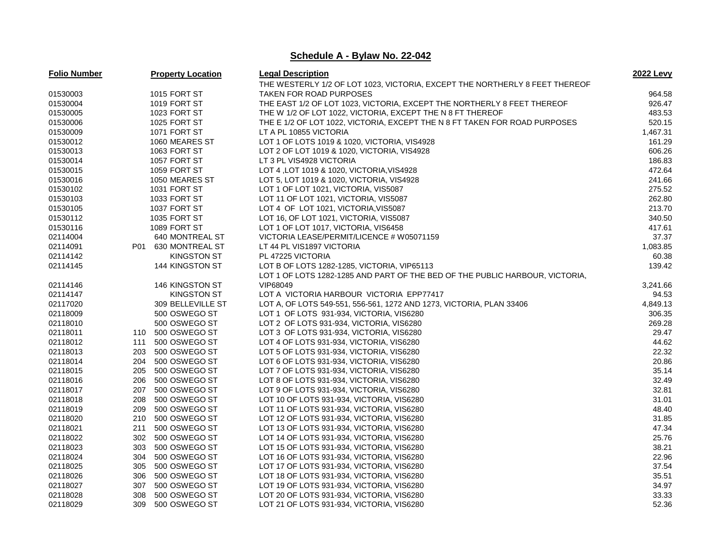| <b>Folio Number</b> |     | <b>Property Location</b> | <b>Legal Description</b>                                                     | <b>2022 Levy</b> |
|---------------------|-----|--------------------------|------------------------------------------------------------------------------|------------------|
|                     |     |                          | THE WESTERLY 1/2 OF LOT 1023, VICTORIA, EXCEPT THE NORTHERLY 8 FEET THEREOF  |                  |
| 01530003            |     | <b>1015 FORT ST</b>      | TAKEN FOR ROAD PURPOSES                                                      | 964.58           |
| 01530004            |     | 1019 FORT ST             | THE EAST 1/2 OF LOT 1023, VICTORIA, EXCEPT THE NORTHERLY 8 FEET THEREOF      | 926.47           |
| 01530005            |     | 1023 FORT ST             | THE W 1/2 OF LOT 1022, VICTORIA, EXCEPT THE N 8 FT THEREOF                   | 483.53           |
| 01530006            |     | 1025 FORT ST             | THE E 1/2 OF LOT 1022, VICTORIA, EXCEPT THE N 8 FT TAKEN FOR ROAD PURPOSES   | 520.15           |
| 01530009            |     | 1071 FORT ST             | LT A PL 10855 VICTORIA                                                       | 1,467.31         |
| 01530012            |     | 1060 MEARES ST           | LOT 1 OF LOTS 1019 & 1020, VICTORIA, VIS4928                                 | 161.29           |
| 01530013            |     | 1063 FORT ST             | LOT 2 OF LOT 1019 & 1020, VICTORIA, VIS4928                                  | 606.26           |
| 01530014            |     | 1057 FORT ST             | LT 3 PL VIS4928 VICTORIA                                                     | 186.83           |
| 01530015            |     | 1059 FORT ST             | LOT 4, LOT 1019 & 1020, VICTORIA, VIS4928                                    | 472.64           |
| 01530016            |     | 1050 MEARES ST           | LOT 5, LOT 1019 & 1020, VICTORIA, VIS4928                                    | 241.66           |
| 01530102            |     | 1031 FORT ST             | LOT 1 OF LOT 1021, VICTORIA, VIS5087                                         | 275.52           |
| 01530103            |     | 1033 FORT ST             | LOT 11 OF LOT 1021, VICTORIA, VIS5087                                        | 262.80           |
| 01530105            |     | 1037 FORT ST             | LOT 4 OF LOT 1021, VICTORIA, VIS5087                                         | 213.70           |
| 01530112            |     | 1035 FORT ST             | LOT 16, OF LOT 1021, VICTORIA, VIS5087                                       | 340.50           |
| 01530116            |     | 1089 FORT ST             | LOT 1 OF LOT 1017, VICTORIA, VIS6458                                         | 417.61           |
| 02114004            |     | 640 MONTREAL ST          | VICTORIA LEASE/PERMIT/LICENCE # W05071159                                    | 37.37            |
| 02114091            | P01 | 630 MONTREAL ST          | LT 44 PL VIS1897 VICTORIA                                                    | 1,083.85         |
| 02114142            |     | <b>KINGSTON ST</b>       | PL 47225 VICTORIA                                                            | 60.38            |
| 02114145            |     | 144 KINGSTON ST          | LOT B OF LOTS 1282-1285, VICTORIA, VIP65113                                  | 139.42           |
|                     |     |                          | LOT 1 OF LOTS 1282-1285 AND PART OF THE BED OF THE PUBLIC HARBOUR, VICTORIA, |                  |
| 02114146            |     | 146 KINGSTON ST          | VIP68049                                                                     | 3,241.66         |
| 02114147            |     | <b>KINGSTON ST</b>       | LOT A VICTORIA HARBOUR VICTORIA EPP77417                                     | 94.53            |
| 02117020            |     | 309 BELLEVILLE ST        | LOT A, OF LOTS 549-551, 556-561, 1272 AND 1273, VICTORIA, PLAN 33406         | 4,849.13         |
| 02118009            |     | 500 OSWEGO ST            | LOT 1 OF LOTS 931-934, VICTORIA, VIS6280                                     | 306.35           |
| 02118010            |     | 500 OSWEGO ST            | LOT 2 OF LOTS 931-934, VICTORIA, VIS6280                                     | 269.28           |
| 02118011            |     | 110 500 OSWEGO ST        | LOT 3 OF LOTS 931-934, VICTORIA, VIS6280                                     | 29.47            |
| 02118012            | 111 | 500 OSWEGO ST            | LOT 4 OF LOTS 931-934, VICTORIA, VIS6280                                     | 44.62            |
| 02118013            | 203 | 500 OSWEGO ST            | LOT 5 OF LOTS 931-934, VICTORIA, VIS6280                                     | 22.32            |
| 02118014            | 204 | 500 OSWEGO ST            | LOT 6 OF LOTS 931-934, VICTORIA, VIS6280                                     | 20.86            |
| 02118015            | 205 | 500 OSWEGO ST            | LOT 7 OF LOTS 931-934, VICTORIA, VIS6280                                     | 35.14            |
| 02118016            | 206 | 500 OSWEGO ST            | LOT 8 OF LOTS 931-934, VICTORIA, VIS6280                                     | 32.49            |
| 02118017            | 207 | 500 OSWEGO ST            | LOT 9 OF LOTS 931-934, VICTORIA, VIS6280                                     | 32.81            |
| 02118018            |     | 208 500 OSWEGO ST        | LOT 10 OF LOTS 931-934, VICTORIA, VIS6280                                    | 31.01            |
| 02118019            | 209 | 500 OSWEGO ST            | LOT 11 OF LOTS 931-934, VICTORIA, VIS6280                                    | 48.40            |
| 02118020            | 210 | 500 OSWEGO ST            | LOT 12 OF LOTS 931-934, VICTORIA, VIS6280                                    | 31.85            |
| 02118021            | 211 | 500 OSWEGO ST            | LOT 13 OF LOTS 931-934, VICTORIA, VIS6280                                    | 47.34            |
| 02118022            |     | 302 500 OSWEGO ST        | LOT 14 OF LOTS 931-934, VICTORIA, VIS6280                                    | 25.76            |
| 02118023            | 303 | 500 OSWEGO ST            | LOT 15 OF LOTS 931-934, VICTORIA, VIS6280                                    | 38.21            |
| 02118024            | 304 | 500 OSWEGO ST            | LOT 16 OF LOTS 931-934, VICTORIA, VIS6280                                    | 22.96            |
| 02118025            | 305 | 500 OSWEGO ST            | LOT 17 OF LOTS 931-934, VICTORIA, VIS6280                                    | 37.54            |
| 02118026            | 306 | 500 OSWEGO ST            | LOT 18 OF LOTS 931-934, VICTORIA, VIS6280                                    | 35.51            |
| 02118027            | 307 | 500 OSWEGO ST            | LOT 19 OF LOTS 931-934, VICTORIA, VIS6280                                    | 34.97            |
| 02118028            | 308 | 500 OSWEGO ST            | LOT 20 OF LOTS 931-934, VICTORIA, VIS6280                                    | 33.33            |
| 02118029            | 309 | 500 OSWEGO ST            | LOT 21 OF LOTS 931-934, VICTORIA, VIS6280                                    | 52.36            |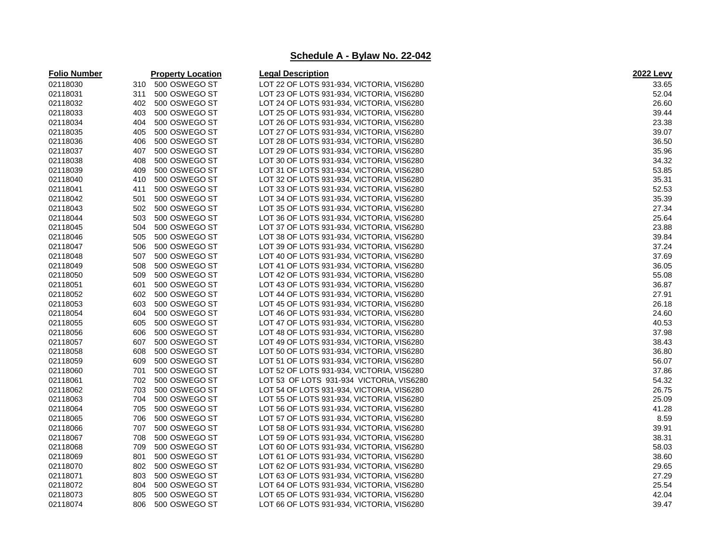| <b>Folio Number</b> | <b>Property Location</b> | <b>Legal Description</b>                  | <b>2022 Levy</b> |
|---------------------|--------------------------|-------------------------------------------|------------------|
| 02118030            | 310 500 OSWEGO ST        | LOT 22 OF LOTS 931-934, VICTORIA, VIS6280 | 33.65            |
| 02118031            | 311<br>500 OSWEGO ST     | LOT 23 OF LOTS 931-934, VICTORIA, VIS6280 | 52.04            |
| 02118032            | 402<br>500 OSWEGO ST     | LOT 24 OF LOTS 931-934, VICTORIA, VIS6280 | 26.60            |
| 02118033            | 500 OSWEGO ST<br>403     | LOT 25 OF LOTS 931-934, VICTORIA, VIS6280 | 39.44            |
| 02118034            | 500 OSWEGO ST<br>404     | LOT 26 OF LOTS 931-934, VICTORIA, VIS6280 | 23.38            |
| 02118035            | 405<br>500 OSWEGO ST     | LOT 27 OF LOTS 931-934, VICTORIA, VIS6280 | 39.07            |
| 02118036            | 500 OSWEGO ST<br>406     | LOT 28 OF LOTS 931-934, VICTORIA, VIS6280 | 36.50            |
| 02118037            | 407<br>500 OSWEGO ST     | LOT 29 OF LOTS 931-934, VICTORIA, VIS6280 | 35.96            |
| 02118038            | 500 OSWEGO ST<br>408     | LOT 30 OF LOTS 931-934, VICTORIA, VIS6280 | 34.32            |
| 02118039            | 409<br>500 OSWEGO ST     | LOT 31 OF LOTS 931-934, VICTORIA, VIS6280 | 53.85            |
| 02118040            | 410<br>500 OSWEGO ST     | LOT 32 OF LOTS 931-934, VICTORIA, VIS6280 | 35.31            |
| 02118041            | 411<br>500 OSWEGO ST     | LOT 33 OF LOTS 931-934, VICTORIA, VIS6280 | 52.53            |
| 02118042            | 501<br>500 OSWEGO ST     | LOT 34 OF LOTS 931-934, VICTORIA, VIS6280 | 35.39            |
| 02118043            | 502<br>500 OSWEGO ST     | LOT 35 OF LOTS 931-934, VICTORIA, VIS6280 | 27.34            |
| 02118044            | 503<br>500 OSWEGO ST     | LOT 36 OF LOTS 931-934, VICTORIA, VIS6280 | 25.64            |
| 02118045            | 504<br>500 OSWEGO ST     | LOT 37 OF LOTS 931-934, VICTORIA, VIS6280 | 23.88            |
| 02118046            | 505<br>500 OSWEGO ST     | LOT 38 OF LOTS 931-934, VICTORIA, VIS6280 | 39.84            |
| 02118047            | 500 OSWEGO ST<br>506     | LOT 39 OF LOTS 931-934, VICTORIA, VIS6280 | 37.24            |
| 02118048            | 507<br>500 OSWEGO ST     | LOT 40 OF LOTS 931-934, VICTORIA, VIS6280 | 37.69            |
| 02118049            | 508<br>500 OSWEGO ST     | LOT 41 OF LOTS 931-934, VICTORIA, VIS6280 | 36.05            |
| 02118050            | 500 OSWEGO ST<br>509     | LOT 42 OF LOTS 931-934, VICTORIA, VIS6280 | 55.08            |
| 02118051            | 500 OSWEGO ST<br>601     | LOT 43 OF LOTS 931-934, VICTORIA, VIS6280 | 36.87            |
| 02118052            | 602<br>500 OSWEGO ST     | LOT 44 OF LOTS 931-934, VICTORIA, VIS6280 | 27.91            |
| 02118053            | 603<br>500 OSWEGO ST     | LOT 45 OF LOTS 931-934, VICTORIA, VIS6280 | 26.18            |
| 02118054            | 604<br>500 OSWEGO ST     | LOT 46 OF LOTS 931-934, VICTORIA, VIS6280 | 24.60            |
| 02118055            | 500 OSWEGO ST<br>605     | LOT 47 OF LOTS 931-934, VICTORIA, VIS6280 | 40.53            |
| 02118056            | 606<br>500 OSWEGO ST     | LOT 48 OF LOTS 931-934, VICTORIA, VIS6280 | 37.98            |
| 02118057            | 607<br>500 OSWEGO ST     | LOT 49 OF LOTS 931-934, VICTORIA, VIS6280 | 38.43            |
| 02118058            | 608<br>500 OSWEGO ST     | LOT 50 OF LOTS 931-934, VICTORIA, VIS6280 | 36.80            |
| 02118059            | 500 OSWEGO ST<br>609     | LOT 51 OF LOTS 931-934, VICTORIA, VIS6280 | 56.07            |
| 02118060            | 500 OSWEGO ST<br>701     | LOT 52 OF LOTS 931-934, VICTORIA, VIS6280 | 37.86            |
| 02118061            | 702<br>500 OSWEGO ST     | LOT 53 OF LOTS 931-934 VICTORIA, VIS6280  | 54.32            |
| 02118062            | 500 OSWEGO ST<br>703     | LOT 54 OF LOTS 931-934, VICTORIA, VIS6280 | 26.75            |
| 02118063            | 500 OSWEGO ST<br>704     | LOT 55 OF LOTS 931-934, VICTORIA, VIS6280 | 25.09            |
| 02118064            | 500 OSWEGO ST<br>705     | LOT 56 OF LOTS 931-934, VICTORIA, VIS6280 | 41.28            |
| 02118065            | 706<br>500 OSWEGO ST     | LOT 57 OF LOTS 931-934, VICTORIA, VIS6280 | 8.59             |
| 02118066            | 707<br>500 OSWEGO ST     | LOT 58 OF LOTS 931-934, VICTORIA, VIS6280 | 39.91            |
| 02118067            | 500 OSWEGO ST<br>708     | LOT 59 OF LOTS 931-934, VICTORIA, VIS6280 | 38.31            |
| 02118068            | 709<br>500 OSWEGO ST     | LOT 60 OF LOTS 931-934, VICTORIA, VIS6280 | 58.03            |
| 02118069            | 801<br>500 OSWEGO ST     | LOT 61 OF LOTS 931-934, VICTORIA, VIS6280 | 38.60            |
| 02118070            | 802<br>500 OSWEGO ST     | LOT 62 OF LOTS 931-934, VICTORIA, VIS6280 | 29.65            |
| 02118071            | 500 OSWEGO ST<br>803     | LOT 63 OF LOTS 931-934, VICTORIA, VIS6280 | 27.29            |
| 02118072            | 804<br>500 OSWEGO ST     | LOT 64 OF LOTS 931-934, VICTORIA, VIS6280 | 25.54            |
| 02118073            | 805<br>500 OSWEGO ST     | LOT 65 OF LOTS 931-934, VICTORIA, VIS6280 | 42.04            |
| 02118074            | 806<br>500 OSWEGO ST     | LOT 66 OF LOTS 931-934, VICTORIA, VIS6280 | 39.47            |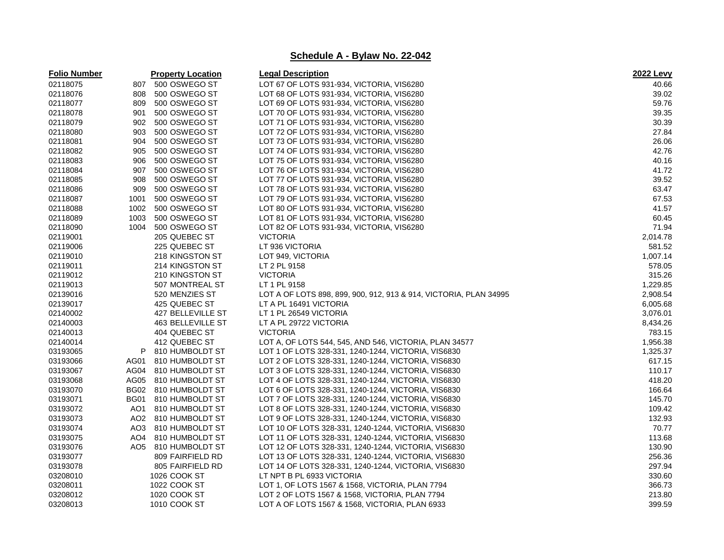| <b>Folio Number</b> |             | <b>Property Location</b>        | <b>Legal Description</b>                                          | <b>2022 Levy</b> |
|---------------------|-------------|---------------------------------|-------------------------------------------------------------------|------------------|
| 02118075            | 807         | 500 OSWEGO ST                   | LOT 67 OF LOTS 931-934, VICTORIA, VIS6280                         | 40.66            |
| 02118076            | 808         | 500 OSWEGO ST                   | LOT 68 OF LOTS 931-934, VICTORIA, VIS6280                         | 39.02            |
| 02118077            | 809         | 500 OSWEGO ST                   | LOT 69 OF LOTS 931-934, VICTORIA, VIS6280                         | 59.76            |
| 02118078            | 901         | 500 OSWEGO ST                   | LOT 70 OF LOTS 931-934, VICTORIA, VIS6280                         | 39.35            |
| 02118079            | 902         | 500 OSWEGO ST                   | LOT 71 OF LOTS 931-934, VICTORIA, VIS6280                         | 30.39            |
| 02118080            | 903         | 500 OSWEGO ST                   | LOT 72 OF LOTS 931-934, VICTORIA, VIS6280                         | 27.84            |
| 02118081            | 904         | 500 OSWEGO ST                   | LOT 73 OF LOTS 931-934, VICTORIA, VIS6280                         | 26.06            |
| 02118082            | 905         | 500 OSWEGO ST                   | LOT 74 OF LOTS 931-934, VICTORIA, VIS6280                         | 42.76            |
| 02118083            | 906         | 500 OSWEGO ST                   | LOT 75 OF LOTS 931-934, VICTORIA, VIS6280                         | 40.16            |
| 02118084            | 907         | 500 OSWEGO ST                   | LOT 76 OF LOTS 931-934, VICTORIA, VIS6280                         | 41.72            |
| 02118085            | 908         | 500 OSWEGO ST                   | LOT 77 OF LOTS 931-934, VICTORIA, VIS6280                         | 39.52            |
| 02118086            | 909         | 500 OSWEGO ST                   | LOT 78 OF LOTS 931-934, VICTORIA, VIS6280                         | 63.47            |
| 02118087            | 1001        | 500 OSWEGO ST                   | LOT 79 OF LOTS 931-934, VICTORIA, VIS6280                         | 67.53            |
| 02118088            | 1002        | 500 OSWEGO ST                   | LOT 80 OF LOTS 931-934, VICTORIA, VIS6280                         | 41.57            |
| 02118089            | 1003        | 500 OSWEGO ST                   | LOT 81 OF LOTS 931-934, VICTORIA, VIS6280                         | 60.45            |
| 02118090            | 1004        | 500 OSWEGO ST                   | LOT 82 OF LOTS 931-934, VICTORIA, VIS6280                         | 71.94            |
| 02119001            |             | 205 QUEBEC ST                   | <b>VICTORIA</b>                                                   | 2,014.78         |
| 02119006            |             | 225 QUEBEC ST                   | LT 936 VICTORIA                                                   | 581.52           |
| 02119010            |             | 218 KINGSTON ST                 | LOT 949, VICTORIA                                                 | 1,007.14         |
| 02119011            |             | 214 KINGSTON ST                 | LT 2 PL 9158                                                      | 578.05           |
| 02119012            |             | 210 KINGSTON ST                 | <b>VICTORIA</b>                                                   | 315.26           |
| 02119013            |             | 507 MONTREAL ST                 | LT 1 PL 9158                                                      | 1,229.85         |
| 02139016            |             | 520 MENZIES ST                  | LOT A OF LOTS 898, 899, 900, 912, 913 & 914, VICTORIA, PLAN 34995 | 2,908.54         |
| 02139017            |             | 425 QUEBEC ST                   | LT A PL 16491 VICTORIA                                            | 6,005.68         |
| 02140002            |             | 427 BELLEVILLE ST               | LT 1 PL 26549 VICTORIA                                            | 3,076.01         |
| 02140003            |             | 463 BELLEVILLE ST               | LT A PL 29722 VICTORIA                                            | 8,434.26         |
| 02140013            |             | 404 QUEBEC ST                   | <b>VICTORIA</b>                                                   | 783.15           |
| 02140014            |             | 412 QUEBEC ST                   | LOT A, OF LOTS 544, 545, AND 546, VICTORIA, PLAN 34577            | 1,956.38         |
| 03193065            | P           | 810 HUMBOLDT ST                 | LOT 1 OF LOTS 328-331, 1240-1244, VICTORIA, VIS6830               | 1,325.37         |
| 03193066            | AG01        | 810 HUMBOLDT ST                 | LOT 2 OF LOTS 328-331, 1240-1244, VICTORIA, VIS6830               | 617.15           |
| 03193067            |             | AG04 810 HUMBOLDT ST            | LOT 3 OF LOTS 328-331, 1240-1244, VICTORIA, VIS6830               | 110.17           |
| 03193068            |             | AG05 810 HUMBOLDT ST            | LOT 4 OF LOTS 328-331, 1240-1244, VICTORIA, VIS6830               | 418.20           |
| 03193070            |             | BG02 810 HUMBOLDT ST            | LOT 6 OF LOTS 328-331, 1240-1244, VICTORIA, VIS6830               | 166.64           |
| 03193071            | <b>BG01</b> | 810 HUMBOLDT ST                 | LOT 7 OF LOTS 328-331, 1240-1244, VICTORIA, VIS6830               | 145.70           |
| 03193072            |             | AO1 810 HUMBOLDT ST             | LOT 8 OF LOTS 328-331, 1240-1244, VICTORIA, VIS6830               | 109.42           |
| 03193073            |             | AO <sub>2</sub> 810 HUMBOLDT ST | LOT 9 OF LOTS 328-331, 1240-1244, VICTORIA, VIS6830               | 132.93           |
| 03193074            |             | AO3 810 HUMBOLDT ST             | LOT 10 OF LOTS 328-331, 1240-1244, VICTORIA, VIS6830              | 70.77            |
| 03193075            |             | AO4 810 HUMBOLDT ST             | LOT 11 OF LOTS 328-331, 1240-1244, VICTORIA, VIS6830              | 113.68           |
| 03193076            |             | AO5 810 HUMBOLDT ST             | LOT 12 OF LOTS 328-331, 1240-1244, VICTORIA, VIS6830              | 130.90           |
| 03193077            |             | 809 FAIRFIELD RD                | LOT 13 OF LOTS 328-331, 1240-1244, VICTORIA, VIS6830              | 256.36           |
| 03193078            |             | 805 FAIRFIELD RD                | LOT 14 OF LOTS 328-331, 1240-1244, VICTORIA, VIS6830              | 297.94           |
| 03208010            |             | 1026 COOK ST                    | LT NPT B PL 6933 VICTORIA                                         | 330.60           |
| 03208011            |             | 1022 COOK ST                    | LOT 1, OF LOTS 1567 & 1568, VICTORIA, PLAN 7794                   | 366.73           |
| 03208012            |             | 1020 COOK ST                    | LOT 2 OF LOTS 1567 & 1568, VICTORIA, PLAN 7794                    | 213.80           |
| 03208013            |             | 1010 COOK ST                    | LOT A OF LOTS 1567 & 1568, VICTORIA, PLAN 6933                    | 399.59           |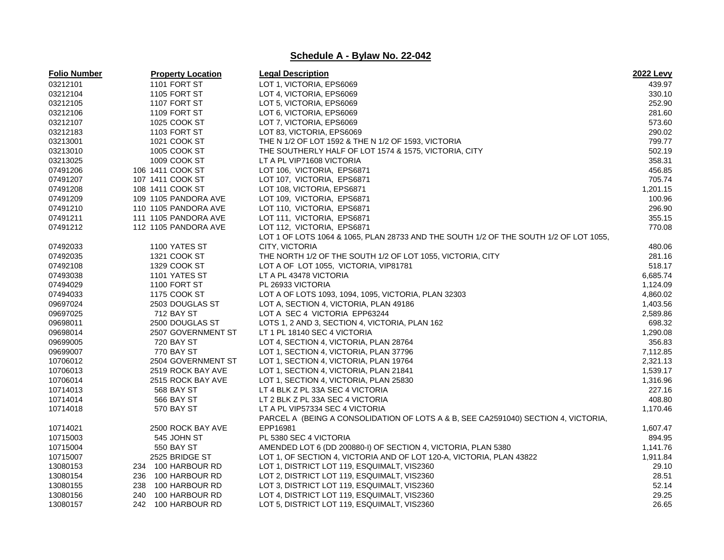| <b>Folio Number</b> | <b>Property Location</b> | <b>Legal Description</b>                                                              | 2022 Levy |
|---------------------|--------------------------|---------------------------------------------------------------------------------------|-----------|
| 03212101            | 1101 FORT ST             | LOT 1, VICTORIA, EPS6069                                                              | 439.97    |
| 03212104            | <b>1105 FORT ST</b>      | LOT 4, VICTORIA, EPS6069                                                              | 330.10    |
| 03212105            | 1107 FORT ST             | LOT 5, VICTORIA, EPS6069                                                              | 252.90    |
| 03212106            | 1109 FORT ST             | LOT 6, VICTORIA, EPS6069                                                              | 281.60    |
| 03212107            | 1025 COOK ST             | LOT 7, VICTORIA, EPS6069                                                              | 573.60    |
| 03212183            | 1103 FORT ST             | LOT 83, VICTORIA, EPS6069                                                             | 290.02    |
| 03213001            | 1021 COOK ST             | THE N 1/2 OF LOT 1592 & THE N 1/2 OF 1593, VICTORIA                                   | 799.77    |
| 03213010            | 1005 COOK ST             | THE SOUTHERLY HALF OF LOT 1574 & 1575, VICTORIA, CITY                                 | 502.19    |
| 03213025            | 1009 COOK ST             | LT A PL VIP71608 VICTORIA                                                             | 358.31    |
| 07491206            | 106 1411 COOK ST         | LOT 106, VICTORIA, EPS6871                                                            | 456.85    |
| 07491207            | 107 1411 COOK ST         | LOT 107, VICTORIA, EPS6871                                                            | 705.74    |
| 07491208            | 108 1411 COOK ST         | LOT 108, VICTORIA, EPS6871                                                            | 1,201.15  |
| 07491209            | 109 1105 PANDORA AVE     | LOT 109, VICTORIA, EPS6871                                                            | 100.96    |
| 07491210            | 110 1105 PANDORA AVE     | LOT 110, VICTORIA, EPS6871                                                            | 296.90    |
| 07491211            | 111 1105 PANDORA AVE     | LOT 111, VICTORIA, EPS6871                                                            | 355.15    |
| 07491212            | 112 1105 PANDORA AVE     | LOT 112, VICTORIA, EPS6871                                                            | 770.08    |
|                     |                          | LOT 1 OF LOTS 1064 & 1065, PLAN 28733 AND THE SOUTH 1/2 OF THE SOUTH 1/2 OF LOT 1055, |           |
| 07492033            | 1100 YATES ST            | CITY, VICTORIA                                                                        | 480.06    |
| 07492035            | 1321 COOK ST             | THE NORTH 1/2 OF THE SOUTH 1/2 OF LOT 1055, VICTORIA, CITY                            | 281.16    |
| 07492108            | 1329 COOK ST             | LOT A OF LOT 1055, VICTORIA, VIP81781                                                 | 518.17    |
| 07493038            | 1101 YATES ST            | LT A PL 43478 VICTORIA                                                                | 6,685.74  |
| 07494029            | 1100 FORT ST             | PL 26933 VICTORIA                                                                     | 1,124.09  |
| 07494033            | 1175 COOK ST             | LOT A OF LOTS 1093, 1094, 1095, VICTORIA, PLAN 32303                                  | 4,860.02  |
| 09697024            | 2503 DOUGLAS ST          | LOT A, SECTION 4, VICTORIA, PLAN 49186                                                | 1,403.56  |
| 09697025            | 712 BAY ST               | LOT A SEC 4 VICTORIA EPP63244                                                         | 2,589.86  |
| 09698011            | 2500 DOUGLAS ST          | LOTS 1, 2 AND 3, SECTION 4, VICTORIA, PLAN 162                                        | 698.32    |
| 09698014            | 2507 GOVERNMENT ST       | LT 1 PL 18140 SEC 4 VICTORIA                                                          | 1,290.08  |
| 09699005            | <b>720 BAY ST</b>        | LOT 4, SECTION 4, VICTORIA, PLAN 28764                                                | 356.83    |
| 09699007            | 770 BAY ST               | LOT 1, SECTION 4, VICTORIA, PLAN 37796                                                | 7,112.85  |
| 10706012            | 2504 GOVERNMENT ST       | LOT 1, SECTION 4, VICTORIA, PLAN 19764                                                | 2,321.13  |
| 10706013            | 2519 ROCK BAY AVE        | LOT 1, SECTION 4, VICTORIA, PLAN 21841                                                | 1,539.17  |
| 10706014            | 2515 ROCK BAY AVE        | LOT 1, SECTION 4, VICTORIA, PLAN 25830                                                | 1,316.96  |
| 10714013            | 568 BAY ST               | LT 4 BLK Z PL 33A SEC 4 VICTORIA                                                      | 227.16    |
| 10714014            | <b>566 BAY ST</b>        | LT 2 BLK Z PL 33A SEC 4 VICTORIA                                                      | 408.80    |
| 10714018            | 570 BAY ST               | LT A PL VIP57334 SEC 4 VICTORIA                                                       | 1,170.46  |
|                     |                          | PARCEL A (BEING A CONSOLIDATION OF LOTS A & B, SEE CA2591040) SECTION 4, VICTORIA,    |           |
| 10714021            | 2500 ROCK BAY AVE        | EPP16981                                                                              | 1,607.47  |
| 10715003            | 545 JOHN ST              | PL 5380 SEC 4 VICTORIA                                                                | 894.95    |
| 10715004            | 550 BAY ST               | AMENDED LOT 6 (DD 200880-I) OF SECTION 4, VICTORIA, PLAN 5380                         | 1,141.76  |
| 10715007            | 2525 BRIDGE ST           | LOT 1, OF SECTION 4, VICTORIA AND OF LOT 120-A, VICTORIA, PLAN 43822                  | 1,911.84  |
| 13080153            | 234 100 HARBOUR RD       | LOT 1, DISTRICT LOT 119, ESQUIMALT, VIS2360                                           | 29.10     |
| 13080154            | 236 100 HARBOUR RD       | LOT 2, DISTRICT LOT 119, ESQUIMALT, VIS2360                                           | 28.51     |
| 13080155            | 238 100 HARBOUR RD       | LOT 3, DISTRICT LOT 119, ESQUIMALT, VIS2360                                           | 52.14     |
| 13080156            | 240<br>100 HARBOUR RD    | LOT 4, DISTRICT LOT 119, ESQUIMALT, VIS2360                                           | 29.25     |
| 13080157            | 242<br>100 HARBOUR RD    | LOT 5, DISTRICT LOT 119, ESQUIMALT, VIS2360                                           | 26.65     |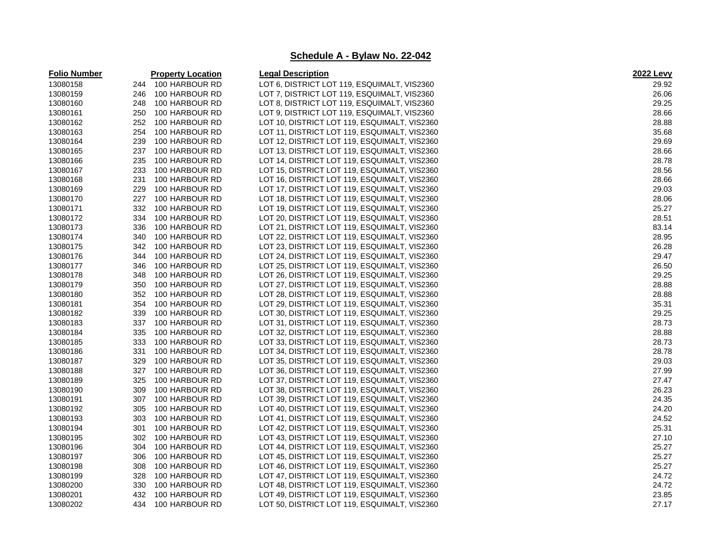| <b>Folio Number</b> |     | <b>Property Location</b> | <b>Legal Description</b>                     | <b>2022 Levy</b> |
|---------------------|-----|--------------------------|----------------------------------------------|------------------|
| 13080158            |     | 244 100 HARBOUR RD       | LOT 6, DISTRICT LOT 119, ESQUIMALT, VIS2360  | 29.92            |
| 13080159            | 246 | 100 HARBOUR RD           | LOT 7, DISTRICT LOT 119, ESQUIMALT, VIS2360  | 26.06            |
| 13080160            | 248 | 100 HARBOUR RD           | LOT 8, DISTRICT LOT 119, ESQUIMALT, VIS2360  | 29.25            |
| 13080161            | 250 | 100 HARBOUR RD           | LOT 9, DISTRICT LOT 119, ESQUIMALT, VIS2360  | 28.66            |
| 13080162            | 252 | 100 HARBOUR RD           | LOT 10, DISTRICT LOT 119, ESQUIMALT, VIS2360 | 28.88            |
| 13080163            | 254 | 100 HARBOUR RD           | LOT 11, DISTRICT LOT 119, ESQUIMALT, VIS2360 | 35.68            |
| 13080164            | 239 | 100 HARBOUR RD           | LOT 12, DISTRICT LOT 119, ESQUIMALT, VIS2360 | 29.69            |
| 13080165            | 237 | 100 HARBOUR RD           | LOT 13, DISTRICT LOT 119, ESQUIMALT, VIS2360 | 28.66            |
| 13080166            | 235 | 100 HARBOUR RD           | LOT 14, DISTRICT LOT 119, ESQUIMALT, VIS2360 | 28.78            |
| 13080167            | 233 | 100 HARBOUR RD           | LOT 15, DISTRICT LOT 119, ESQUIMALT, VIS2360 | 28.56            |
| 13080168            | 231 | 100 HARBOUR RD           | LOT 16, DISTRICT LOT 119, ESQUIMALT, VIS2360 | 28.66            |
| 13080169            | 229 | 100 HARBOUR RD           | LOT 17, DISTRICT LOT 119, ESQUIMALT, VIS2360 | 29.03            |
| 13080170            | 227 | 100 HARBOUR RD           | LOT 18, DISTRICT LOT 119, ESQUIMALT, VIS2360 | 28.06            |
| 13080171            | 332 | 100 HARBOUR RD           | LOT 19, DISTRICT LOT 119, ESQUIMALT, VIS2360 | 25.27            |
| 13080172            | 334 | 100 HARBOUR RD           | LOT 20, DISTRICT LOT 119, ESQUIMALT, VIS2360 | 28.51            |
| 13080173            | 336 | 100 HARBOUR RD           | LOT 21, DISTRICT LOT 119, ESQUIMALT, VIS2360 | 83.14            |
| 13080174            | 340 | 100 HARBOUR RD           | LOT 22, DISTRICT LOT 119, ESQUIMALT, VIS2360 | 28.95            |
| 13080175            | 342 | 100 HARBOUR RD           | LOT 23, DISTRICT LOT 119, ESQUIMALT, VIS2360 | 26.28            |
| 13080176            | 344 | 100 HARBOUR RD           | LOT 24, DISTRICT LOT 119, ESQUIMALT, VIS2360 | 29.47            |
| 13080177            | 346 | 100 HARBOUR RD           | LOT 25, DISTRICT LOT 119, ESQUIMALT, VIS2360 | 26.50            |
| 13080178            | 348 | 100 HARBOUR RD           | LOT 26, DISTRICT LOT 119, ESQUIMALT, VIS2360 | 29.25            |
| 13080179            | 350 | 100 HARBOUR RD           | LOT 27, DISTRICT LOT 119, ESQUIMALT, VIS2360 | 28.88            |
| 13080180            | 352 | 100 HARBOUR RD           | LOT 28, DISTRICT LOT 119, ESQUIMALT, VIS2360 | 28.88            |
| 13080181            | 354 | 100 HARBOUR RD           | LOT 29, DISTRICT LOT 119, ESQUIMALT, VIS2360 | 35.31            |
| 13080182            | 339 | 100 HARBOUR RD           | LOT 30, DISTRICT LOT 119, ESQUIMALT, VIS2360 | 29.25            |
| 13080183            | 337 | 100 HARBOUR RD           | LOT 31, DISTRICT LOT 119, ESQUIMALT, VIS2360 | 28.73            |
| 13080184            | 335 | 100 HARBOUR RD           | LOT 32, DISTRICT LOT 119, ESQUIMALT, VIS2360 | 28.88            |
| 13080185            | 333 | 100 HARBOUR RD           | LOT 33, DISTRICT LOT 119, ESQUIMALT, VIS2360 | 28.73            |
| 13080186            | 331 | 100 HARBOUR RD           | LOT 34, DISTRICT LOT 119, ESQUIMALT, VIS2360 | 28.78            |
| 13080187            | 329 | 100 HARBOUR RD           | LOT 35, DISTRICT LOT 119, ESQUIMALT, VIS2360 | 29.03            |
| 13080188            | 327 | 100 HARBOUR RD           | LOT 36, DISTRICT LOT 119, ESQUIMALT, VIS2360 | 27.99            |
| 13080189            | 325 | 100 HARBOUR RD           | LOT 37, DISTRICT LOT 119, ESQUIMALT, VIS2360 | 27.47            |
| 13080190            | 309 | 100 HARBOUR RD           | LOT 38, DISTRICT LOT 119, ESQUIMALT, VIS2360 | 26.23            |
| 13080191            | 307 | 100 HARBOUR RD           | LOT 39, DISTRICT LOT 119, ESQUIMALT, VIS2360 | 24.35            |
| 13080192            | 305 | 100 HARBOUR RD           | LOT 40, DISTRICT LOT 119, ESQUIMALT, VIS2360 | 24.20            |
| 13080193            | 303 | 100 HARBOUR RD           | LOT 41, DISTRICT LOT 119, ESQUIMALT, VIS2360 | 24.52            |
| 13080194            | 301 | 100 HARBOUR RD           | LOT 42, DISTRICT LOT 119, ESQUIMALT, VIS2360 | 25.31            |
| 13080195            | 302 | 100 HARBOUR RD           | LOT 43, DISTRICT LOT 119, ESQUIMALT, VIS2360 | 27.10            |
| 13080196            | 304 | 100 HARBOUR RD           | LOT 44, DISTRICT LOT 119, ESQUIMALT, VIS2360 | 25.27            |
| 13080197            | 306 | 100 HARBOUR RD           | LOT 45, DISTRICT LOT 119, ESQUIMALT, VIS2360 | 25.27            |
| 13080198            | 308 | 100 HARBOUR RD           | LOT 46, DISTRICT LOT 119, ESQUIMALT, VIS2360 | 25.27            |
| 13080199            | 328 | 100 HARBOUR RD           | LOT 47, DISTRICT LOT 119, ESQUIMALT, VIS2360 | 24.72            |
| 13080200            | 330 | 100 HARBOUR RD           | LOT 48, DISTRICT LOT 119, ESQUIMALT, VIS2360 | 24.72            |
| 13080201            | 432 | 100 HARBOUR RD           | LOT 49, DISTRICT LOT 119, ESQUIMALT, VIS2360 | 23.85            |
| 13080202            | 434 | 100 HARBOUR RD           | LOT 50, DISTRICT LOT 119, ESQUIMALT, VIS2360 | 27.17            |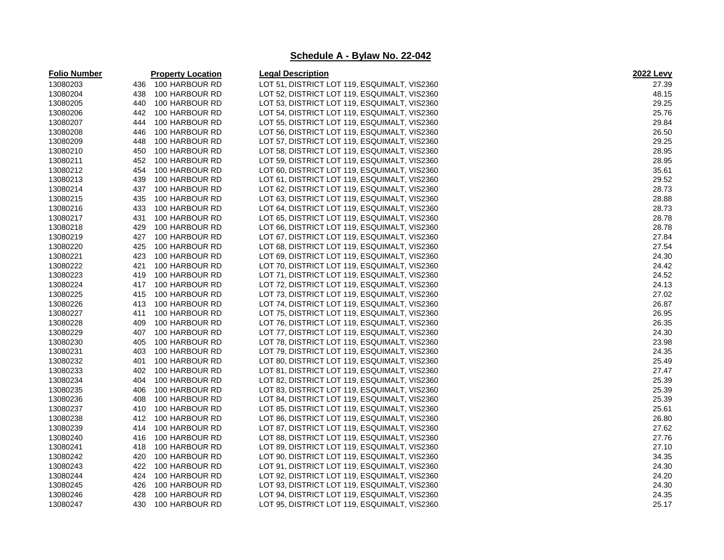| <b>Legal Description</b><br><b>Folio Number</b><br><b>Property Location</b>       | <b>2022 Levy</b> |
|-----------------------------------------------------------------------------------|------------------|
| 13080203<br>100 HARBOUR RD<br>LOT 51, DISTRICT LOT 119, ESQUIMALT, VIS2360<br>436 | 27.39            |
| 13080204<br>LOT 52, DISTRICT LOT 119, ESQUIMALT, VIS2360<br>438<br>100 HARBOUR RD | 48.15            |
| 13080205<br>440<br>100 HARBOUR RD<br>LOT 53, DISTRICT LOT 119, ESQUIMALT, VIS2360 | 29.25            |
| 13080206<br>100 HARBOUR RD<br>LOT 54, DISTRICT LOT 119, ESQUIMALT, VIS2360<br>442 | 25.76            |
| 13080207<br>100 HARBOUR RD<br>LOT 55, DISTRICT LOT 119, ESQUIMALT, VIS2360<br>444 | 29.84            |
| 13080208<br>446<br>100 HARBOUR RD<br>LOT 56, DISTRICT LOT 119, ESQUIMALT, VIS2360 | 26.50            |
| 13080209<br>448<br>100 HARBOUR RD<br>LOT 57, DISTRICT LOT 119, ESQUIMALT, VIS2360 | 29.25            |
| 13080210<br>450<br>100 HARBOUR RD<br>LOT 58, DISTRICT LOT 119, ESQUIMALT, VIS2360 | 28.95            |
| 13080211<br>452<br>100 HARBOUR RD<br>LOT 59, DISTRICT LOT 119, ESQUIMALT, VIS2360 | 28.95            |
| 13080212<br>454<br>100 HARBOUR RD<br>LOT 60, DISTRICT LOT 119, ESQUIMALT, VIS2360 | 35.61            |
| 13080213<br>100 HARBOUR RD<br>439<br>LOT 61, DISTRICT LOT 119, ESQUIMALT, VIS2360 | 29.52            |
| 13080214<br>437<br>100 HARBOUR RD<br>LOT 62, DISTRICT LOT 119, ESQUIMALT, VIS2360 | 28.73            |
| 13080215<br>435<br>100 HARBOUR RD<br>LOT 63, DISTRICT LOT 119, ESQUIMALT, VIS2360 | 28.88            |
| 13080216<br>433<br>100 HARBOUR RD<br>LOT 64, DISTRICT LOT 119, ESQUIMALT, VIS2360 | 28.73            |
| 13080217<br>431<br>100 HARBOUR RD<br>LOT 65, DISTRICT LOT 119, ESQUIMALT, VIS2360 | 28.78            |
| 13080218<br>429<br>100 HARBOUR RD<br>LOT 66, DISTRICT LOT 119, ESQUIMALT, VIS2360 | 28.78            |
| 13080219<br>427<br>100 HARBOUR RD<br>LOT 67, DISTRICT LOT 119, ESQUIMALT, VIS2360 | 27.84            |
| 13080220<br>425<br>100 HARBOUR RD<br>LOT 68, DISTRICT LOT 119, ESQUIMALT, VIS2360 | 27.54            |
| 13080221<br>423<br>100 HARBOUR RD<br>LOT 69, DISTRICT LOT 119, ESQUIMALT, VIS2360 | 24.30            |
| 13080222<br>421<br>100 HARBOUR RD<br>LOT 70, DISTRICT LOT 119, ESQUIMALT, VIS2360 | 24.42            |
| 13080223<br>419<br>100 HARBOUR RD<br>LOT 71, DISTRICT LOT 119, ESQUIMALT, VIS2360 | 24.52            |
| 13080224<br>417<br>100 HARBOUR RD<br>LOT 72, DISTRICT LOT 119, ESQUIMALT, VIS2360 | 24.13            |
| 13080225<br>415<br>100 HARBOUR RD<br>LOT 73, DISTRICT LOT 119, ESQUIMALT, VIS2360 | 27.02            |
| 13080226<br>413<br>100 HARBOUR RD<br>LOT 74, DISTRICT LOT 119, ESQUIMALT, VIS2360 | 26.87            |
| 13080227<br>411<br>100 HARBOUR RD<br>LOT 75, DISTRICT LOT 119, ESQUIMALT, VIS2360 | 26.95            |
| 13080228<br>100 HARBOUR RD<br>409<br>LOT 76, DISTRICT LOT 119, ESQUIMALT, VIS2360 | 26.35            |
| 13080229<br>100 HARBOUR RD<br>407<br>LOT 77, DISTRICT LOT 119, ESQUIMALT, VIS2360 | 24.30            |
| 13080230<br>405<br>100 HARBOUR RD<br>LOT 78, DISTRICT LOT 119, ESQUIMALT, VIS2360 | 23.98            |
| 13080231<br>403<br>100 HARBOUR RD<br>LOT 79, DISTRICT LOT 119, ESQUIMALT, VIS2360 | 24.35            |
| 13080232<br>401<br>100 HARBOUR RD<br>LOT 80, DISTRICT LOT 119, ESQUIMALT, VIS2360 | 25.49            |
| 13080233<br>402<br>100 HARBOUR RD<br>LOT 81, DISTRICT LOT 119, ESQUIMALT, VIS2360 | 27.47            |
| 13080234<br>404<br>100 HARBOUR RD<br>LOT 82, DISTRICT LOT 119, ESQUIMALT, VIS2360 | 25.39            |
| 13080235<br>406<br>100 HARBOUR RD<br>LOT 83, DISTRICT LOT 119, ESQUIMALT, VIS2360 | 25.39            |
| 13080236<br>100 HARBOUR RD<br>LOT 84, DISTRICT LOT 119, ESQUIMALT, VIS2360<br>408 | 25.39            |
| 13080237<br>100 HARBOUR RD<br>LOT 85, DISTRICT LOT 119, ESQUIMALT, VIS2360<br>410 | 25.61            |
| 13080238<br>412<br>100 HARBOUR RD<br>LOT 86, DISTRICT LOT 119, ESQUIMALT, VIS2360 | 26.80            |
| 13080239<br>414<br>100 HARBOUR RD<br>LOT 87, DISTRICT LOT 119, ESQUIMALT, VIS2360 | 27.62            |
| 13080240<br>416<br>100 HARBOUR RD<br>LOT 88, DISTRICT LOT 119, ESQUIMALT, VIS2360 | 27.76            |
| 13080241<br>418<br>100 HARBOUR RD<br>LOT 89, DISTRICT LOT 119, ESQUIMALT, VIS2360 | 27.10            |
| 13080242<br>420<br>100 HARBOUR RD<br>LOT 90, DISTRICT LOT 119, ESQUIMALT, VIS2360 | 34.35            |
| 13080243<br>422<br>100 HARBOUR RD<br>LOT 91, DISTRICT LOT 119, ESQUIMALT, VIS2360 | 24.30            |
| 13080244<br>424<br>100 HARBOUR RD<br>LOT 92, DISTRICT LOT 119, ESQUIMALT, VIS2360 | 24.20            |
| 13080245<br>426<br>100 HARBOUR RD<br>LOT 93, DISTRICT LOT 119, ESQUIMALT, VIS2360 | 24.30            |
| 13080246<br>428<br>100 HARBOUR RD<br>LOT 94, DISTRICT LOT 119, ESQUIMALT, VIS2360 | 24.35            |
| 13080247<br>430<br>100 HARBOUR RD<br>LOT 95, DISTRICT LOT 119, ESQUIMALT, VIS2360 | 25.17            |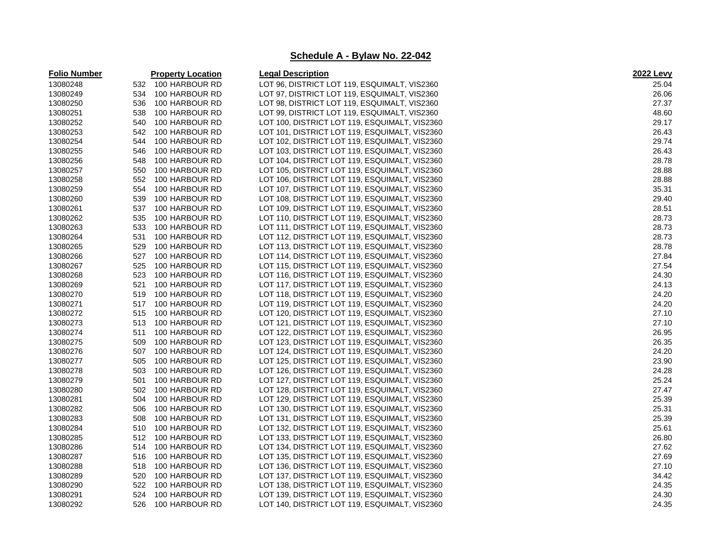| <b>Folio Number</b> |     | <b>Property Location</b> | <b>Legal Description</b>                      | <b>2022 Levy</b> |
|---------------------|-----|--------------------------|-----------------------------------------------|------------------|
| 13080248            |     | 532 100 HARBOUR RD       | LOT 96, DISTRICT LOT 119, ESQUIMALT, VIS2360  | 25.04            |
| 13080249            | 534 | 100 HARBOUR RD           | LOT 97, DISTRICT LOT 119, ESQUIMALT, VIS2360  | 26.06            |
| 13080250            | 536 | 100 HARBOUR RD           | LOT 98, DISTRICT LOT 119, ESQUIMALT, VIS2360  | 27.37            |
| 13080251            | 538 | 100 HARBOUR RD           | LOT 99, DISTRICT LOT 119, ESQUIMALT, VIS2360  | 48.60            |
| 13080252            | 540 | 100 HARBOUR RD           | LOT 100, DISTRICT LOT 119, ESQUIMALT, VIS2360 | 29.17            |
| 13080253            | 542 | 100 HARBOUR RD           | LOT 101, DISTRICT LOT 119, ESQUIMALT, VIS2360 | 26.43            |
| 13080254            | 544 | 100 HARBOUR RD           | LOT 102, DISTRICT LOT 119, ESQUIMALT, VIS2360 | 29.74            |
| 13080255            | 546 | 100 HARBOUR RD           | LOT 103, DISTRICT LOT 119, ESQUIMALT, VIS2360 | 26.43            |
| 13080256            | 548 | 100 HARBOUR RD           | LOT 104, DISTRICT LOT 119, ESQUIMALT, VIS2360 | 28.78            |
| 13080257            | 550 | 100 HARBOUR RD           | LOT 105, DISTRICT LOT 119, ESQUIMALT, VIS2360 | 28.88            |
| 13080258            | 552 | 100 HARBOUR RD           | LOT 106, DISTRICT LOT 119, ESQUIMALT, VIS2360 | 28.88            |
| 13080259            | 554 | 100 HARBOUR RD           | LOT 107, DISTRICT LOT 119, ESQUIMALT, VIS2360 | 35.31            |
| 13080260            | 539 | 100 HARBOUR RD           | LOT 108, DISTRICT LOT 119, ESQUIMALT, VIS2360 | 29.40            |
| 13080261            | 537 | 100 HARBOUR RD           | LOT 109, DISTRICT LOT 119, ESQUIMALT, VIS2360 | 28.51            |
| 13080262            | 535 | 100 HARBOUR RD           | LOT 110, DISTRICT LOT 119, ESQUIMALT, VIS2360 | 28.73            |
| 13080263            | 533 | 100 HARBOUR RD           | LOT 111, DISTRICT LOT 119, ESQUIMALT, VIS2360 | 28.73            |
| 13080264            | 531 | 100 HARBOUR RD           | LOT 112, DISTRICT LOT 119, ESQUIMALT, VIS2360 | 28.73            |
| 13080265            | 529 | 100 HARBOUR RD           | LOT 113, DISTRICT LOT 119, ESQUIMALT, VIS2360 | 28.78            |
| 13080266            | 527 | 100 HARBOUR RD           | LOT 114, DISTRICT LOT 119, ESQUIMALT, VIS2360 | 27.84            |
| 13080267            | 525 | 100 HARBOUR RD           | LOT 115, DISTRICT LOT 119, ESQUIMALT, VIS2360 | 27.54            |
| 13080268            | 523 | 100 HARBOUR RD           | LOT 116, DISTRICT LOT 119, ESQUIMALT, VIS2360 | 24.30            |
| 13080269            | 521 | 100 HARBOUR RD           | LOT 117, DISTRICT LOT 119, ESQUIMALT, VIS2360 | 24.13            |
| 13080270            | 519 | 100 HARBOUR RD           | LOT 118, DISTRICT LOT 119, ESQUIMALT, VIS2360 | 24.20            |
| 13080271            | 517 | 100 HARBOUR RD           | LOT 119, DISTRICT LOT 119, ESQUIMALT, VIS2360 | 24.20            |
| 13080272            | 515 | 100 HARBOUR RD           | LOT 120, DISTRICT LOT 119, ESQUIMALT, VIS2360 | 27.10            |
| 13080273            |     | 513 100 HARBOUR RD       | LOT 121, DISTRICT LOT 119, ESQUIMALT, VIS2360 | 27.10            |
| 13080274            | 511 | 100 HARBOUR RD           | LOT 122, DISTRICT LOT 119, ESQUIMALT, VIS2360 | 26.95            |
| 13080275            | 509 | 100 HARBOUR RD           | LOT 123, DISTRICT LOT 119, ESQUIMALT, VIS2360 | 26.35            |
| 13080276            |     | 507 100 HARBOUR RD       | LOT 124, DISTRICT LOT 119, ESQUIMALT, VIS2360 | 24.20            |
| 13080277            | 505 | 100 HARBOUR RD           | LOT 125, DISTRICT LOT 119, ESQUIMALT, VIS2360 | 23.90            |
| 13080278            | 503 | 100 HARBOUR RD           | LOT 126, DISTRICT LOT 119, ESQUIMALT, VIS2360 | 24.28            |
| 13080279            | 501 | 100 HARBOUR RD           | LOT 127, DISTRICT LOT 119, ESQUIMALT, VIS2360 | 25.24            |
| 13080280            | 502 | 100 HARBOUR RD           | LOT 128, DISTRICT LOT 119, ESQUIMALT, VIS2360 | 27.47            |
| 13080281            | 504 | 100 HARBOUR RD           | LOT 129, DISTRICT LOT 119, ESQUIMALT, VIS2360 | 25.39            |
| 13080282            | 506 | 100 HARBOUR RD           | LOT 130, DISTRICT LOT 119, ESQUIMALT, VIS2360 | 25.31            |
| 13080283            | 508 | 100 HARBOUR RD           | LOT 131, DISTRICT LOT 119, ESQUIMALT, VIS2360 | 25.39            |
| 13080284            | 510 | 100 HARBOUR RD           | LOT 132, DISTRICT LOT 119, ESQUIMALT, VIS2360 | 25.61            |
| 13080285            | 512 | 100 HARBOUR RD           | LOT 133, DISTRICT LOT 119, ESQUIMALT, VIS2360 | 26.80            |
| 13080286            | 514 | 100 HARBOUR RD           | LOT 134, DISTRICT LOT 119, ESQUIMALT, VIS2360 | 27.62            |
| 13080287            | 516 | 100 HARBOUR RD           | LOT 135, DISTRICT LOT 119, ESQUIMALT, VIS2360 | 27.69            |
| 13080288            | 518 | 100 HARBOUR RD           | LOT 136, DISTRICT LOT 119, ESQUIMALT, VIS2360 | 27.10            |
| 13080289            | 520 | 100 HARBOUR RD           | LOT 137, DISTRICT LOT 119, ESQUIMALT, VIS2360 | 34.42            |
| 13080290            | 522 | 100 HARBOUR RD           | LOT 138, DISTRICT LOT 119, ESQUIMALT, VIS2360 | 24.35            |
| 13080291            | 524 | 100 HARBOUR RD           | LOT 139, DISTRICT LOT 119, ESQUIMALT, VIS2360 | 24.30            |
| 13080292            | 526 | 100 HARBOUR RD           | LOT 140, DISTRICT LOT 119, ESQUIMALT, VIS2360 | 24.35            |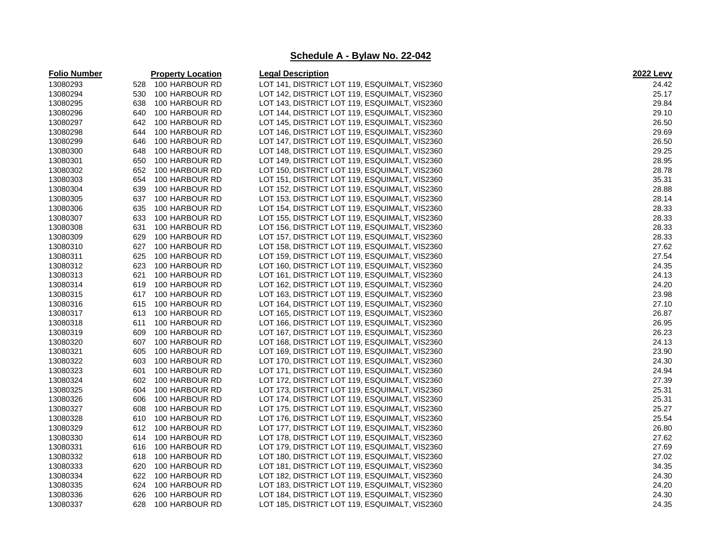| 13080293<br>100 HARBOUR RD<br>LOT 141, DISTRICT LOT 119, ESQUIMALT, VIS2360<br>24.42<br>528<br>13080294<br>LOT 142, DISTRICT LOT 119, ESQUIMALT, VIS2360<br>25.17<br>530<br>100 HARBOUR RD<br>29.84<br>13080295<br>LOT 143, DISTRICT LOT 119, ESQUIMALT, VIS2360<br>638<br>100 HARBOUR RD<br>29.10<br>13080296<br>100 HARBOUR RD<br>LOT 144, DISTRICT LOT 119, ESQUIMALT, VIS2360<br>640<br>26.50<br>13080297<br>642<br>100 HARBOUR RD<br>LOT 145, DISTRICT LOT 119, ESQUIMALT, VIS2360<br>13080298<br>29.69<br>100 HARBOUR RD<br>LOT 146, DISTRICT LOT 119, ESQUIMALT, VIS2360<br>644<br>26.50<br>13080299<br>100 HARBOUR RD<br>LOT 147, DISTRICT LOT 119, ESQUIMALT, VIS2360<br>646<br>29.25<br>13080300<br>100 HARBOUR RD<br>LOT 148, DISTRICT LOT 119, ESQUIMALT, VIS2360<br>648<br>28.95<br>13080301<br>650<br>100 HARBOUR RD<br>LOT 149, DISTRICT LOT 119, ESQUIMALT, VIS2360<br>28.78<br>13080302<br>652<br>100 HARBOUR RD<br>LOT 150, DISTRICT LOT 119, ESQUIMALT, VIS2360<br>35.31<br>13080303<br>654<br>100 HARBOUR RD<br>LOT 151, DISTRICT LOT 119, ESQUIMALT, VIS2360<br>13080304<br>100 HARBOUR RD<br>28.88<br>639<br>LOT 152, DISTRICT LOT 119, ESQUIMALT, VIS2360<br>28.14<br>13080305<br>637<br>100 HARBOUR RD<br>LOT 153, DISTRICT LOT 119, ESQUIMALT, VIS2360<br>28.33<br>13080306<br>100 HARBOUR RD<br>LOT 154, DISTRICT LOT 119, ESQUIMALT, VIS2360<br>635<br>28.33<br>13080307<br>633<br>LOT 155, DISTRICT LOT 119, ESQUIMALT, VIS2360<br>100 HARBOUR RD<br>28.33 |
|----------------------------------------------------------------------------------------------------------------------------------------------------------------------------------------------------------------------------------------------------------------------------------------------------------------------------------------------------------------------------------------------------------------------------------------------------------------------------------------------------------------------------------------------------------------------------------------------------------------------------------------------------------------------------------------------------------------------------------------------------------------------------------------------------------------------------------------------------------------------------------------------------------------------------------------------------------------------------------------------------------------------------------------------------------------------------------------------------------------------------------------------------------------------------------------------------------------------------------------------------------------------------------------------------------------------------------------------------------------------------------------------------------------------------------------------------------------------------------------|
|                                                                                                                                                                                                                                                                                                                                                                                                                                                                                                                                                                                                                                                                                                                                                                                                                                                                                                                                                                                                                                                                                                                                                                                                                                                                                                                                                                                                                                                                                        |
|                                                                                                                                                                                                                                                                                                                                                                                                                                                                                                                                                                                                                                                                                                                                                                                                                                                                                                                                                                                                                                                                                                                                                                                                                                                                                                                                                                                                                                                                                        |
|                                                                                                                                                                                                                                                                                                                                                                                                                                                                                                                                                                                                                                                                                                                                                                                                                                                                                                                                                                                                                                                                                                                                                                                                                                                                                                                                                                                                                                                                                        |
|                                                                                                                                                                                                                                                                                                                                                                                                                                                                                                                                                                                                                                                                                                                                                                                                                                                                                                                                                                                                                                                                                                                                                                                                                                                                                                                                                                                                                                                                                        |
|                                                                                                                                                                                                                                                                                                                                                                                                                                                                                                                                                                                                                                                                                                                                                                                                                                                                                                                                                                                                                                                                                                                                                                                                                                                                                                                                                                                                                                                                                        |
|                                                                                                                                                                                                                                                                                                                                                                                                                                                                                                                                                                                                                                                                                                                                                                                                                                                                                                                                                                                                                                                                                                                                                                                                                                                                                                                                                                                                                                                                                        |
|                                                                                                                                                                                                                                                                                                                                                                                                                                                                                                                                                                                                                                                                                                                                                                                                                                                                                                                                                                                                                                                                                                                                                                                                                                                                                                                                                                                                                                                                                        |
|                                                                                                                                                                                                                                                                                                                                                                                                                                                                                                                                                                                                                                                                                                                                                                                                                                                                                                                                                                                                                                                                                                                                                                                                                                                                                                                                                                                                                                                                                        |
|                                                                                                                                                                                                                                                                                                                                                                                                                                                                                                                                                                                                                                                                                                                                                                                                                                                                                                                                                                                                                                                                                                                                                                                                                                                                                                                                                                                                                                                                                        |
|                                                                                                                                                                                                                                                                                                                                                                                                                                                                                                                                                                                                                                                                                                                                                                                                                                                                                                                                                                                                                                                                                                                                                                                                                                                                                                                                                                                                                                                                                        |
|                                                                                                                                                                                                                                                                                                                                                                                                                                                                                                                                                                                                                                                                                                                                                                                                                                                                                                                                                                                                                                                                                                                                                                                                                                                                                                                                                                                                                                                                                        |
|                                                                                                                                                                                                                                                                                                                                                                                                                                                                                                                                                                                                                                                                                                                                                                                                                                                                                                                                                                                                                                                                                                                                                                                                                                                                                                                                                                                                                                                                                        |
|                                                                                                                                                                                                                                                                                                                                                                                                                                                                                                                                                                                                                                                                                                                                                                                                                                                                                                                                                                                                                                                                                                                                                                                                                                                                                                                                                                                                                                                                                        |
|                                                                                                                                                                                                                                                                                                                                                                                                                                                                                                                                                                                                                                                                                                                                                                                                                                                                                                                                                                                                                                                                                                                                                                                                                                                                                                                                                                                                                                                                                        |
|                                                                                                                                                                                                                                                                                                                                                                                                                                                                                                                                                                                                                                                                                                                                                                                                                                                                                                                                                                                                                                                                                                                                                                                                                                                                                                                                                                                                                                                                                        |
| 13080308<br>631<br>100 HARBOUR RD<br>LOT 156, DISTRICT LOT 119, ESQUIMALT, VIS2360                                                                                                                                                                                                                                                                                                                                                                                                                                                                                                                                                                                                                                                                                                                                                                                                                                                                                                                                                                                                                                                                                                                                                                                                                                                                                                                                                                                                     |
| 28.33<br>13080309<br>629<br>100 HARBOUR RD<br>LOT 157, DISTRICT LOT 119, ESQUIMALT, VIS2360                                                                                                                                                                                                                                                                                                                                                                                                                                                                                                                                                                                                                                                                                                                                                                                                                                                                                                                                                                                                                                                                                                                                                                                                                                                                                                                                                                                            |
| 27.62<br>13080310<br>627<br>100 HARBOUR RD<br>LOT 158, DISTRICT LOT 119, ESQUIMALT, VIS2360                                                                                                                                                                                                                                                                                                                                                                                                                                                                                                                                                                                                                                                                                                                                                                                                                                                                                                                                                                                                                                                                                                                                                                                                                                                                                                                                                                                            |
| 27.54<br>13080311<br>625<br>100 HARBOUR RD<br>LOT 159, DISTRICT LOT 119, ESQUIMALT, VIS2360                                                                                                                                                                                                                                                                                                                                                                                                                                                                                                                                                                                                                                                                                                                                                                                                                                                                                                                                                                                                                                                                                                                                                                                                                                                                                                                                                                                            |
| 24.35<br>13080312<br>623<br>100 HARBOUR RD<br>LOT 160, DISTRICT LOT 119, ESQUIMALT, VIS2360                                                                                                                                                                                                                                                                                                                                                                                                                                                                                                                                                                                                                                                                                                                                                                                                                                                                                                                                                                                                                                                                                                                                                                                                                                                                                                                                                                                            |
| 13080313<br>621<br>100 HARBOUR RD<br>LOT 161, DISTRICT LOT 119, ESQUIMALT, VIS2360<br>24.13                                                                                                                                                                                                                                                                                                                                                                                                                                                                                                                                                                                                                                                                                                                                                                                                                                                                                                                                                                                                                                                                                                                                                                                                                                                                                                                                                                                            |
| 24.20<br>13080314<br>100 HARBOUR RD<br>619<br>LOT 162, DISTRICT LOT 119, ESQUIMALT, VIS2360                                                                                                                                                                                                                                                                                                                                                                                                                                                                                                                                                                                                                                                                                                                                                                                                                                                                                                                                                                                                                                                                                                                                                                                                                                                                                                                                                                                            |
| 23.98<br>13080315<br>617<br>100 HARBOUR RD<br>LOT 163, DISTRICT LOT 119, ESQUIMALT, VIS2360                                                                                                                                                                                                                                                                                                                                                                                                                                                                                                                                                                                                                                                                                                                                                                                                                                                                                                                                                                                                                                                                                                                                                                                                                                                                                                                                                                                            |
| 27.10<br>13080316<br>615<br>100 HARBOUR RD<br>LOT 164, DISTRICT LOT 119, ESQUIMALT, VIS2360                                                                                                                                                                                                                                                                                                                                                                                                                                                                                                                                                                                                                                                                                                                                                                                                                                                                                                                                                                                                                                                                                                                                                                                                                                                                                                                                                                                            |
| 13080317<br>26.87<br>613<br>100 HARBOUR RD<br>LOT 165, DISTRICT LOT 119, ESQUIMALT, VIS2360                                                                                                                                                                                                                                                                                                                                                                                                                                                                                                                                                                                                                                                                                                                                                                                                                                                                                                                                                                                                                                                                                                                                                                                                                                                                                                                                                                                            |
| 26.95<br>13080318<br>100 HARBOUR RD<br>LOT 166, DISTRICT LOT 119, ESQUIMALT, VIS2360<br>611                                                                                                                                                                                                                                                                                                                                                                                                                                                                                                                                                                                                                                                                                                                                                                                                                                                                                                                                                                                                                                                                                                                                                                                                                                                                                                                                                                                            |
| 13080319<br>100 HARBOUR RD<br>26.23<br>609<br>LOT 167, DISTRICT LOT 119, ESQUIMALT, VIS2360                                                                                                                                                                                                                                                                                                                                                                                                                                                                                                                                                                                                                                                                                                                                                                                                                                                                                                                                                                                                                                                                                                                                                                                                                                                                                                                                                                                            |
| 24.13<br>13080320<br>607<br>100 HARBOUR RD<br>LOT 168, DISTRICT LOT 119, ESQUIMALT, VIS2360                                                                                                                                                                                                                                                                                                                                                                                                                                                                                                                                                                                                                                                                                                                                                                                                                                                                                                                                                                                                                                                                                                                                                                                                                                                                                                                                                                                            |
| 23.90<br>13080321<br>605<br>100 HARBOUR RD<br>LOT 169, DISTRICT LOT 119, ESQUIMALT, VIS2360                                                                                                                                                                                                                                                                                                                                                                                                                                                                                                                                                                                                                                                                                                                                                                                                                                                                                                                                                                                                                                                                                                                                                                                                                                                                                                                                                                                            |
| 13080322<br>24.30<br>603<br>100 HARBOUR RD<br>LOT 170, DISTRICT LOT 119, ESQUIMALT, VIS2360                                                                                                                                                                                                                                                                                                                                                                                                                                                                                                                                                                                                                                                                                                                                                                                                                                                                                                                                                                                                                                                                                                                                                                                                                                                                                                                                                                                            |
| 13080323<br>24.94<br>601<br>100 HARBOUR RD<br>LOT 171, DISTRICT LOT 119, ESQUIMALT, VIS2360                                                                                                                                                                                                                                                                                                                                                                                                                                                                                                                                                                                                                                                                                                                                                                                                                                                                                                                                                                                                                                                                                                                                                                                                                                                                                                                                                                                            |
| 27.39<br>13080324<br>602<br>100 HARBOUR RD<br>LOT 172, DISTRICT LOT 119, ESQUIMALT, VIS2360                                                                                                                                                                                                                                                                                                                                                                                                                                                                                                                                                                                                                                                                                                                                                                                                                                                                                                                                                                                                                                                                                                                                                                                                                                                                                                                                                                                            |
| 13080325<br>25.31<br>604<br>100 HARBOUR RD<br>LOT 173, DISTRICT LOT 119, ESQUIMALT, VIS2360                                                                                                                                                                                                                                                                                                                                                                                                                                                                                                                                                                                                                                                                                                                                                                                                                                                                                                                                                                                                                                                                                                                                                                                                                                                                                                                                                                                            |
| 13080326<br>25.31<br>606<br>100 HARBOUR RD<br>LOT 174, DISTRICT LOT 119, ESQUIMALT, VIS2360                                                                                                                                                                                                                                                                                                                                                                                                                                                                                                                                                                                                                                                                                                                                                                                                                                                                                                                                                                                                                                                                                                                                                                                                                                                                                                                                                                                            |
| 25.27<br>13080327<br>608<br>100 HARBOUR RD<br>LOT 175, DISTRICT LOT 119, ESQUIMALT, VIS2360                                                                                                                                                                                                                                                                                                                                                                                                                                                                                                                                                                                                                                                                                                                                                                                                                                                                                                                                                                                                                                                                                                                                                                                                                                                                                                                                                                                            |
| 13080328<br>25.54<br>100 HARBOUR RD<br>LOT 176, DISTRICT LOT 119, ESQUIMALT, VIS2360<br>610                                                                                                                                                                                                                                                                                                                                                                                                                                                                                                                                                                                                                                                                                                                                                                                                                                                                                                                                                                                                                                                                                                                                                                                                                                                                                                                                                                                            |
| 13080329<br>26.80<br>612<br>100 HARBOUR RD<br>LOT 177, DISTRICT LOT 119, ESQUIMALT, VIS2360                                                                                                                                                                                                                                                                                                                                                                                                                                                                                                                                                                                                                                                                                                                                                                                                                                                                                                                                                                                                                                                                                                                                                                                                                                                                                                                                                                                            |
| 13080330<br>27.62<br>614<br>100 HARBOUR RD<br>LOT 178, DISTRICT LOT 119, ESQUIMALT, VIS2360                                                                                                                                                                                                                                                                                                                                                                                                                                                                                                                                                                                                                                                                                                                                                                                                                                                                                                                                                                                                                                                                                                                                                                                                                                                                                                                                                                                            |
| 13080331<br>27.69<br>100 HARBOUR RD<br>LOT 179, DISTRICT LOT 119, ESQUIMALT, VIS2360<br>616                                                                                                                                                                                                                                                                                                                                                                                                                                                                                                                                                                                                                                                                                                                                                                                                                                                                                                                                                                                                                                                                                                                                                                                                                                                                                                                                                                                            |
| 13080332<br>27.02<br>618<br>100 HARBOUR RD<br>LOT 180, DISTRICT LOT 119, ESQUIMALT, VIS2360                                                                                                                                                                                                                                                                                                                                                                                                                                                                                                                                                                                                                                                                                                                                                                                                                                                                                                                                                                                                                                                                                                                                                                                                                                                                                                                                                                                            |
| 13080333<br>34.35<br>620<br>100 HARBOUR RD<br>LOT 181, DISTRICT LOT 119, ESQUIMALT, VIS2360                                                                                                                                                                                                                                                                                                                                                                                                                                                                                                                                                                                                                                                                                                                                                                                                                                                                                                                                                                                                                                                                                                                                                                                                                                                                                                                                                                                            |
| 13080334<br>622<br>100 HARBOUR RD<br>24.30<br>LOT 182, DISTRICT LOT 119, ESQUIMALT, VIS2360                                                                                                                                                                                                                                                                                                                                                                                                                                                                                                                                                                                                                                                                                                                                                                                                                                                                                                                                                                                                                                                                                                                                                                                                                                                                                                                                                                                            |
| 13080335<br>24.20<br>624<br>100 HARBOUR RD<br>LOT 183, DISTRICT LOT 119, ESQUIMALT, VIS2360                                                                                                                                                                                                                                                                                                                                                                                                                                                                                                                                                                                                                                                                                                                                                                                                                                                                                                                                                                                                                                                                                                                                                                                                                                                                                                                                                                                            |
| 24.30<br>13080336<br>626<br>100 HARBOUR RD<br>LOT 184, DISTRICT LOT 119, ESQUIMALT, VIS2360                                                                                                                                                                                                                                                                                                                                                                                                                                                                                                                                                                                                                                                                                                                                                                                                                                                                                                                                                                                                                                                                                                                                                                                                                                                                                                                                                                                            |
| 13080337<br>628<br>24.35<br>100 HARBOUR RD<br>LOT 185, DISTRICT LOT 119, ESQUIMALT, VIS2360                                                                                                                                                                                                                                                                                                                                                                                                                                                                                                                                                                                                                                                                                                                                                                                                                                                                                                                                                                                                                                                                                                                                                                                                                                                                                                                                                                                            |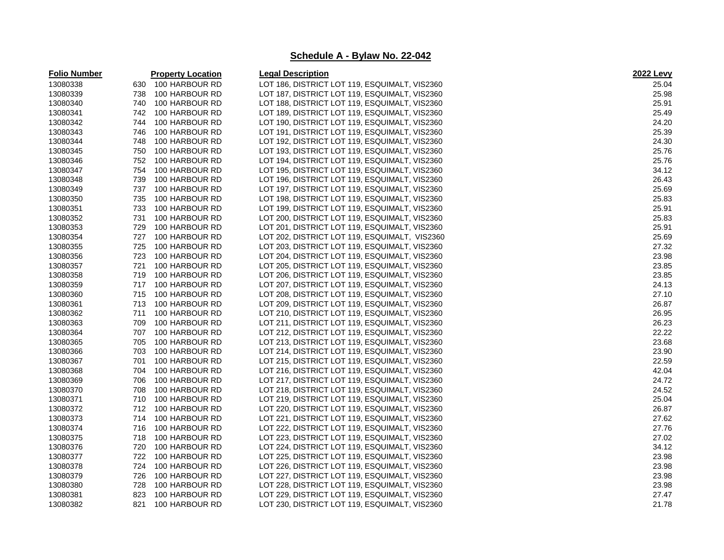| <b>Folio Number</b> |     | <b>Property Location</b> | <b>Legal Description</b>                      | 2022 Levy |
|---------------------|-----|--------------------------|-----------------------------------------------|-----------|
| 13080338            | 630 | 100 HARBOUR RD           | LOT 186, DISTRICT LOT 119, ESQUIMALT, VIS2360 | 25.04     |
| 13080339            | 738 | 100 HARBOUR RD           | LOT 187, DISTRICT LOT 119, ESQUIMALT, VIS2360 | 25.98     |
| 13080340            | 740 | 100 HARBOUR RD           | LOT 188, DISTRICT LOT 119, ESQUIMALT, VIS2360 | 25.91     |
| 13080341            | 742 | 100 HARBOUR RD           | LOT 189, DISTRICT LOT 119, ESQUIMALT, VIS2360 | 25.49     |
| 13080342            | 744 | 100 HARBOUR RD           | LOT 190, DISTRICT LOT 119, ESQUIMALT, VIS2360 | 24.20     |
| 13080343            | 746 | 100 HARBOUR RD           | LOT 191, DISTRICT LOT 119, ESQUIMALT, VIS2360 | 25.39     |
| 13080344            | 748 | 100 HARBOUR RD           | LOT 192, DISTRICT LOT 119, ESQUIMALT, VIS2360 | 24.30     |
| 13080345            | 750 | 100 HARBOUR RD           | LOT 193, DISTRICT LOT 119, ESQUIMALT, VIS2360 | 25.76     |
| 13080346            | 752 | 100 HARBOUR RD           | LOT 194, DISTRICT LOT 119, ESQUIMALT, VIS2360 | 25.76     |
| 13080347            | 754 | 100 HARBOUR RD           | LOT 195, DISTRICT LOT 119, ESQUIMALT, VIS2360 | 34.12     |
| 13080348            | 739 | 100 HARBOUR RD           | LOT 196, DISTRICT LOT 119, ESQUIMALT, VIS2360 | 26.43     |
| 13080349            | 737 | 100 HARBOUR RD           | LOT 197, DISTRICT LOT 119, ESQUIMALT, VIS2360 | 25.69     |
| 13080350            | 735 | 100 HARBOUR RD           | LOT 198, DISTRICT LOT 119, ESQUIMALT, VIS2360 | 25.83     |
| 13080351            | 733 | 100 HARBOUR RD           | LOT 199, DISTRICT LOT 119, ESQUIMALT, VIS2360 | 25.91     |
| 13080352            | 731 | 100 HARBOUR RD           | LOT 200, DISTRICT LOT 119, ESQUIMALT, VIS2360 | 25.83     |
| 13080353            | 729 | 100 HARBOUR RD           | LOT 201, DISTRICT LOT 119, ESQUIMALT, VIS2360 | 25.91     |
| 13080354            | 727 | 100 HARBOUR RD           | LOT 202, DISTRICT LOT 119, ESQUIMALT, VIS2360 | 25.69     |
| 13080355            | 725 | 100 HARBOUR RD           | LOT 203, DISTRICT LOT 119, ESQUIMALT, VIS2360 | 27.32     |
| 13080356            | 723 | 100 HARBOUR RD           | LOT 204, DISTRICT LOT 119, ESQUIMALT, VIS2360 | 23.98     |
| 13080357            | 721 | 100 HARBOUR RD           | LOT 205, DISTRICT LOT 119, ESQUIMALT, VIS2360 | 23.85     |
| 13080358            | 719 | 100 HARBOUR RD           | LOT 206, DISTRICT LOT 119, ESQUIMALT, VIS2360 | 23.85     |
| 13080359            | 717 | 100 HARBOUR RD           | LOT 207, DISTRICT LOT 119, ESQUIMALT, VIS2360 | 24.13     |
| 13080360            | 715 | 100 HARBOUR RD           | LOT 208, DISTRICT LOT 119, ESQUIMALT, VIS2360 | 27.10     |
| 13080361            | 713 | 100 HARBOUR RD           | LOT 209, DISTRICT LOT 119, ESQUIMALT, VIS2360 | 26.87     |
| 13080362            | 711 | 100 HARBOUR RD           | LOT 210, DISTRICT LOT 119, ESQUIMALT, VIS2360 | 26.95     |
| 13080363            | 709 | 100 HARBOUR RD           | LOT 211, DISTRICT LOT 119, ESQUIMALT, VIS2360 | 26.23     |
| 13080364            | 707 | 100 HARBOUR RD           | LOT 212, DISTRICT LOT 119, ESQUIMALT, VIS2360 | 22.22     |
| 13080365            | 705 | 100 HARBOUR RD           | LOT 213, DISTRICT LOT 119, ESQUIMALT, VIS2360 | 23.68     |
| 13080366            | 703 | 100 HARBOUR RD           | LOT 214, DISTRICT LOT 119, ESQUIMALT, VIS2360 | 23.90     |
| 13080367            | 701 | 100 HARBOUR RD           | LOT 215, DISTRICT LOT 119, ESQUIMALT, VIS2360 | 22.59     |
| 13080368            | 704 | 100 HARBOUR RD           | LOT 216, DISTRICT LOT 119, ESQUIMALT, VIS2360 | 42.04     |
| 13080369            | 706 | 100 HARBOUR RD           | LOT 217, DISTRICT LOT 119, ESQUIMALT, VIS2360 | 24.72     |
| 13080370            | 708 | 100 HARBOUR RD           | LOT 218, DISTRICT LOT 119, ESQUIMALT, VIS2360 | 24.52     |
| 13080371            | 710 | 100 HARBOUR RD           | LOT 219, DISTRICT LOT 119, ESQUIMALT, VIS2360 | 25.04     |
| 13080372            | 712 | 100 HARBOUR RD           | LOT 220, DISTRICT LOT 119, ESQUIMALT, VIS2360 | 26.87     |
| 13080373            | 714 | 100 HARBOUR RD           | LOT 221, DISTRICT LOT 119, ESQUIMALT, VIS2360 | 27.62     |
| 13080374            | 716 | 100 HARBOUR RD           | LOT 222, DISTRICT LOT 119, ESQUIMALT, VIS2360 | 27.76     |
| 13080375            | 718 | 100 HARBOUR RD           | LOT 223, DISTRICT LOT 119, ESQUIMALT, VIS2360 | 27.02     |
| 13080376            | 720 | 100 HARBOUR RD           | LOT 224, DISTRICT LOT 119, ESQUIMALT, VIS2360 | 34.12     |
| 13080377            | 722 | 100 HARBOUR RD           | LOT 225, DISTRICT LOT 119, ESQUIMALT, VIS2360 | 23.98     |
| 13080378            | 724 | 100 HARBOUR RD           | LOT 226, DISTRICT LOT 119, ESQUIMALT, VIS2360 | 23.98     |
| 13080379            | 726 | 100 HARBOUR RD           | LOT 227, DISTRICT LOT 119, ESQUIMALT, VIS2360 | 23.98     |
| 13080380            | 728 | 100 HARBOUR RD           | LOT 228, DISTRICT LOT 119, ESQUIMALT, VIS2360 | 23.98     |
| 13080381            | 823 | 100 HARBOUR RD           | LOT 229, DISTRICT LOT 119, ESQUIMALT, VIS2360 | 27.47     |
| 13080382            | 821 | 100 HARBOUR RD           | LOT 230, DISTRICT LOT 119, ESQUIMALT, VIS2360 | 21.78     |